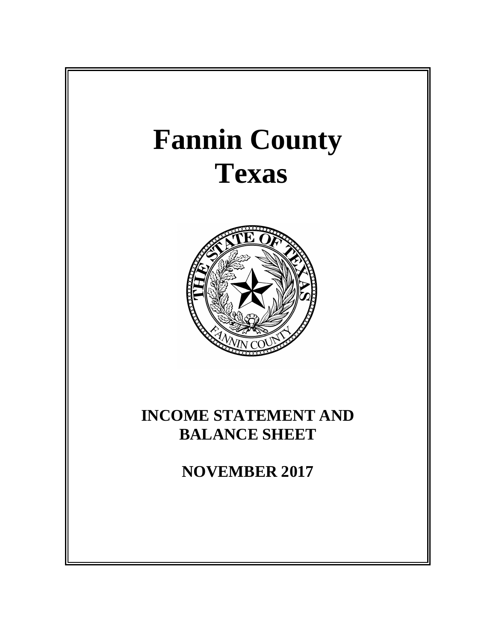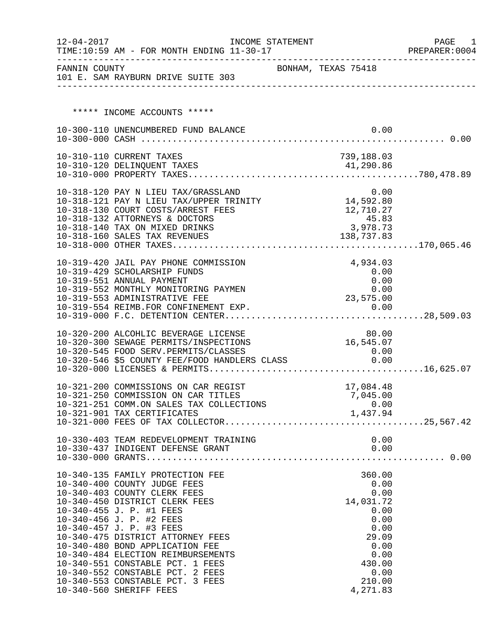| $12 - 04 - 2017$ | TIME:10:59 AM - FOR MONTH ENDING 11-30-17                                                  | INCOME STATEMENT |                       | PAGE<br>1<br>PREPARER: 0004 |
|------------------|--------------------------------------------------------------------------------------------|------------------|-----------------------|-----------------------------|
| FANNIN COUNTY    | 101 E. SAM RAYBURN DRIVE SUITE 303                                                         |                  | BONHAM, TEXAS 75418   |                             |
|                  |                                                                                            |                  |                       |                             |
|                  | ***** INCOME ACCOUNTS *****                                                                |                  |                       |                             |
|                  | 10-300-110 UNENCUMBERED FUND BALANCE                                                       |                  | 0.00                  |                             |
|                  |                                                                                            |                  |                       |                             |
|                  | 10-310-110 CURRENT TAXES                                                                   |                  | 739,188.03            |                             |
|                  |                                                                                            |                  |                       |                             |
|                  |                                                                                            |                  |                       |                             |
|                  | 10-318-120 PAY N LIEU TAX/GRASSLAND                                                        |                  | 0.00                  |                             |
|                  |                                                                                            |                  |                       |                             |
|                  | 10-318-130 COURT COSTS/ARREST FEES                                                         |                  | 12,710.27             |                             |
|                  | 10-318-132 ATTORNEYS & DOCTORS<br>10-318-140 TAX ON MIXED DRINKS                           |                  | 45.83<br>3,978.73     |                             |
|                  | 10-318-160 SALES TAX REVENUES                                                              |                  | 138,737.83            |                             |
|                  |                                                                                            |                  |                       |                             |
|                  | 10-319-420 JAIL PAY PHONE COMMISSION                                                       |                  | 4,934.03              |                             |
|                  | 10-319-429 SCHOLARSHIP FUNDS                                                               |                  | 0.00                  |                             |
|                  | 10-319-551 ANNUAL PAYMENT                                                                  |                  | 0.00                  |                             |
|                  | 10-319-552 MONTHLY MONITORING PAYMEN                                                       |                  | 0.00                  |                             |
|                  | 10-319-553 ADMINISTRATIVE FEE                                                              |                  | 23,575.00             |                             |
|                  |                                                                                            |                  |                       |                             |
|                  |                                                                                            |                  |                       |                             |
|                  | 10-320-200 ALCOHLIC BEVERAGE LICENSE                                                       |                  | 80.00                 |                             |
|                  | 10-320-300 SEWAGE PERMITS/INSPECTIONS                                                      |                  | 16,545.07             |                             |
|                  | 10-320-545 FOOD SERV.PERMITS/CLASSES<br>10-320-546 \$5 COUNTY FEE/FOOD HANDLERS CLASS 0.00 |                  | 0.00                  |                             |
|                  |                                                                                            |                  |                       |                             |
|                  |                                                                                            |                  |                       |                             |
|                  | 10-321-200 COMMISSIONS ON CAR REGIST<br>10-321-250 COMMISSION ON CAR TITLES                |                  | 17,084.48<br>7,045.00 |                             |
|                  | 10-321-251 COMM.ON SALES TAX COLLECTIONS                                                   |                  | 0.00                  |                             |
|                  | 10-321-901 TAX CERTIFICATES                                                                |                  | 1,437.94              |                             |
|                  |                                                                                            |                  |                       |                             |
|                  |                                                                                            |                  | 0.00                  |                             |
|                  |                                                                                            |                  |                       |                             |
|                  |                                                                                            |                  |                       |                             |
|                  | 10-340-135 FAMILY PROTECTION FEE                                                           |                  | 360.00                |                             |
|                  | 10-340-400 COUNTY JUDGE FEES                                                               |                  | 0.00                  |                             |
|                  | 10-340-403 COUNTY CLERK FEES                                                               |                  | 0.00                  |                             |
|                  | 10-340-450 DISTRICT CLERK FEES                                                             |                  | 14,031.72             |                             |
|                  | 10-340-455 J. P. #1 FEES                                                                   |                  | 0.00                  |                             |
|                  | 10-340-456 J. P. #2 FEES<br>10-340-457 J. P. #3 FEES                                       |                  | 0.00<br>0.00          |                             |
|                  | 10-340-475 DISTRICT ATTORNEY FEES                                                          |                  | 29.09                 |                             |
|                  | 10-340-480 BOND APPLICATION FEE                                                            |                  | 0.00                  |                             |
|                  | 10-340-484 ELECTION REIMBURSEMENTS                                                         |                  | 0.00                  |                             |
|                  | 10-340-551 CONSTABLE PCT. 1 FEES                                                           |                  | 430.00                |                             |
|                  | 10-340-552 CONSTABLE PCT. 2 FEES                                                           |                  | 0.00                  |                             |
|                  | 10-340-553 CONSTABLE PCT. 3 FEES<br>10-340-560 SHERIFF FEES                                |                  | 210.00<br>4,271.83    |                             |
|                  |                                                                                            |                  |                       |                             |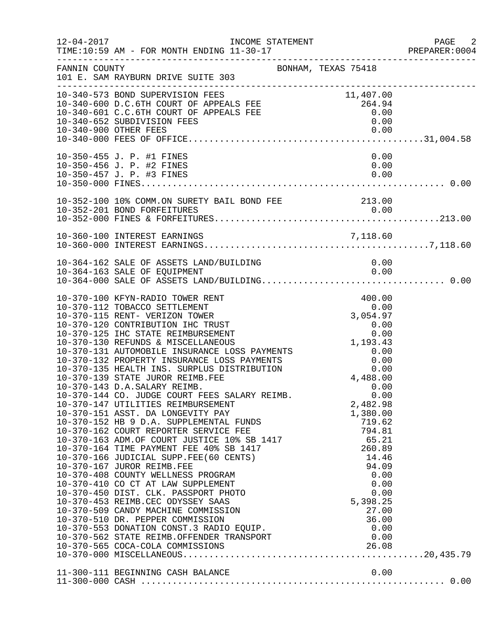| $12 - 04 - 2017$ | INCOME STATEMENT<br>TIME:10:59 AM - FOR MONTH ENDING 11-30-17                                                                                                                                                                                                                                                                                                                                                                                                                                                                                                                                                                                                                                                                                                      |                                                                                                                                                                                               | PAGE<br>$\overline{\phantom{0}}$ 2<br>PREPARER: 0004 |
|------------------|--------------------------------------------------------------------------------------------------------------------------------------------------------------------------------------------------------------------------------------------------------------------------------------------------------------------------------------------------------------------------------------------------------------------------------------------------------------------------------------------------------------------------------------------------------------------------------------------------------------------------------------------------------------------------------------------------------------------------------------------------------------------|-----------------------------------------------------------------------------------------------------------------------------------------------------------------------------------------------|------------------------------------------------------|
| FANNIN COUNTY    | BONHAM, TEXAS 75418<br>101 E. SAM RAYBURN DRIVE SUITE 303                                                                                                                                                                                                                                                                                                                                                                                                                                                                                                                                                                                                                                                                                                          |                                                                                                                                                                                               |                                                      |
|                  | 10-340-573 BOND SUPERVISION FEES<br>10-340-600 D.C.6TH COURT OF APPEALS FEE 264.94<br>10-340-601 C.C.6TH COURT OF APPEALS FEE 264.94<br>264.94<br>264.94<br>26.000<br>10-340-652 SUBDIVISION FEES                                                                                                                                                                                                                                                                                                                                                                                                                                                                                                                                                                  | 0.00                                                                                                                                                                                          |                                                      |
|                  | 10-350-455 J. P. #1 FINES<br>10-350-456 J. P. #2 FINES<br>10-350-457 J. P. #3 FINES                                                                                                                                                                                                                                                                                                                                                                                                                                                                                                                                                                                                                                                                                | 0.00<br>0.00<br>0.00                                                                                                                                                                          |                                                      |
|                  |                                                                                                                                                                                                                                                                                                                                                                                                                                                                                                                                                                                                                                                                                                                                                                    |                                                                                                                                                                                               |                                                      |
|                  | 10-360-100 INTEREST EARNINGS                                                                                                                                                                                                                                                                                                                                                                                                                                                                                                                                                                                                                                                                                                                                       |                                                                                                                                                                                               |                                                      |
|                  |                                                                                                                                                                                                                                                                                                                                                                                                                                                                                                                                                                                                                                                                                                                                                                    |                                                                                                                                                                                               |                                                      |
|                  | 10-370-100 KFYN-RADIO TOWER RENT<br>10-370-112 TOBACCO SETTLEMENT<br>10-370-115 RENT- VERIZON TOWER<br>10-370-125 IHC STATE REIMBURSEMENT<br>10-370-125 IHC STATE REIMBURSEMENT<br>10-370-130 REFUNDS & MISCELLANEOUS<br>10-370-131 AUTOMOBILE INSURANCE LOSS PAYMENTS<br>10-370-132 PROPERTY INSURANCE LOSS PAYMENTS<br>10-370-135 HEALTH INS.<br>10-370-139 STATE JUROR REIMB.FEE<br>10-370-143 D.A.SALARY REIMB.<br>10-370-144 CO. JUDGE COURT FEES SALARY REIMB.<br>10-370-147 UTILITIES REIMBURSEMENT<br>10-370-151 ASST. DA LONGEVITY PAY<br>10-370-510 DR. PEPPER COMMISSION 36.00<br>10-370-553 DONATION CONST.3 RADIO EQUIP. 0.00<br>10-370-562 STATE REIMB.OFFENDER TRANSPORT 0.00<br>10-370-565 COCA-COLA COMMISSIONS 26.08<br>10-370-000 MISCELLANEOUS | 400.00<br>0.00<br>3,054.97<br>4,488.00<br>0.00<br>0.00<br>2,482.98<br>1,380.00<br>719.62<br>794.81<br>65.21<br>260.89<br>14.46<br>94.09<br>0.00<br>0.00<br>0.00<br>5,398.25<br>27.00<br>36.00 |                                                      |
|                  |                                                                                                                                                                                                                                                                                                                                                                                                                                                                                                                                                                                                                                                                                                                                                                    |                                                                                                                                                                                               |                                                      |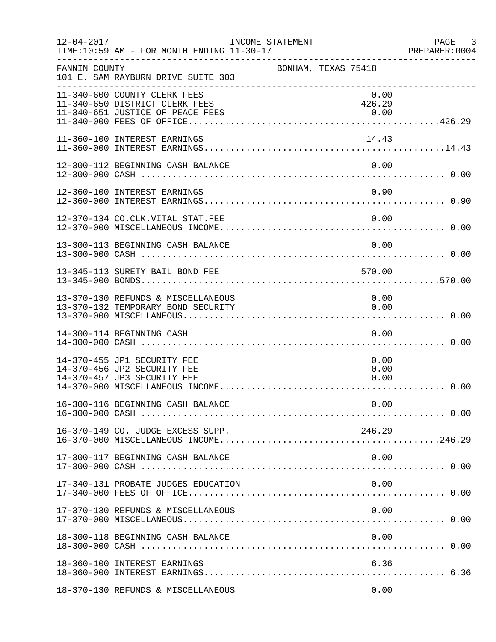| $12 - 04 - 2017$ | TIME:10:59 AM - FOR MONTH ENDING 11-30-17                                                 | INCOME STATEMENT    |                      | PAGE 3<br>PREPARER:0004 |
|------------------|-------------------------------------------------------------------------------------------|---------------------|----------------------|-------------------------|
| FANNIN COUNTY    | 101 E. SAM RAYBURN DRIVE SUITE 303                                                        | BONHAM, TEXAS 75418 |                      |                         |
|                  | 11-340-600 COUNTY CLERK FEES<br>11-340-650 DISTRICT CLERK FEES                            |                     | 0.00<br>426.29       |                         |
|                  | 11-360-100 INTEREST EARNINGS                                                              |                     | 14.43                |                         |
|                  | 12-300-112 BEGINNING CASH BALANCE                                                         |                     | 0.00                 |                         |
|                  | 12-360-100 INTEREST EARNINGS                                                              |                     | 0.90                 |                         |
|                  | 12-370-134 CO.CLK.VITAL STAT.FEE                                                          |                     | 0.00                 |                         |
|                  | 13-300-113 BEGINNING CASH BALANCE                                                         |                     | 0.00                 |                         |
|                  | 13-345-113 SURETY BAIL BOND FEE                                                           |                     | 570.00               |                         |
|                  | 13-370-130 REFUNDS & MISCELLANEOUS<br>13-370-132 TEMPORARY BOND SECURITY                  |                     | 0.00<br>0.00         |                         |
|                  | 14-300-114 BEGINNING CASH                                                                 |                     | 0.00                 |                         |
|                  | 14-370-455 JP1 SECURITY FEE<br>14-370-456 JP2 SECURITY FEE<br>14-370-457 JP3 SECURITY FEE |                     | 0.00<br>0.00<br>0.00 |                         |
|                  |                                                                                           |                     |                      |                         |
|                  | 16-370-149 CO. JUDGE EXCESS SUPP.                                                         |                     | 246.29               |                         |
|                  | 17-300-117 BEGINNING CASH BALANCE                                                         |                     | 0.00                 |                         |
|                  | 17-340-131 PROBATE JUDGES EDUCATION                                                       |                     | 0.00                 |                         |
|                  | 17-370-130 REFUNDS & MISCELLANEOUS                                                        |                     | 0.00                 |                         |
|                  | 18-300-118 BEGINNING CASH BALANCE                                                         |                     | 0.00                 |                         |
|                  | 18-360-100 INTEREST EARNINGS                                                              |                     | 6.36                 |                         |
|                  | 18-370-130 REFUNDS & MISCELLANEOUS                                                        |                     | 0.00                 |                         |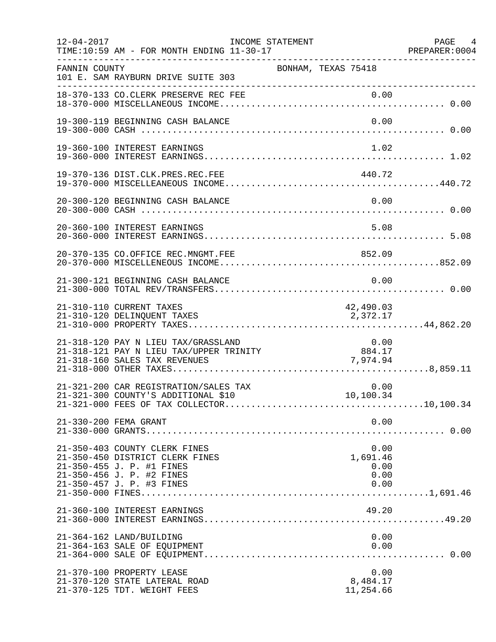| $12 - 04 - 2017$ | TIME:10:59 AM - FOR MONTH ENDING 11-30-17                                                                                                               | INCOME STATEMENT |                       | PREPARER: 0004               | PAGE 4 |
|------------------|---------------------------------------------------------------------------------------------------------------------------------------------------------|------------------|-----------------------|------------------------------|--------|
| FANNIN COUNTY    | 101 E. SAM RAYBURN DRIVE SUITE 303                                                                                                                      |                  | BONHAM, TEXAS 75418   |                              |        |
|                  | 18-370-133 CO.CLERK PRESERVE REC FEE                                                                                                                    |                  |                       |                              |        |
|                  | 19-300-119 BEGINNING CASH BALANCE                                                                                                                       |                  |                       | 0.00                         |        |
|                  | 19-360-100 INTEREST EARNINGS                                                                                                                            |                  |                       | 1.02                         |        |
|                  |                                                                                                                                                         |                  | 440.72                |                              |        |
|                  |                                                                                                                                                         |                  |                       |                              |        |
|                  | 20-360-100 INTEREST EARNINGS                                                                                                                            |                  |                       | 5.08                         |        |
|                  | 20-370-135 CO.OFFICE REC.MNGMT.FEE                                                                                                                      |                  | 852.09                |                              |        |
|                  | 21-300-121 BEGINNING CASH BALANCE                                                                                                                       |                  |                       | 0.00                         |        |
|                  | 21-310-110 CURRENT TAXES<br>21-310-120 DELINQUENT TAXES                                                                                                 |                  | 42,490.03<br>2,372.17 |                              |        |
|                  | 21-318-120 PAY N LIEU TAX/GRASSLAND<br>21-318-121 PAY N LIEU TAX/UPPER TRINITY<br>21-318-160 SALES TAX REVENUES                                         |                  | 884.17<br>7,974.94    | 0.00                         |        |
|                  | 21-321-200 CAR REGISTRATION/SALES TAX<br>21-321-300 COUNTY'S ADDITIONAL \$10                                                                            |                  | 0.00<br>10,100.34     |                              |        |
|                  | 21-330-200 FEMA GRANT                                                                                                                                   |                  |                       | 0.00                         |        |
|                  | 21-350-403 COUNTY CLERK FINES<br>21-350-450 DISTRICT CLERK FINES<br>21-350-455 J. P. #1 FINES<br>21-350-456 J. P. #2 FINES<br>21-350-457 J. P. #3 FINES |                  | 1,691.46              | 0.00<br>0.00<br>0.00<br>0.00 |        |
|                  | 21-360-100 INTEREST EARNINGS                                                                                                                            |                  |                       | 49.20                        |        |
|                  | 21-364-162 LAND/BUILDING<br>21-364-163 SALE OF EQUIPMENT                                                                                                |                  |                       | 0.00<br>0.00                 |        |
|                  | 21-370-100 PROPERTY LEASE<br>21-370-120 STATE LATERAL ROAD<br>21-370-125 TDT. WEIGHT FEES                                                               |                  | 8,484.17<br>11,254.66 | 0.00                         |        |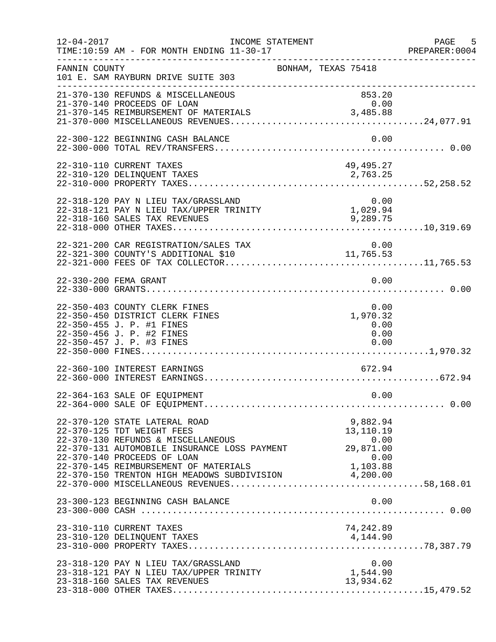| $12 - 04 - 2017$ | INCOME STATEMENT<br>TIME:10:59 AM - FOR MONTH ENDING 11-30-17                                                                                                                                                                                                                              |                                                                | PAGE 5<br>PREPARER:0004 |
|------------------|--------------------------------------------------------------------------------------------------------------------------------------------------------------------------------------------------------------------------------------------------------------------------------------------|----------------------------------------------------------------|-------------------------|
| FANNIN COUNTY    | 101 E. SAM RAYBURN DRIVE SUITE 303                                                                                                                                                                                                                                                         | BONHAM, TEXAS 75418                                            |                         |
|                  | 21-370-130 REFUNDS & MISCELLANEOUS<br>21-370-140 PROCEEDS OF LOAN<br>21-370-145 REIMBURSEMENT OF MATERIALS                                                                                                                                                                                 | 853.20<br>0.00<br>3,485.88                                     |                         |
|                  | 22-300-122 BEGINNING CASH BALANCE                                                                                                                                                                                                                                                          | 0.00                                                           |                         |
|                  | 22-310-110 CURRENT TAXES                                                                                                                                                                                                                                                                   | 49,495.27                                                      |                         |
|                  | 22-318-120 PAY N LIEU TAX/GRASSLAND<br>22-318-121 PAY N LIEU TAX/UPPER TRINITY<br>22-318-160 SALES TAX REVENUES                                                                                                                                                                            | $0.00$<br>$1,029.94$<br>9,289.75                               |                         |
|                  | 22-321-200 CAR REGISTRATION/SALES TAX<br>-- JAL AVO CAR REGISTRATION/SALES TAX<br>22-321-300 COUNTY'S ADDITIONAL \$10                                                                                                                                                                      | 0.00<br>11,765.53                                              |                         |
|                  | 22-330-200 FEMA GRANT                                                                                                                                                                                                                                                                      | 0.00                                                           |                         |
|                  | 22-350-403 COUNTY CLERK FINES<br>22-350-450 DISTRICT CLERK FINES<br>22-350-455 J. P. #1 FINES<br>22-350-456 J. P. #2 FINES                                                                                                                                                                 | 0.00<br>1,970.32<br>0.00<br>0.00                               |                         |
|                  | 22-360-100 INTEREST EARNINGS                                                                                                                                                                                                                                                               | 672.94                                                         |                         |
|                  | 22-364-163 SALE OF EQUIPMENT                                                                                                                                                                                                                                                               | 0.00                                                           |                         |
|                  | 22-370-120 STATE LATERAL ROAD<br>22-370-125 TDT WEIGHT FEES<br>22-370-130 REFUNDS & MISCELLANEOUS<br>22-370-131 AUTOMOBILE INSURANCE LOSS PAYMENT<br>22-370-140 PROCEEDS OF LOAN<br>22-370-145 REIMBURSEMENT OF MATERIALS 1,103.88<br>22-370-150 TRENTON HIGH MEADOWS SUBDIVISION 4,200.00 | 9,882.94<br>13,110.19<br>0.00<br>29,871.00<br>0.00<br>1,103.88 |                         |
|                  | 23-300-123 BEGINNING CASH BALANCE                                                                                                                                                                                                                                                          | 0.00                                                           |                         |
|                  | 23-310-110 CURRENT TAXES                                                                                                                                                                                                                                                                   | 74,242.89                                                      |                         |
|                  | 23-318-120 PAY N LIEU TAX/GRASSLAND<br>23-318-121 PAY N LIEU TAX/UPPER TRINITY<br>23-318-160 SALES TAX REVENUES                                                                                                                                                                            | 0.00<br>1,544.90<br>13,934.62                                  |                         |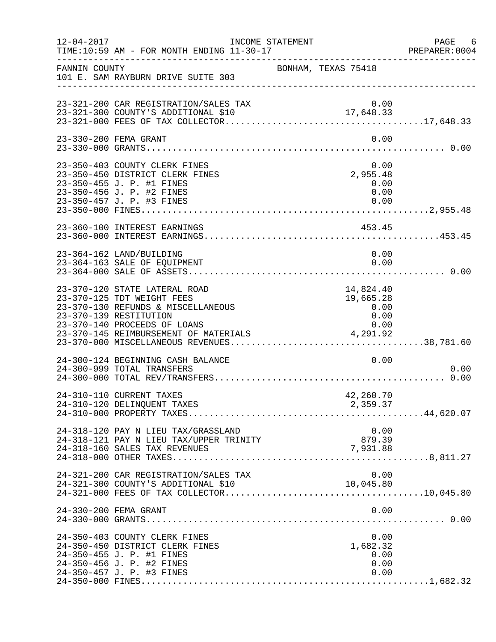| $12 - 04 - 2017$ | TIME:10:59 AM - FOR MONTH ENDING 11-30-17                                                                                                                   | INCOME STATEMENT |                                        |                              | PAGE 6<br>PREPARER:0004 |
|------------------|-------------------------------------------------------------------------------------------------------------------------------------------------------------|------------------|----------------------------------------|------------------------------|-------------------------|
| FANNIN COUNTY    | 101 E. SAM RAYBURN DRIVE SUITE 303                                                                                                                          |                  | BONHAM, TEXAS 75418                    |                              |                         |
|                  |                                                                                                                                                             |                  |                                        |                              |                         |
|                  | 23-330-200 FEMA GRANT                                                                                                                                       |                  |                                        | 0.00                         |                         |
|                  | 23-350-403 COUNTY CLERK FINES<br>23-350-450 DISTRICT CLERK FINES<br>23-350-455 J. P. #1 FINES<br>23-350-456 J. P. #2 FINES                                  |                  | 0.00<br>2,955.48<br>0.00               | 0.00                         |                         |
|                  | 23-360-100 INTEREST EARNINGS                                                                                                                                |                  | 453.45                                 |                              |                         |
|                  | 23-364-162 LAND/BUILDING<br>23-364-163 SALE OF EQUIPMENT                                                                                                    |                  |                                        | 0.00<br>0.00                 |                         |
|                  | 23-370-120 STATE LATERAL ROAD<br>23-370-125 TDT WEIGHT FEES<br>23-370-130 REFUNDS & MISCELLANEOUS<br>23-370-139 RESTITUTION<br>23-370-140 PROCEEDS OF LOANS |                  | 14,824.40<br>19,665.28<br>0.00<br>0.00 | 0.00                         |                         |
|                  | 24-300-124 BEGINNING CASH BALANCE<br>24-300-999 TOTAL TRANSFERS                                                                                             |                  |                                        | 0.00                         | 0.00                    |
|                  | 24-310-110 CURRENT TAXES<br>24-310-120 DELINQUENT TAXES                                                                                                     |                  | 42,260.70<br>2,359.37                  |                              |                         |
|                  | 24-318-120 PAY N LIEU TAX/GRASSLAND<br>24-318-121 PAY N LIEU TAX/UPPER TRINITY<br>24-318-160 SALES TAX REVENUES                                             |                  | 879.39<br>7,931.88                     | 0.00                         |                         |
|                  | 24-321-200 CAR REGISTRATION/SALES TAX<br>24-321-300 COUNTY'S ADDITIONAL \$10                                                                                |                  | 10,045.80                              | 0.00                         |                         |
|                  | 24-330-200 FEMA GRANT                                                                                                                                       |                  |                                        | 0.00                         |                         |
|                  | 24-350-403 COUNTY CLERK FINES<br>24-350-450 DISTRICT CLERK FINES<br>24-350-455 J. P. #1 FINES<br>24-350-456 J. P. #2 FINES<br>24-350-457 J. P. #3 FINES     |                  | 1,682.32                               | 0.00<br>0.00<br>0.00<br>0.00 |                         |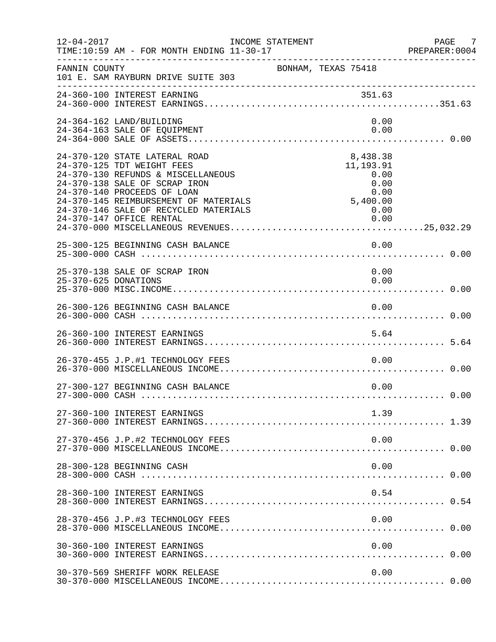| $12 - 04 - 2017$     | INCOME STATEMENT<br>TIME:10:59 AM - FOR MONTH ENDING 11-30-17                                                                                                                                                                                                                   |                                                                                    | PAGE<br>7<br>PREPARER: 0004 |
|----------------------|---------------------------------------------------------------------------------------------------------------------------------------------------------------------------------------------------------------------------------------------------------------------------------|------------------------------------------------------------------------------------|-----------------------------|
| FANNIN COUNTY        | 101 E. SAM RAYBURN DRIVE SUITE 303                                                                                                                                                                                                                                              | BONHAM, TEXAS 75418                                                                |                             |
|                      |                                                                                                                                                                                                                                                                                 |                                                                                    |                             |
|                      | 24-364-162 LAND/BUILDING<br>24-364-163 SALE OF EQUIPMENT                                                                                                                                                                                                                        | 0.00<br>0.00                                                                       |                             |
|                      | 24-370-120 STATE LATERAL ROAD<br>24-370-125 TDT WEIGHT FEES<br>24-370-130 REFUNDS & MISCELLANEOUS<br>24-370-138 SALE OF SCRAP IRON<br>24-370-140 PROCEEDS OF LOAN<br>24-370-145 REIMBURSEMENT OF MATERIALS<br>24-370-146 SALE OF RECYCLED MATERIALS<br>24-370-147 OFFICE RENTAL | 8,438.38<br>11, 193.91<br>0.00<br>0.00<br>0.00<br>0.00<br>5,400.00<br>0.00<br>0.00 |                             |
|                      | 25-300-125 BEGINNING CASH BALANCE                                                                                                                                                                                                                                               | 0.00                                                                               |                             |
| 25-370-625 DONATIONS | 25-370-138 SALE OF SCRAP IRON                                                                                                                                                                                                                                                   | 0.00<br>0.00                                                                       |                             |
|                      | 26-300-126 BEGINNING CASH BALANCE                                                                                                                                                                                                                                               | 0.00                                                                               |                             |
|                      | 26-360-100 INTEREST EARNINGS                                                                                                                                                                                                                                                    | 5.64                                                                               |                             |
|                      | 26-370-455 J.P.#1 TECHNOLOGY FEES                                                                                                                                                                                                                                               | 0.00                                                                               |                             |
|                      | 27-300-127 BEGINNING CASH BALANCE                                                                                                                                                                                                                                               | 0.00                                                                               |                             |
|                      | 27-360-100 INTEREST EARNINGS                                                                                                                                                                                                                                                    | 1.39                                                                               |                             |
|                      | 27-370-456 J.P.#2 TECHNOLOGY FEES                                                                                                                                                                                                                                               | 0.00                                                                               |                             |
|                      | 28-300-128 BEGINNING CASH                                                                                                                                                                                                                                                       | 0.00                                                                               |                             |
|                      | 28-360-100 INTEREST EARNINGS                                                                                                                                                                                                                                                    | 0.54                                                                               |                             |
|                      | 28-370-456 J.P.#3 TECHNOLOGY FEES                                                                                                                                                                                                                                               | 0.00                                                                               |                             |
|                      | 30-360-100 INTEREST EARNINGS                                                                                                                                                                                                                                                    | 0.00                                                                               |                             |
|                      | 30-370-569 SHERIFF WORK RELEASE                                                                                                                                                                                                                                                 | 0.00                                                                               |                             |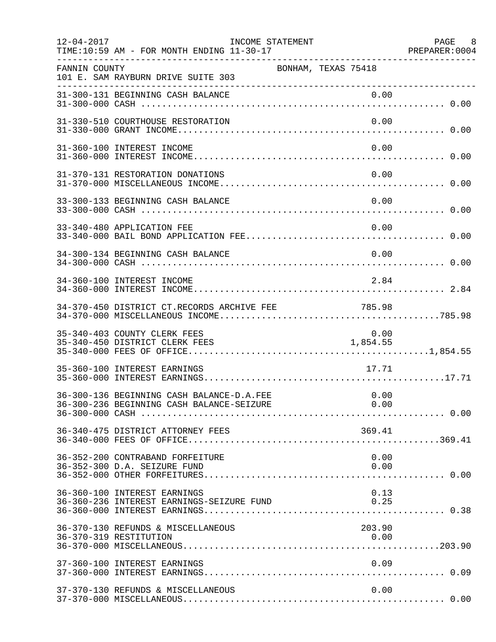| $12 - 04 - 2017$ | INCOME STATEMENT<br>TIME:10:59 AM - FOR MONTH ENDING 11-30-17             |                  | PAGE 8<br>PREPARER:0004 |
|------------------|---------------------------------------------------------------------------|------------------|-------------------------|
| FANNIN COUNTY    | BONHAM, TEXAS 75418<br>101 E. SAM RAYBURN DRIVE SUITE 303                 |                  |                         |
|                  | 31-300-131 BEGINNING CASH BALANCE                                         | 0.00             |                         |
|                  | 31-330-510 COURTHOUSE RESTORATION                                         | 0.00             |                         |
|                  | 31-360-100 INTEREST INCOME                                                | 0.00             |                         |
|                  | 31-370-131 RESTORATION DONATIONS                                          | 0.00             |                         |
|                  | 33-300-133 BEGINNING CASH BALANCE                                         | 0.00             |                         |
|                  | 33-340-480 APPLICATION FEE                                                | 0.00             |                         |
|                  | 34-300-134 BEGINNING CASH BALANCE                                         | 0.00             |                         |
|                  | 34-360-100 INTEREST INCOME                                                | 2.84             |                         |
|                  | 34-370-450 DISTRICT CT.RECORDS ARCHIVE FEE<br>785.98                      |                  |                         |
|                  | 35-340-403 COUNTY CLERK FEES<br>35-340-450 DISTRICT CLERK FEES            | 0.00<br>1,854.55 |                         |
|                  | 35-360-100 INTEREST EARNINGS                                              | 17.71            |                         |
|                  | 36-300-136 BEGINNING CASH BALANCE-D.A.FEE                                 | 0.00             |                         |
|                  | 36-340-475 DISTRICT ATTORNEY FEES                                         | 369.41           |                         |
|                  | 36-352-200 CONTRABAND FORFEITURE<br>36-352-300 D.A. SEIZURE FUND          | 0.00<br>0.00     |                         |
|                  | 36-360-100 INTEREST EARNINGS<br>36-360-236 INTEREST EARNINGS-SEIZURE FUND | 0.13<br>0.25     |                         |
|                  | 36-370-130 REFUNDS & MISCELLANEOUS<br>36-370-319 RESTITUTION              | 203.90<br>0.00   |                         |
|                  | 37-360-100 INTEREST EARNINGS                                              | 0.09             |                         |
|                  | 37-370-130 REFUNDS & MISCELLANEOUS                                        | 0.00             |                         |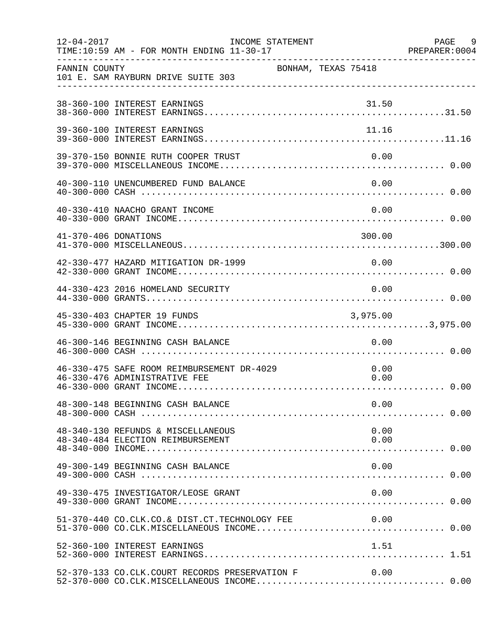| $12 - 04 - 2017$     | TIME:10:59 AM - FOR MONTH ENDING 11-30-17                                   | INCOME STATEMENT |                     |              | PAGE 9<br>PREPARER : 0004<br>PREPARER : 0004 |
|----------------------|-----------------------------------------------------------------------------|------------------|---------------------|--------------|----------------------------------------------|
| FANNIN COUNTY        | 101 E. SAM RAYBURN DRIVE SUITE 303                                          |                  | BONHAM, TEXAS 75418 |              |                                              |
|                      | 38-360-100 INTEREST EARNINGS                                                |                  |                     |              |                                              |
|                      | 39-360-100 INTEREST EARNINGS                                                |                  |                     | 11.16        |                                              |
|                      | 39-370-150 BONNIE RUTH COOPER TRUST                                         |                  |                     | 0.00         |                                              |
|                      | 40-300-110 UNENCUMBERED FUND BALANCE                                        |                  |                     | 0.00         |                                              |
|                      | 40-330-410 NAACHO GRANT INCOME                                              |                  |                     | 0.00         |                                              |
| 41-370-406 DONATIONS |                                                                             |                  |                     | 300.00       |                                              |
|                      | 42-330-477 HAZARD MITIGATION DR-1999                                        |                  |                     | 0.00         |                                              |
|                      | 44-330-423 2016 HOMELAND SECURITY                                           |                  |                     | 0.00         |                                              |
|                      | 45-330-403 CHAPTER 19 FUNDS                                                 |                  |                     | 3,975.00     |                                              |
|                      | 46-300-146 BEGINNING CASH BALANCE                                           |                  |                     | 0.00         |                                              |
|                      | 46-330-475 SAFE ROOM REIMBURSEMENT DR-4029<br>46-330-476 ADMINISTRATIVE FEE |                  |                     | 0.00<br>0.00 |                                              |
|                      | 48-300-148 BEGINNING CASH BALANCE                                           |                  |                     | 0.00         |                                              |
|                      | 48-340-130 REFUNDS & MISCELLANEOUS                                          |                  |                     | 0.00         |                                              |
|                      | 49-300-149 BEGINNING CASH BALANCE                                           |                  |                     | 0.00         |                                              |
|                      | 49-330-475 INVESTIGATOR/LEOSE GRANT                                         |                  |                     | 0.00         |                                              |
|                      | 51-370-440 CO.CLK.CO.& DIST.CT.TECHNOLOGY FEE                               |                  | 0.00                |              |                                              |
|                      | 52-360-100 INTEREST EARNINGS                                                |                  |                     | 1.51         |                                              |
|                      | 52-370-133 CO.CLK.COURT RECORDS PRESERVATION F                              |                  |                     | 0.00         |                                              |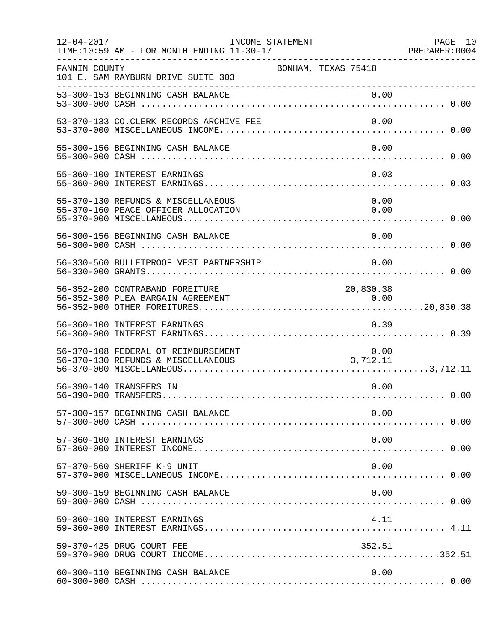| $12 - 04 - 2017$ | INCOME STATEMENT<br>TIME:10:59 AM - FOR MONTH ENDING 11-30-17             |                     | PAGE 10<br>PREPARER: 0004 |
|------------------|---------------------------------------------------------------------------|---------------------|---------------------------|
| FANNIN COUNTY    | 101 E. SAM RAYBURN DRIVE SUITE 303                                        | BONHAM, TEXAS 75418 |                           |
|                  | 53-300-153 BEGINNING CASH BALANCE                                         | 0.00                |                           |
|                  | 53-370-133 CO.CLERK RECORDS ARCHIVE FEE                                   | 0.00                |                           |
|                  | 55-300-156 BEGINNING CASH BALANCE                                         | 0.00                |                           |
|                  | 55-360-100 INTEREST EARNINGS                                              | 0.03                |                           |
|                  | 55-370-130 REFUNDS & MISCELLANEOUS<br>55-370-160 PEACE OFFICER ALLOCATION | 0.00<br>0.00        |                           |
|                  | 56-300-156 BEGINNING CASH BALANCE                                         | 0.00                |                           |
|                  | 56-330-560 BULLETPROOF VEST PARTNERSHIP                                   | 0.00                |                           |
|                  | 56-352-200 CONTRABAND FOREITURE<br>56-352-300 PLEA BARGAIN AGREEMENT      | 20,830.38           |                           |
|                  | 56-360-100 INTEREST EARNINGS                                              | 0.39                |                           |
|                  | 56-370-108 FEDERAL OT REIMBURSEMENT<br>56-370-130 REFUNDS & MISCELLANEOUS | 0.00<br>3,712.11    |                           |
|                  | 56-390-140 TRANSFERS IN                                                   | 0.00                |                           |
|                  | 57-300-157 BEGINNING CASH BALANCE                                         | 0.00                |                           |
|                  | 57-360-100 INTEREST EARNINGS                                              | 0.00                |                           |
|                  | 57-370-560 SHERIFF K-9 UNIT                                               | 0.00                |                           |
|                  | 59-300-159 BEGINNING CASH BALANCE                                         | 0.00                |                           |
|                  | 59-360-100 INTEREST EARNINGS                                              | 4.11                |                           |
|                  | 59-370-425 DRUG COURT FEE                                                 | 352.51              |                           |
|                  | 60-300-110 BEGINNING CASH BALANCE                                         | 0.00                |                           |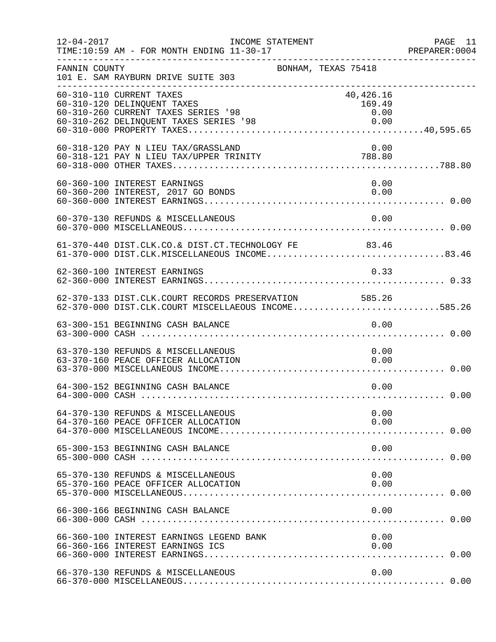| $12 - 04 - 2017$ | INCOME STATEMENT<br>TIME:10:59 AM - FOR MONTH ENDING 11-30-17                                                                            |                                     | PAGE 11<br>PREPARER:0004 |
|------------------|------------------------------------------------------------------------------------------------------------------------------------------|-------------------------------------|--------------------------|
| FANNIN COUNTY    | BONHAM, TEXAS 75418<br>101 E. SAM RAYBURN DRIVE SUITE 303                                                                                |                                     |                          |
|                  | 60-310-110 CURRENT TAXES<br>60-310-120 DELINQUENT TAXES<br>60-310-260 CURRENT TAXES SERIES '98<br>60-310-262 DELINQUENT TAXES SERIES '98 | 40,426.16<br>169.49<br>0.00<br>0.00 |                          |
|                  | 60-318-120 PAY N LIEU TAX/GRASSLAND<br>60-318-121 PAY N LIEU TAX/UPPER TRINITY 788.80                                                    | 0.00                                |                          |
|                  | 60-360-100 INTEREST EARNINGS<br>60-360-200 INTEREST, 2017 GO BONDS                                                                       | 0.00<br>0.00                        |                          |
|                  | 60-370-130 REFUNDS & MISCELLANEOUS                                                                                                       | 0.00                                |                          |
|                  | 61-370-440 DIST.CLK.CO.& DIST.CT.TECHNOLOGY FE 83.46<br>61-370-000 DIST.CLK.MISCELLANEOUS INCOME83.46                                    |                                     |                          |
|                  | 62-360-100 INTEREST EARNINGS                                                                                                             | 0.33                                |                          |
|                  | 62-370-133 DIST.CLK.COURT RECORDS PRESERVATION 585.26<br>62-370-000 DIST.CLK.COURT MISCELLAEOUS INCOME585.26                             |                                     |                          |
|                  | 63-300-151 BEGINNING CASH BALANCE                                                                                                        | 0.00                                |                          |
|                  | 63-370-130 REFUNDS & MISCELLANEOUS<br>63-370-160 PEACE OFFICER ALLOCATION                                                                | 0.00<br>0.00                        |                          |
|                  | 64-300-152 BEGINNING CASH BALANCE                                                                                                        | 0.00                                |                          |
|                  | 64-370-130 REFUNDS & MISCELLANEOUS<br>64-370-160 PEACE OFFICER ALLOCATION                                                                | 0.00<br>0.00                        |                          |
|                  | 65-300-153 BEGINNING CASH BALANCE                                                                                                        | 0.00                                |                          |
|                  | 65-370-130 REFUNDS & MISCELLANEOUS                                                                                                       | 0.00                                |                          |
|                  | 66-300-166 BEGINNING CASH BALANCE                                                                                                        | 0.00                                |                          |
|                  | 66-360-100 INTEREST EARNINGS LEGEND BANK<br>66-360-166 INTEREST EARNINGS ICS                                                             | 0.00<br>0.00                        |                          |
|                  | 66-370-130 REFUNDS & MISCELLANEOUS                                                                                                       | 0.00                                |                          |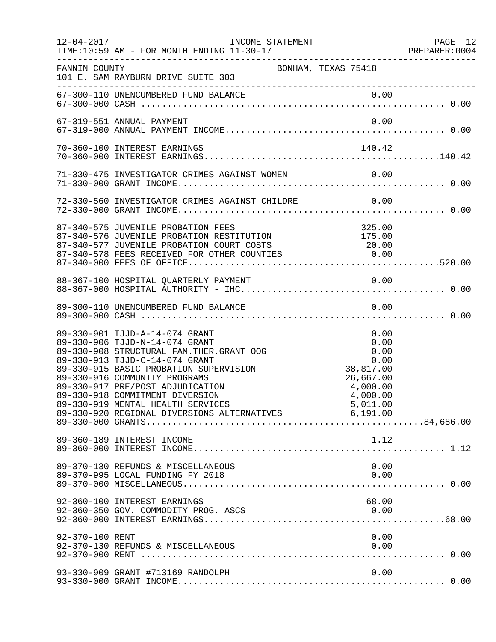| $12 - 04 - 2017$ | INCOME STATEMENT                                                                                                                                                                                                                                                                                                                                                                                                                              |                                                                                | PAGE 12<br>PREPARER: 0004 |
|------------------|-----------------------------------------------------------------------------------------------------------------------------------------------------------------------------------------------------------------------------------------------------------------------------------------------------------------------------------------------------------------------------------------------------------------------------------------------|--------------------------------------------------------------------------------|---------------------------|
| FANNIN COUNTY    | BONHAM, TEXAS 75418<br>101 E. SAM RAYBURN DRIVE SUITE 303                                                                                                                                                                                                                                                                                                                                                                                     |                                                                                |                           |
|                  |                                                                                                                                                                                                                                                                                                                                                                                                                                               |                                                                                |                           |
|                  | 67-319-551 ANNUAL PAYMENT                                                                                                                                                                                                                                                                                                                                                                                                                     | 0.00                                                                           |                           |
|                  | 70-360-100 INTEREST EARNINGS                                                                                                                                                                                                                                                                                                                                                                                                                  | 140.42                                                                         |                           |
|                  | 71-330-475 INVESTIGATOR CRIMES AGAINST WOMEN 0.00                                                                                                                                                                                                                                                                                                                                                                                             |                                                                                |                           |
|                  | 72-330-560 INVESTIGATOR CRIMES AGAINST CHILDRE 0.00                                                                                                                                                                                                                                                                                                                                                                                           |                                                                                |                           |
|                  | 87-340-575 JUVENILE PROBATION FEES                                                                                                                                                                                                                                                                                                                                                                                                            | 325.00                                                                         |                           |
|                  |                                                                                                                                                                                                                                                                                                                                                                                                                                               |                                                                                |                           |
|                  |                                                                                                                                                                                                                                                                                                                                                                                                                                               |                                                                                |                           |
|                  | 89-330-901 TJJD-A-14-074 GRANT<br>89-330-906 TJJD-N-14-074 GRANT<br>89-330-908 STRUCTURAL FAM. THER. GRANT OOG<br>89-330-913 TJJD-C-14-074 GRANT<br>89-330-915 BASIC PROBATION SUPERVISION<br>89-330-916 COMMUNITY PROGRAMS<br>89-330-917 PRE/POST ADJUDICATION<br>89-330-918 COMMITMENT DIVERSION<br>89-330-919 MENTAL HEALTH SERVICES<br>89-330-919 MENTAL HEALTH SERVICES 6,011.00<br>89-330-920 REGIONAL DIVERSIONS ALTERNATIVES 6,191.00 | 0.00<br>0.00<br>0.00<br>0.00<br>38,817.00<br>26,667.00<br>4,000.00<br>4,000.00 |                           |
|                  | 89-360-189 INTEREST INCOME                                                                                                                                                                                                                                                                                                                                                                                                                    | 1.12                                                                           |                           |
|                  | 89-370-130 REFUNDS & MISCELLANEOUS<br>89-370-995 LOCAL FUNDING FY 2018                                                                                                                                                                                                                                                                                                                                                                        | 0.00<br>0.00                                                                   |                           |
|                  | 92-360-100 INTEREST EARNINGS<br>92-360-350 GOV. COMMODITY PROG. ASCS                                                                                                                                                                                                                                                                                                                                                                          | 68.00<br>0.00                                                                  |                           |
| 92-370-100 RENT  |                                                                                                                                                                                                                                                                                                                                                                                                                                               | 0.00                                                                           |                           |
|                  | 93-330-909 GRANT #713169 RANDOLPH                                                                                                                                                                                                                                                                                                                                                                                                             | 0.00                                                                           |                           |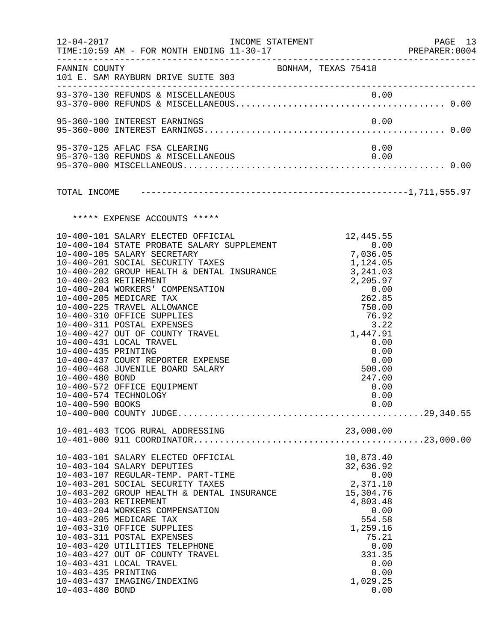|                                                            | 12-04-2017 INCOME STATEMENT                                                                                                                                                                                                                                                                                                                                                                                                                                                                                                                                                                                                                               |                                                                                                                                                                  | PREPARER: 0004 |
|------------------------------------------------------------|-----------------------------------------------------------------------------------------------------------------------------------------------------------------------------------------------------------------------------------------------------------------------------------------------------------------------------------------------------------------------------------------------------------------------------------------------------------------------------------------------------------------------------------------------------------------------------------------------------------------------------------------------------------|------------------------------------------------------------------------------------------------------------------------------------------------------------------|----------------|
|                                                            | FANNIN COUNTY<br>101 E. SAM RAYBURN DRIVE SUITE 303                                                                                                                                                                                                                                                                                                                                                                                                                                                                                                                                                                                                       | BONHAM, TEXAS 75418                                                                                                                                              |                |
|                                                            | 93-370-130 REFUNDS & MISCELLANEOUS                                                                                                                                                                                                                                                                                                                                                                                                                                                                                                                                                                                                                        |                                                                                                                                                                  |                |
|                                                            | 95-360-100 INTEREST EARNINGS                                                                                                                                                                                                                                                                                                                                                                                                                                                                                                                                                                                                                              | 0.00                                                                                                                                                             |                |
|                                                            | 95-370-125 AFLAC FSA CLEARING                                                                                                                                                                                                                                                                                                                                                                                                                                                                                                                                                                                                                             | 0.00                                                                                                                                                             |                |
|                                                            |                                                                                                                                                                                                                                                                                                                                                                                                                                                                                                                                                                                                                                                           |                                                                                                                                                                  |                |
|                                                            | ***** EXPENSE ACCOUNTS *****                                                                                                                                                                                                                                                                                                                                                                                                                                                                                                                                                                                                                              |                                                                                                                                                                  |                |
| 10-400-435 PRINTING<br>10-400-480 BOND<br>10-400-590 BOOKS | 10-400-101 SALARY ELECTED OFFICIAL 10-400-101 SALARY ELECTED OFFICIAL 10-400-104 STATE PROBATE SALARY SUPPLEMENT 10-400-105 SALARY SECRETARY<br>10-400-105 SALARY SECRETARY<br>10-400-201 SOCIAL SECURITY TAXES $10-400-202$ GROUP HEALTH & DENTAL INSURANCE $3,241.03$<br>10-400-203 RETIREMENT<br>10-400-204 WORKERS' COMPENSATION<br>10-400-205 MEDICARE TAX<br>10-400-225 TRAVEL ALLOWANCE<br>10-400-310 OFFICE SUPPLIES<br>10-400-311 POSTAL EXPENSES<br>10-400-427 OUT OF COUNTY TRAVEL<br>10-400-431 LOCAL TRAVEL<br>10-400-437 COURT REPORTER EXPENSE<br>10-400-468 JUVENILE BOARD SALARY<br>10-400-572 OFFICE EQUIPMENT<br>10-400-574 TECHNOLOGY | 7,036.05<br>2,205.97<br>0.00<br>262.85<br>750.00<br>76.92<br>3.22<br>1,447.91<br>0.00<br>0.00<br>0.00<br>500.00<br>247.00<br>0.00<br>0.00<br>0.00                |                |
|                                                            |                                                                                                                                                                                                                                                                                                                                                                                                                                                                                                                                                                                                                                                           |                                                                                                                                                                  |                |
| 10-403-435 PRINTING<br>10-403-480 BOND                     | 10-403-101 SALARY ELECTED OFFICIAL<br>10-403-104 SALARY DEPUTIES<br>10-403-107 REGULAR-TEMP. PART-TIME<br>10-403-201 SOCIAL SECURITY TAXES<br>10-403-202 GROUP HEALTH & DENTAL INSURANCE<br>10-403-203 RETIREMENT<br>10-403-204 WORKERS COMPENSATION<br>10-403-205 MEDICARE TAX<br>10-403-310 OFFICE SUPPLIES<br>10-403-311 POSTAL EXPENSES<br>10-403-420 UTILITIES TELEPHONE<br>10-403-427 OUT OF COUNTY TRAVEL<br>10-403-431 LOCAL TRAVEL<br>10-403-437 IMAGING/INDEXING                                                                                                                                                                                | 10,873.40<br>32,636.92<br>0.00<br>2,371.10<br>15,304.76<br>4,803.48<br>0.00<br>554.58<br>1,259.16<br>75.21<br>0.00<br>331.35<br>0.00<br>0.00<br>1,029.25<br>0.00 |                |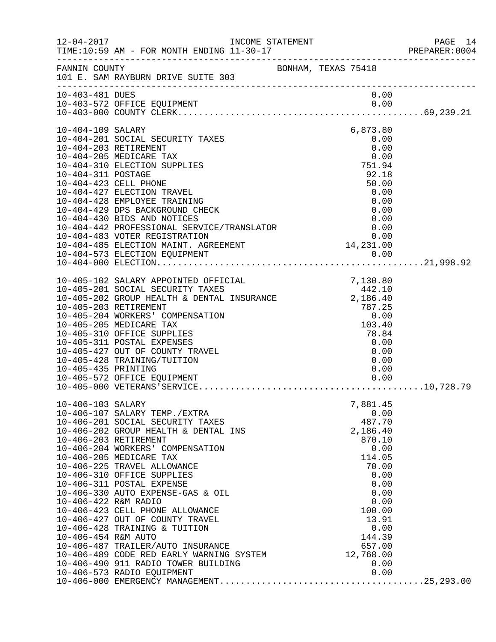| $12 - 04 - 2017$     | TIME:10:59 AM - FOR MONTH ENDING 11-30-17                                                                                | INCOME STATEMENT |                | PAGE 14<br>PREPARER: 0004 |
|----------------------|--------------------------------------------------------------------------------------------------------------------------|------------------|----------------|---------------------------|
| FANNIN COUNTY        | ______________________________________<br>BONHAM, TEXAS 75418<br>101 E. SAM RAYBURN DRIVE SUITE 303                      |                  |                |                           |
| 10-403-481 DUES      |                                                                                                                          |                  | 0.00           |                           |
|                      | 10-403-572 OFFICE EQUIPMENT                                                                                              |                  | 0.00           |                           |
|                      |                                                                                                                          |                  |                |                           |
| 10-404-109 SALARY    |                                                                                                                          |                  | 6,873.80       |                           |
|                      | 10-404-201 SOCIAL SECURITY TAXES<br>10-404-203 RETIREMENT                                                                |                  | 0.00<br>0.00   |                           |
|                      | 10-404-205 MEDICARE TAX                                                                                                  |                  | 0.00           |                           |
|                      | 10-404-310 ELECTION SUPPLIES                                                                                             |                  | 751.94         |                           |
| 10-404-311 POSTAGE   |                                                                                                                          |                  | 92.18          |                           |
|                      | 10-404-423 CELL PHONE                                                                                                    |                  | 50.00          |                           |
|                      | 10-404-427 ELECTION TRAVEL<br>10-404-428 EMPLOYEE TRAINING                                                               |                  | 0.00<br>0.00   |                           |
|                      | 10-404-429 DPS BACKGROUND CHECK                                                                                          |                  | 0.00           |                           |
|                      | 10-404-430 BIDS AND NOTICES                                                                                              |                  | 0.00           |                           |
|                      | 10-404-430 BIDS AND NOTICES<br>10-404-442 PROFESSIONAL SERVICE/TRANSLATOR                                                |                  | 0.00           |                           |
|                      | 10-404-483 VOTER REGISTRATION                                                                                            |                  | 0.00           |                           |
|                      |                                                                                                                          |                  |                |                           |
|                      | 10-404-485 ELECTION MAINT. AGREEMENT<br>10-404-573 ELECTION MAINT. AGREEMENT 0.00<br>10-404-573 ELECTION EQUIPMENT 0.00  |                  |                |                           |
|                      |                                                                                                                          |                  |                |                           |
|                      | 10-405-102 SALARY APPOINTED OFFICIAL                                                                                     |                  | 7,130.80       |                           |
|                      | $10-405-201$ SOCIAL SECURITY TAXES<br>$10-405-202$ GROUP HEALTH & DENTAL INSURANCE $2,186.40$<br>$10-405-203$ PETIPEMENT |                  |                |                           |
|                      | 10-405-203 RETIREMENT                                                                                                    |                  | 787.25         |                           |
|                      | 10-405-204 WORKERS' COMPENSATION                                                                                         |                  | 0.00           |                           |
|                      | 10-405-205 MEDICARE TAX                                                                                                  |                  | 103.40         |                           |
|                      | 10-405-310 OFFICE SUPPLIES                                                                                               |                  | 78.84          |                           |
|                      | 10-405-311 POSTAL EXPENSES<br>10-405-427 OUT OF COUNTY TRAVEL                                                            |                  | 0.00<br>0.00   |                           |
|                      | 10-405-428 TRAINING/TUITION                                                                                              |                  | 0.00           |                           |
| 10-405-435 PRINTING  |                                                                                                                          |                  | 0.00           |                           |
|                      | 10-405-572 OFFICE EQUIPMENT                                                                                              |                  | 0.00           |                           |
|                      |                                                                                                                          |                  |                |                           |
| 10-406-103 SALARY    |                                                                                                                          |                  | 7,881.45       |                           |
|                      | 10-406-107 SALARY TEMP./EXTRA                                                                                            |                  | 0.00           |                           |
|                      | 10-406-201 SOCIAL SECURITY TAXES                                                                                         |                  | 487.70         |                           |
|                      | 10-406-202 GROUP HEALTH & DENTAL INS                                                                                     |                  | 2,186.40       |                           |
|                      | 10-406-203 RETIREMENT<br>10-406-204 WORKERS' COMPENSATION                                                                |                  | 870.10<br>0.00 |                           |
|                      | 10-406-205 MEDICARE TAX                                                                                                  |                  | 114.05         |                           |
|                      | 10-406-225 TRAVEL ALLOWANCE                                                                                              |                  | 70.00          |                           |
|                      | 10-406-310 OFFICE SUPPLIES                                                                                               |                  | 0.00           |                           |
|                      | 10-406-311 POSTAL EXPENSE                                                                                                |                  | 0.00           |                           |
| 10-406-422 R&M RADIO | 10-406-330 AUTO EXPENSE-GAS & OIL                                                                                        |                  | 0.00<br>0.00   |                           |
|                      | 10-406-423 CELL PHONE ALLOWANCE                                                                                          |                  | 100.00         |                           |
|                      | 10-406-427 OUT OF COUNTY TRAVEL                                                                                          |                  | 13.91          |                           |
|                      | 10-406-428 TRAINING & TUITION                                                                                            |                  | 0.00           |                           |
| 10-406-454 R&M AUTO  |                                                                                                                          |                  | 144.39         |                           |
|                      | 10-406-487 TRAILER/AUTO INSURANCE<br>10-406-489 CODE RED EARLY WARNING SYSTEM                                            |                  | 657.00         |                           |
|                      |                                                                                                                          |                  | 12,768.00      |                           |
|                      |                                                                                                                          |                  |                |                           |
|                      |                                                                                                                          |                  |                |                           |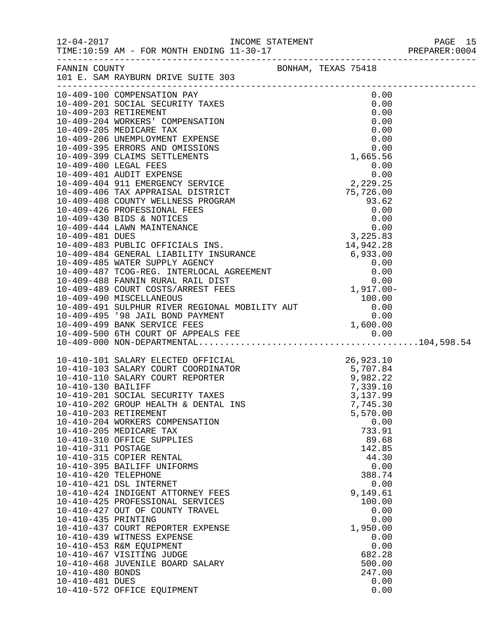|                                                                                                          | FANNIN COUNTY<br>101 E. SAM RAYBURN DRIVE SUITE 303                                                                                                                                                                                                                                                                                                                                                                                                                                                                                                                                                                                                                                                                                                                                                    |  |                                                                                                                                                                                                              |  |
|----------------------------------------------------------------------------------------------------------|--------------------------------------------------------------------------------------------------------------------------------------------------------------------------------------------------------------------------------------------------------------------------------------------------------------------------------------------------------------------------------------------------------------------------------------------------------------------------------------------------------------------------------------------------------------------------------------------------------------------------------------------------------------------------------------------------------------------------------------------------------------------------------------------------------|--|--------------------------------------------------------------------------------------------------------------------------------------------------------------------------------------------------------------|--|
|                                                                                                          |                                                                                                                                                                                                                                                                                                                                                                                                                                                                                                                                                                                                                                                                                                                                                                                                        |  |                                                                                                                                                                                                              |  |
| 10-410-311 POSTAGE<br>10-410-420 TELEPHONE<br>10-410-435 PRINTING<br>10-410-480 BONDS<br>10-410-481 DUES | 10-410-101 SALARY ELECTED OFFICIAL 26,923.10<br>10-410-103 SALARY COURT COORDINATOR 5,707.84<br>10-410-110 SALARY COURT REPORTER 9,982.22<br>10-410-201 SOCIAL SECURITY TAXES 3,137.99<br>10-410-201 SOCIAL SECURITY TAXES 3,137.99<br>1<br>10-410-202 GROUP HEALTH & DENTAL INS<br>10-410-203 RETIREMENT<br>10-410-204 WORKERS COMPENSATION<br>10-410-205 MEDICARE TAX<br>10-410-310 OFFICE SUPPLIES<br>10-410-315 COPIER RENTAL<br>10-410-395 BAILIFF UNIFORMS<br>10-410-421 DSL INTERNET<br>10-410-424 INDIGENT ATTORNEY FEES<br>10-410-425 PROFESSIONAL SERVICES<br>10-410-427 OUT OF COUNTY TRAVEL<br>10-410-437 COURT REPORTER EXPENSE<br>10-410-439 WITNESS EXPENSE<br>10-410-453 R&M EQUIPMENT<br>10-410-467 VISITING JUDGE<br>10-410-468 JUVENILE BOARD SALARY<br>10-410-572 OFFICE EQUIPMENT |  | 7,745.30<br>5,570.00<br>0.00<br>733.91<br>89.68<br>142.85<br>44.30<br>0.00<br>388.74<br>0.00<br>9,149.61<br>100.00<br>0.00<br>0.00<br>1,950.00<br>0.00<br>0.00<br>682.28<br>500.00<br>247.00<br>0.00<br>0.00 |  |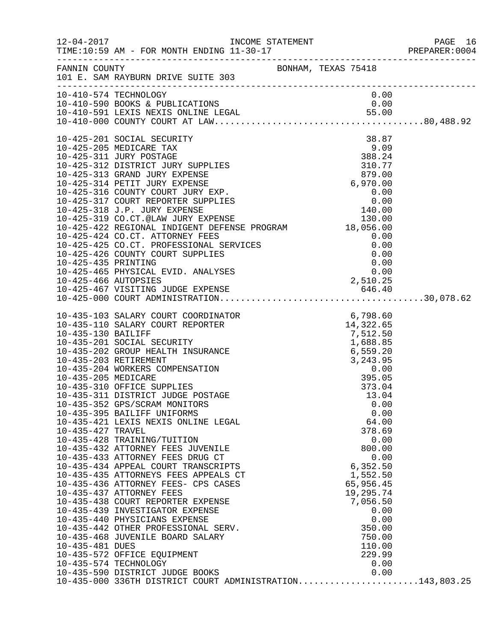|                                                               |                                                                                                                                                                                                                                                                                                                                                                                                                                                                                                                                                                                                                                                                                                                                        |                                                                                                                                                                                                                                                                                                                                   | PAGE 16<br>PREPARER:0004 |
|---------------------------------------------------------------|----------------------------------------------------------------------------------------------------------------------------------------------------------------------------------------------------------------------------------------------------------------------------------------------------------------------------------------------------------------------------------------------------------------------------------------------------------------------------------------------------------------------------------------------------------------------------------------------------------------------------------------------------------------------------------------------------------------------------------------|-----------------------------------------------------------------------------------------------------------------------------------------------------------------------------------------------------------------------------------------------------------------------------------------------------------------------------------|--------------------------|
|                                                               | FANNIN COUNTY BONHAM, TEXAS 75418<br>101 E. SAM RAYBURN DRIVE SUITE 303                                                                                                                                                                                                                                                                                                                                                                                                                                                                                                                                                                                                                                                                |                                                                                                                                                                                                                                                                                                                                   |                          |
|                                                               | 10-410-574 TECHNOLOGY                                                                                                                                                                                                                                                                                                                                                                                                                                                                                                                                                                                                                                                                                                                  | 0.00                                                                                                                                                                                                                                                                                                                              |                          |
| 10-425-435 PRINTING                                           | 10-425-201 SOCIAL SECURITY<br>10-425-205 MEDICARE TAX<br>10-425-311 JURY POSTAGE<br>10-425-312 DISTRICT JURY SUPPLIES<br>10-425-313 GRAND JURY EXPENSE<br>10-425-314 PETIT JURY EXPENSE<br>10-425-316 COUNTY COURT JURY EXP.<br>10-425-317 COURT REPORTER SUPPLIES<br>10-425-318 J.P. JURY EXPENSE<br>10-425-510 0.F. 00A1 DRY EXPENSE<br>10-425-319 CO.CT.@LAW JURY EXPENSE<br>10-425-422 REGIONAL INDIGENT DEFENSE PROGRAM 18,056.00<br>$10-425-424$ CO.CT. ATTORNEY FEES $0.00$<br>$10-425-425$ CO.CT. PROFESSIONAL SERVICES $0.00$<br>$10-425-426$ COUNTY COURT SUPPLIES $0.00$<br>$0.00$<br>$0.00$<br>10-425-465 PHYSICAL EVID. ANALYSES                                                                                          | $\begin{array}{r} \text{30.5} \\ \text{50.6} \\ \text{9.09} \\ \text{388.24} \\ \text{310.77} \\ \text{879.00} \\ \text{6,970.00} \\ \text{0.00} \\ \text{0.00} \\ \text{140.00} \\ \text{130.00} \\ \text{18,056.00} \\ \text{0.00} \\ \text{0.00} \\ \text{18,056.00} \\ \text{0.00} \end{array}$<br>$0.00$<br>0.00<br>2,510.25 |                          |
|                                                               |                                                                                                                                                                                                                                                                                                                                                                                                                                                                                                                                                                                                                                                                                                                                        |                                                                                                                                                                                                                                                                                                                                   |                          |
| 10-435-427 TRAVEL<br>10-435-481 DUES<br>10-435-574 TECHNOLOGY | 10-435-352 GPS/SCRAM MONITORS<br>10-435-395 BAILIFF UNIFORMS<br>10-435-421 LEXIS NEXIS ONLINE LEGAL<br>10-435-428 TRAINING/TUITION<br>10-435-432 ATTORNEY FEES JUVENILE<br>10-435-433 ATTORNEY FEES DRUG CT<br>10-435-434 APPEAL COURT TRANSCRIPTS<br>10-435-435 ATTORNEYS FEES APPEALS CT<br>10-435-436 ATTORNEY FEES- CPS CASES<br>10-435-437 ATTORNEY FEES<br>10-435-438 COURT REPORTER EXPENSE<br>10-435-439 INVESTIGATOR EXPENSE<br>10-435-440 PHYSICIANS EXPENSE<br>10-435-442 OTHER PROFESSIONAL SERV.<br>10-435-468 JUVENILE BOARD SALARY<br>10-435-572 OFFICE EQUIPMENT<br>10-435-590 DISTRICT JUDGE BOOKS<br>10-435-590 DISTRICT JUDGE BOOKS                0.00<br>10-435-000 336TH DISTRICT COURT ADMINISTRATION143,803.25 | 0.00<br>0.00<br>64.00<br>378.69<br>0.00<br>800.00<br>0.00<br>6,352.50<br>1,552.50<br>65,956.45<br>19,295.74<br>7,056.50<br>0.00<br>0.00<br>350.00<br>750.00<br>110.00<br>229.99<br>0.00<br>0.00                                                                                                                                   |                          |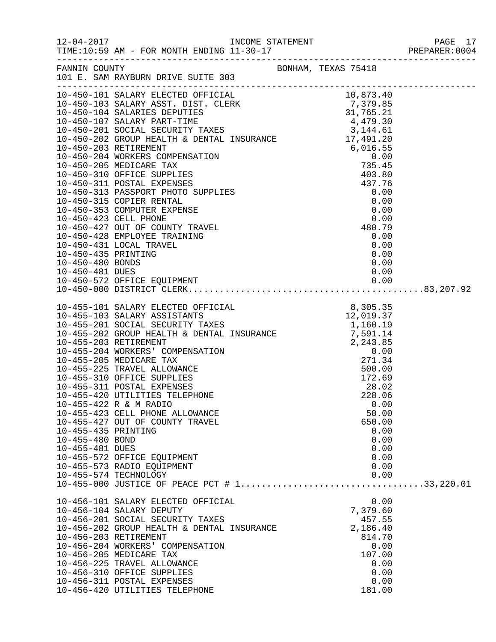|                                                           |                                                                                                                                                                                                                                                                                                                                                                       |  |                                                                                                      | PAGE 1/<br>PREPARER:0004 |
|-----------------------------------------------------------|-----------------------------------------------------------------------------------------------------------------------------------------------------------------------------------------------------------------------------------------------------------------------------------------------------------------------------------------------------------------------|--|------------------------------------------------------------------------------------------------------|--------------------------|
|                                                           | FANNIN COUNTY <b>EXAS</b> 75418<br>101 E. SAM RAYBURN DRIVE SUITE 303                                                                                                                                                                                                                                                                                                 |  |                                                                                                      |                          |
|                                                           | $\begin{tabular}{l c c c} \hline 10 & 1.5\ \hline 204 & 64410VW and 1641 & 99 \\ 10-450-101 & 35 \text{LARY EICTED OFFICIAL} & 10,833-40 \\ 10-450-103 & 35 \text{LARY RIST. CLERK} & 7,379.85 \\ 10-450-104 & 55 \text{LARY RIST. CLERK} & 31,765.21 \\ 10-450-107 & 53 \text{LARY PART-TIME} & 4,449.50 \\ 10-450-201 & 5$                                          |  |                                                                                                      |                          |
| 10-450-481 DUES                                           |                                                                                                                                                                                                                                                                                                                                                                       |  |                                                                                                      |                          |
| 10-455-435 PRINTING<br>10-455-480 BOND<br>10-455-481 DUES | 10-455-422 R & M RADIO<br>10-455-423 CELL PHONE ALLOWANCE<br>10-455-427 OUT OF COUNTY TRAVEL<br>10-455-572 OFFICE EQUIPMENT<br>10-455-573 RADIO EQUIPMENT<br>10-455-574 TECHNOLOGY                                                                                                                                                                                    |  | 0.00<br>50.00<br>650.00<br>0.00<br>0.00<br>0.00<br>0.00<br>0.00<br>0.00                              |                          |
|                                                           | 10-456-101 SALARY ELECTED OFFICIAL<br>10-456-104 SALARY DEPUTY<br>10-456-201 SOCIAL SECURITY TAXES<br>10-456-202 GROUP HEALTH & DENTAL INSURANCE<br>10-456-203 RETIREMENT<br>10-456-204 WORKERS' COMPENSATION<br>10-456-205 MEDICARE TAX<br>10-456-225 TRAVEL ALLOWANCE<br>10-456-310 OFFICE SUPPLIES<br>10-456-311 POSTAL EXPENSES<br>10-456-420 UTILITIES TELEPHONE |  | 0.00<br>7,379.60<br>457.55<br>2,186.40<br>814.70<br>0.00<br>107.00<br>0.00<br>0.00<br>0.00<br>181.00 |                          |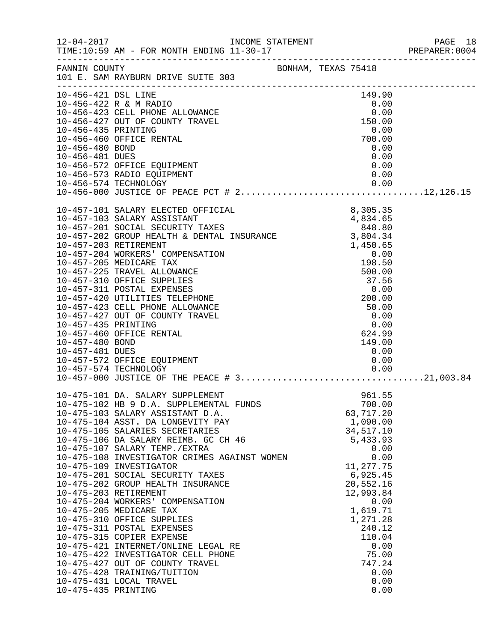|                                                           |                                                                                                                                                                                                                                                                                                                                                                                                                                                                                                                                                                                                                                                                                                                                                                                 |                             |                                                                                                                                                                                                                                              | PREPARER: 0004 |
|-----------------------------------------------------------|---------------------------------------------------------------------------------------------------------------------------------------------------------------------------------------------------------------------------------------------------------------------------------------------------------------------------------------------------------------------------------------------------------------------------------------------------------------------------------------------------------------------------------------------------------------------------------------------------------------------------------------------------------------------------------------------------------------------------------------------------------------------------------|-----------------------------|----------------------------------------------------------------------------------------------------------------------------------------------------------------------------------------------------------------------------------------------|----------------|
|                                                           | FANNIN COUNTY BONHAM, TEXAS 75418<br>101 E. SAM RAYBURN DRIVE SUITE 303                                                                                                                                                                                                                                                                                                                                                                                                                                                                                                                                                                                                                                                                                                         |                             |                                                                                                                                                                                                                                              |                |
| 10-456-480 BOND<br>10-456-481 DUES                        | 10-456-572 OFFICE EQUIPMENT<br>10-456-573 RADIO EQUIPMENT                                                                                                                                                                                                                                                                                                                                                                                                                                                                                                                                                                                                                                                                                                                       |                             | 0.00<br>0.00<br>0.00<br>0.00                                                                                                                                                                                                                 |                |
| 10-457-435 PRINTING<br>10-457-480 BOND<br>10-457-481 DUES | 10-457-423 CELL PHONE ALLOWANCE<br>10-457-427 OUT OF COUNTY TRAVEL<br>10-457-460 OFFICE RENTAL<br>10-457-572 OFFICE EQUIPMENT                                                                                                                                                                                                                                                                                                                                                                                                                                                                                                                                                                                                                                                   | $50.00$<br>$0.00$<br>$0.00$ | 0.00<br>624.99<br>149.00<br>0.00<br>0.00                                                                                                                                                                                                     |                |
| 10-475-435 PRINTING                                       | 10-475-101 DA. SALARY SUPPLEMENT<br>10-475-102 HB 9 D.A. SUPPLEMENTAL FUNDS<br>10-475-103 SALARY ASSISTANT D.A.<br>10-475-104 ASST. DA LONGEVITY PAY<br>10-475-105 SALARIES SECRETARIES<br>10-475-106 DA SALARY REIMB. GC CH 46<br>10-475-107 SALARY TEMP./EXTRA<br>10-475-108 INVESTIGATOR CRIMES AGAINST WOMEN<br>10-475-109 INVESTIGATOR<br>10-475-201 SOCIAL SECURITY TAXES<br>10-475-202 GROUP HEALTH INSURANCE<br>10-475-203 RETIREMENT<br>10-475-204 WORKERS' COMPENSATION<br>10-475-205 MEDICARE TAX<br>10-475-310 OFFICE SUPPLIES<br>10-475-311 POSTAL EXPENSES<br>10-475-315 COPIER EXPENSE<br>10-475-421 INTERNET/ONLINE LEGAL RE<br>10-475-422 INVESTIGATOR CELL PHONE<br>10-475-427 OUT OF COUNTY TRAVEL<br>10-475-428 TRAINING/TUITION<br>10-475-431 LOCAL TRAVEL |                             | 961.55<br>700.00<br>63,717.20<br>1,090.00<br>34,517.10<br>5,433.93<br>0.00<br>0.00<br>11,277.75<br>6,925.45<br>20,552.16<br>12,993.84<br>0.00<br>1,619.71<br>1,271.28<br>240.12<br>110.04<br>0.00<br>75.00<br>747.24<br>0.00<br>0.00<br>0.00 |                |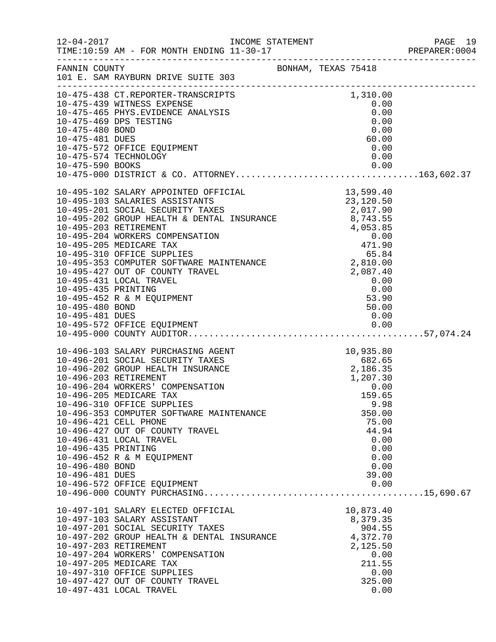|                                                           |                                                                                                                                                                                                                                                                                                                                                                                                                                                            |                                                                                                                                                             | PREPARER: 0004 |
|-----------------------------------------------------------|------------------------------------------------------------------------------------------------------------------------------------------------------------------------------------------------------------------------------------------------------------------------------------------------------------------------------------------------------------------------------------------------------------------------------------------------------------|-------------------------------------------------------------------------------------------------------------------------------------------------------------|----------------|
|                                                           |                                                                                                                                                                                                                                                                                                                                                                                                                                                            | BONHAM, TEXAS 75418                                                                                                                                         |                |
| 10-475-590 BOOKS                                          |                                                                                                                                                                                                                                                                                                                                                                                                                                                            | 1,310.00<br>0.00<br>0.00<br>0.00<br>0.00<br>60.00<br>0.00<br>0.00<br>0.00                                                                                   |                |
| 10-495-435 PRINTING<br>10-495-480 BOND<br>10-495-481 DUES | $\begin{tabular}{lllllllllllllllllllllllllllllllllll} \textbf{10-495-102} & \textbf{SALARY APOINTED OFFICIAL} & & & & & & & 13\,,599\cdot40 \\ \textbf{10-495-103} & \textbf{SALARIES ASSISTANTS} & & & & & 23\,,120\cdot50 & \\ \textbf{10-495-201} & \textbf{SOCIAL SECURITY TAXES} & & & 2,017\,,90 & \\ \textbf{10-495-202} & \textbf{GROUP HEALTH & & \textbf{DENTAL INSURANCE} & & 8\,,743$<br>10-495-431 LOCAL TRAVEL<br>10-495-452 R & M EQUIPMENT | 0.00<br>$\begin{array}{c} 0.00 \\ 0.00 \\ 53.90 \\ 50.00 \\ \hline \end{array}$<br>50.00<br>0.00                                                            |                |
| 10-496-435 PRINTING<br>10-496-480 BOND<br>10-496-481 DUES | 10-496-103 SALARY PURCHASING AGENT<br>10-496-201 SOCIAL SECURITY TAXES<br>10-496-202 GROUP HEALTH INSURANCE<br>10-496-203 RETIREMENT<br>10-496-204 WORKERS' COMPENSATION<br>10-496-205 MEDICARE TAX<br>10-496-310 OFFICE SUPPLIES<br>10-496-353 COMPUTER SOFTWARE MAINTENANCE<br>10-496-421 CELL PHONE<br>10-496-427 OUT OF COUNTY TRAVEL<br>10-496-431 LOCAL TRAVEL<br>10-496-452 R & M EQUIPMENT<br>10-496-572 OFFICE EQUIPMENT                          | FIT<br>10,935.80<br>682.65<br>2,186.35<br>1,207.30<br>0.00<br>159.65<br>159.65<br>350.00<br>75.00<br>44.94<br>0.00<br>0.00<br>0.00<br>0.00<br>39.00<br>0.00 | 9.98           |
|                                                           | 10-497-101 SALARY ELECTED OFFICIAL<br>10-497-103 SALARY ASSISTANT<br>10-497-201 SOCIAL SECURITY TAXES<br>10-497-202 GROUP HEALTH & DENTAL INSURANCE<br>10-497-203 RETIREMENT<br>10-497-204 WORKERS' COMPENSATION<br>10-497-205 MEDICARE TAX<br>10-497-310 OFFICE SUPPLIES<br>10-497-427 OUT OF COUNTY TRAVEL<br>10-497-431 LOCAL TRAVEL                                                                                                                    | 10,873.40<br>8,379.35<br>904.55<br>4,372.70<br>2,125.50<br>0.00<br>211.55<br>325.00                                                                         | 0.00<br>0.00   |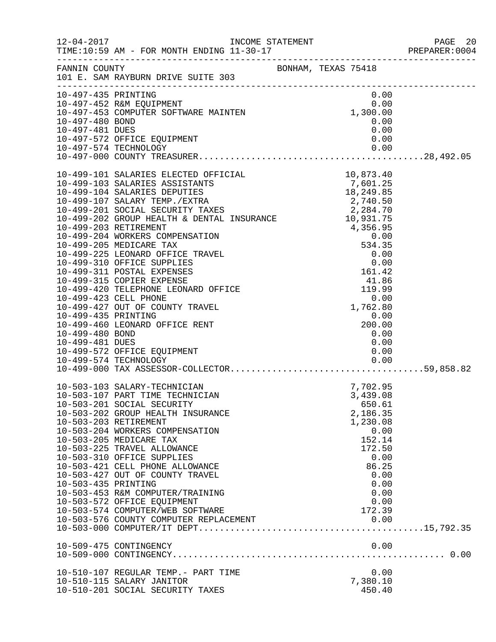|                                                           |                                                                                                                                                                                                                                                                                                                                                                                                                                                                                                                                  |                                                                                                                                                       | PAGE 20<br>PREPARER:0004<br>PAGE 20 |
|-----------------------------------------------------------|----------------------------------------------------------------------------------------------------------------------------------------------------------------------------------------------------------------------------------------------------------------------------------------------------------------------------------------------------------------------------------------------------------------------------------------------------------------------------------------------------------------------------------|-------------------------------------------------------------------------------------------------------------------------------------------------------|-------------------------------------|
|                                                           | FANNIN COUNTY<br>101 E. SAM RAYBURN DRIVE SUITE 303                                                                                                                                                                                                                                                                                                                                                                                                                                                                              |                                                                                                                                                       |                                     |
|                                                           | $\begin{array}{cccc} 0.00 \\ \texttt{{\small 10--497--452}} \text{ }\text{R\&M ECUIPMENT} & 0.00 \\ 10-497-453 \text{ COMPUTER SCFTWARE MAINTEN} & 1,300.00 \\ 10-497-480 \text{ BOND} & 1,300.00 \\ 10-497-481 \text{ DUES} & 0.00 \\ \end{array}$                                                                                                                                                                                                                                                                              |                                                                                                                                                       |                                     |
| 10-499-435 PRINTING<br>10-499-480 BOND<br>10-499-481 DUES | 10-499-460 LEONARD OFFICE RENT<br>10-499-572 OFFICE EQUIPMENT                                                                                                                                                                                                                                                                                                                                                                                                                                                                    | $1, 702.80$<br>0.00<br>200.00<br>0.00<br>0.00<br>0.00                                                                                                 |                                     |
| 10-503-435 PRINTING                                       | 10-503-103 SALARY-TECHNICIAN<br>10-503-107 PART TIME TECHNICIAN<br>10-503-107 PART TIME TECHNICIAN<br>10-503-201 SOCIAL SECURITY<br>10-503-202 GROUP HEALTH INSURANCE<br>10-503-203 RETIREMENT<br>10-503-204 WORKERS COMPENSATION<br>10-503-205 MEDICARE TAX<br>10-503-225 TRAVEL ALLOWANCE<br>10-503-310 OFFICE SUPPLIES<br>10-503-421 CELL PHONE ALLOWANCE<br>10-503-427 OUT OF COUNTY TRAVEL<br>10-503-453 R&M COMPUTER/TRAINING<br>10-503-572 OFFICE EQUIPMENT<br>10-503-574 COMPUTER/WEB SOFTWARE<br>10-509-475 CONTINGENCY | 7,702.95<br>3,439.08<br>650.61<br>2,186.35<br>1,230.08<br>0.00<br>152.14<br>172.50<br>0.00<br>86.25<br>0.00<br>0.00<br>0.00<br>0.00<br>172.39<br>0.00 |                                     |
|                                                           | 10-510-107 REGULAR TEMP.- PART TIME<br>10-510-115 SALARY JANITOR<br>10-510-201 SOCIAL SECURITY TAXES                                                                                                                                                                                                                                                                                                                                                                                                                             | 0.00<br>7,380.10<br>450.40                                                                                                                            |                                     |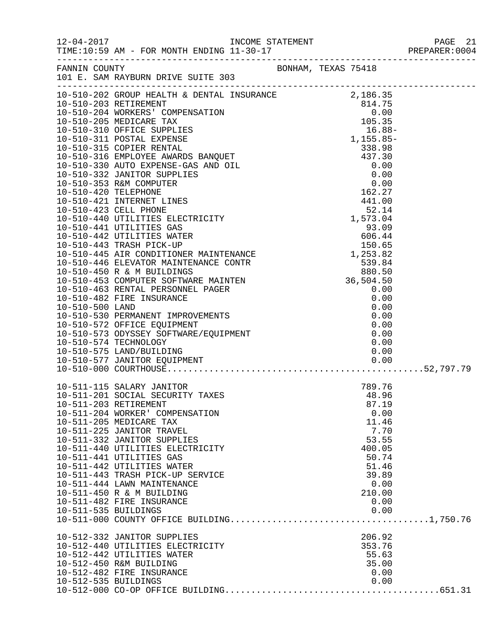| FANNIN COUNTY                                 | FANNIN COUNTY<br>101 E. SAM RAYBURN DRIVE SUITE 303                                                                                                                                                                                                                                                                                                                                                                                                                                                                 |                  |  |                                                                                                                                                       |  |
|-----------------------------------------------|---------------------------------------------------------------------------------------------------------------------------------------------------------------------------------------------------------------------------------------------------------------------------------------------------------------------------------------------------------------------------------------------------------------------------------------------------------------------------------------------------------------------|------------------|--|-------------------------------------------------------------------------------------------------------------------------------------------------------|--|
|                                               | 10-510-574 TECHNOLOGY<br>10-510-575 LAND/BUILDING                                                                                                                                                                                                                                                                                                                                                                                                                                                                   | INTS<br>-- DMENT |  | 0.00<br>0.00                                                                                                                                          |  |
| 10-511-203 RETIREMENT<br>10-511-535 BUILDINGS | 10-511-115 SALARY JANITOR<br>10-511-201 SOCIAL SECURITY TAXES<br>10-511-204 WORKER' COMPENSATION<br>10-511-205 MEDICARE TAX<br>10-511-225 JANITOR TRAVEL<br>10-511-332 JANITOR SUPPLIES<br>10-511-440 UTILITIES ELECTRICITY<br>10-511-441 UTILITIES GAS<br>10-511-442 UTILITIES WATER<br>10-511-443 TRASH PICK-UP SERVICE<br>10-511-444 LAWN MAINTENANCE<br>10-511-450 R & M BUILDING<br>10-511-482 FIRE INSURANCE<br>10-512-332 JANITOR SUPPLIES<br>10-512-440 UTILITIES ELECTRICITY<br>10-512-442 UTILITIES WATER |                  |  | 789.76<br>48.96<br>87.19<br>0.00<br>11.46<br>7.70<br>53.55<br>400.05<br>50.74<br>51.46<br>39.89<br>0.00<br>210.00<br>0.00<br>0.00<br>206.92<br>353.76 |  |
|                                               | 10-512-450 R&M BUILDING<br>10-512-482 FIRE INSURANCE                                                                                                                                                                                                                                                                                                                                                                                                                                                                |                  |  | 55.63<br>35.00<br>0.00                                                                                                                                |  |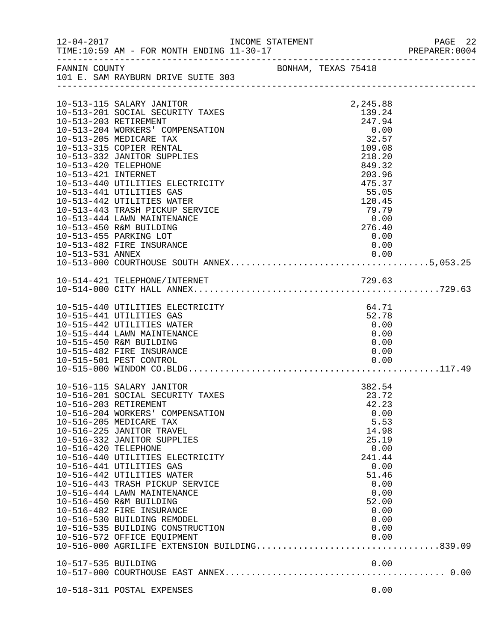|                      | 12-04-2017    INCOME STATEMENT                            |  |                 | PAGE 22<br>PREPARER:0004 |
|----------------------|-----------------------------------------------------------|--|-----------------|--------------------------|
| FANNIN COUNTY        | BONHAM, TEXAS 75418<br>101 E. SAM RAYBURN DRIVE SUITE 303 |  |                 |                          |
|                      |                                                           |  |                 |                          |
|                      | 10-513-115 SALARY JANITOR                                 |  | 2,245.88        |                          |
|                      | 10-513-201 SOCIAL SECURITY TAXES                          |  | 139.24          |                          |
|                      | 10-513-203 RETIREMENT                                     |  | 247.94          |                          |
|                      | 10-513-204 WORKERS' COMPENSATION                          |  | 0.00            |                          |
|                      | 10-513-205 MEDICARE TAX<br>10-513-315 COPIER RENTAL       |  | 32.57<br>109.08 |                          |
|                      | 10-513-332 JANITOR SUPPLIES                               |  | 218.20          |                          |
| 10-513-420 TELEPHONE |                                                           |  | 849.32          |                          |
| 10-513-421 INTERNET  |                                                           |  | 203.96          |                          |
|                      | 10-513-440 UTILITIES ELECTRICITY                          |  | 475.37          |                          |
|                      | 10-513-441 UTILITIES GAS                                  |  | 55.05           |                          |
|                      | 10-513-442 UTILITIES WATER                                |  | 120.45          |                          |
|                      | 10-513-443 TRASH PICKUP SERVICE                           |  | 79.79           |                          |
|                      | 10-513-444 LAWN MAINTENANCE                               |  | 0.00            |                          |
|                      | 10-513-450 R&M BUILDING                                   |  | 276.40          |                          |
|                      | 10-513-455 PARKING LOT                                    |  | 0.00            |                          |
|                      | 10-513-482 FIRE INSURANCE                                 |  | 0.00            |                          |
|                      |                                                           |  |                 |                          |
|                      |                                                           |  |                 |                          |
|                      |                                                           |  |                 |                          |
|                      |                                                           |  |                 |                          |
|                      | 10-515-440 UTILITIES ELECTRICITY                          |  | 64.71           |                          |
|                      | 10-515-441 UTILITIES GAS                                  |  | 52.78           |                          |
|                      | 10-515-442 UTILITIES WATER                                |  | 0.00            |                          |
|                      | 10-515-444 LAWN MAINTENANCE                               |  | 0.00            |                          |
|                      | 10-515-450 R&M BUILDING                                   |  | 0.00            |                          |
|                      | 10-515-482 FIRE INSURANCE                                 |  | 0.00            |                          |
|                      | 10-515-501 PEST CONTROL                                   |  | 0.00            |                          |
|                      |                                                           |  |                 |                          |
|                      | 10-516-115 SALARY JANITOR                                 |  | 382.54          |                          |
|                      | 10-516-201 SOCIAL SECURITY TAXES                          |  | 23.72           |                          |
|                      | 10-516-203 RETIREMENT                                     |  | 42.23           |                          |
|                      | 10-516-204 WORKERS' COMPENSATION                          |  | 0.00            |                          |
|                      | 10-516-205 MEDICARE TAX                                   |  | 5.53            |                          |
|                      | 10-516-225 JANITOR TRAVEL                                 |  | 14.98           |                          |
|                      | 10-516-332 JANITOR SUPPLIES                               |  | 25.19           |                          |
| 10-516-420 TELEPHONE |                                                           |  | 0.00            |                          |
|                      | 10-516-440 UTILITIES ELECTRICITY                          |  | 241.44          |                          |
|                      | 10-516-441 UTILITIES GAS<br>10-516-442 UTILITIES WATER    |  | 0.00<br>51.46   |                          |
|                      | 10-516-443 TRASH PICKUP SERVICE                           |  | 0.00            |                          |
|                      | 10-516-444 LAWN MAINTENANCE                               |  | 0.00            |                          |
|                      | 10-516-450 R&M BUILDING                                   |  | 52.00           |                          |
|                      | 10-516-482 FIRE INSURANCE                                 |  | 0.00            |                          |
|                      | 10-516-530 BUILDING REMODEL                               |  | 0.00            |                          |
|                      | 10-516-535 BUILDING CONSTRUCTION                          |  | 0.00            |                          |
|                      | 10-516-572 OFFICE EQUIPMENT                               |  | 0.00            |                          |
|                      | 10-516-000 AGRILIFE EXTENSION BUILDING839.09              |  |                 |                          |
| 10-517-535 BUILDING  |                                                           |  | 0.00            |                          |
|                      |                                                           |  |                 |                          |
|                      |                                                           |  |                 |                          |
|                      | 10-518-311 POSTAL EXPENSES                                |  | 0.00            |                          |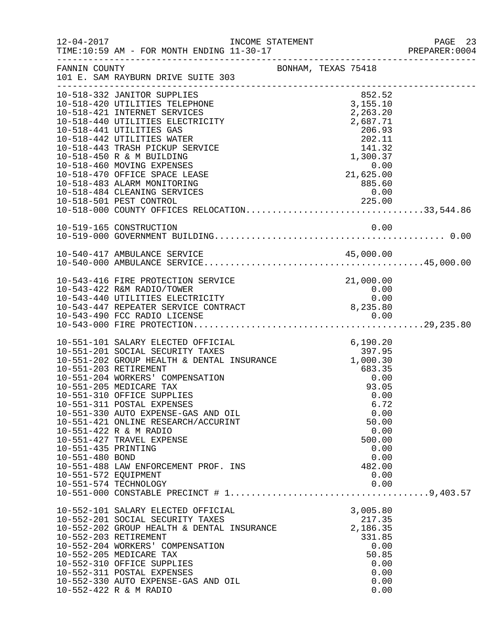| $12 - 04 - 2017$                                                                        |                                                                                                                                                                                                                                                                                                                                                                                                                                                                            |                     |                                                                                                                               | PAGE 23<br>PREPARER:0004 |
|-----------------------------------------------------------------------------------------|----------------------------------------------------------------------------------------------------------------------------------------------------------------------------------------------------------------------------------------------------------------------------------------------------------------------------------------------------------------------------------------------------------------------------------------------------------------------------|---------------------|-------------------------------------------------------------------------------------------------------------------------------|--------------------------|
| FANNIN COUNTY                                                                           | 101 E. SAM RAYBURN DRIVE SUITE 303                                                                                                                                                                                                                                                                                                                                                                                                                                         | BONHAM, TEXAS 75418 |                                                                                                                               |                          |
|                                                                                         | 10-518-332 JANITOR SUPPLIES<br>10-518-420 UTILITIES TELEPHONE<br>10-518-421 INTERNET SERVICES<br>10-518-440 UTILITIES ELECTRICITY<br>10-518-441 UTILITIES GAS<br>10-518-442 UTILITIES WATER<br>10-518-443 TRASH PICKUP SERVICE<br>10-518-450 R & M BUILDING<br>10-518-460 MOVING EXPENSES<br>10-518-470 OFFICE SPACE LEASE<br>10-518-483 ALARM MONITORING<br>10-518-484 CLEANING SERVICES                                                                                  |                     | 852.52<br>3,155.10<br>2,263.20<br>2,687.71<br>206.93<br>202.11<br>141.32<br>1,300.37<br>$0.00$<br>21,625.00<br>885.60<br>0.00 |                          |
|                                                                                         |                                                                                                                                                                                                                                                                                                                                                                                                                                                                            |                     |                                                                                                                               |                          |
|                                                                                         |                                                                                                                                                                                                                                                                                                                                                                                                                                                                            |                     |                                                                                                                               |                          |
|                                                                                         | 10-543-416 FIRE PROTECTION SERVICE<br>10-543-422 R&M RADIO/TOWER<br>10-543-422 A AM ANDER STREET RICITY<br>10-543-440 UTILITIES ELECTRICITY 0.00<br>10-543-447 REPEATER SERVICE CONTRACT 8,235.80                                                                                                                                                                                                                                                                          |                     | 21,000.00<br>$\begin{array}{c} 0\, .\, 00 \\ 0\, .\, 00 \end{array}$                                                          |                          |
| 10-551-435 PRINTING<br>10-551-480 BOND<br>10-551-572 EQUIPMENT<br>10-551-574 TECHNOLOGY | 10-551-101 SALARY ELECTED OFFICIAL<br>10-551-201 SOCIAL SECURITY TAXES<br>10-551-202 GROUP HEALTH & DENTAL INSURANCE<br>10-551-203 RETIREMENT 683.35<br>10-551-204 WORKERS' COMPENSATION 0.00<br>93.05<br>10-551-205 MEDICARE TAX<br>10-551-310 OFFICE SUPPLIES<br>10-551-311 POSTAL EXPENSES<br>10-551-330 AUTO EXPENSE-GAS AND OIL<br>10-551-421 ONLINE RESEARCH/ACCURINT<br>10-551-422 R & M RADIO<br>10-551-427 TRAVEL EXPENSE<br>10-551-488 LAW ENFORCEMENT PROF. INS |                     | 6,190.20<br>397.95<br>93.05<br>0.00<br>6.72<br>0.00<br>50.00<br>0.00<br>500.00<br>0.00<br>0.00<br>482.00<br>0.00<br>0.00      |                          |
| 10-552-203 RETIREMENT                                                                   | 10-552-101 SALARY ELECTED OFFICIAL<br>10-552-201 SOCIAL SECURITY TAXES<br>10-552-202 GROUP HEALTH & DENTAL INSURANCE<br>10-552-204 WORKERS' COMPENSATION<br>10-552-205 MEDICARE TAX<br>10-552-310 OFFICE SUPPLIES<br>10-552-311 POSTAL EXPENSES<br>10-552-330 AUTO EXPENSE-GAS AND OIL<br>10-552-422 R & M RADIO                                                                                                                                                           |                     | 3,005.80<br>217.35<br>2,186.35<br>331.85<br>0.00<br>50.85<br>0.00<br>0.00<br>0.00<br>0.00                                     |                          |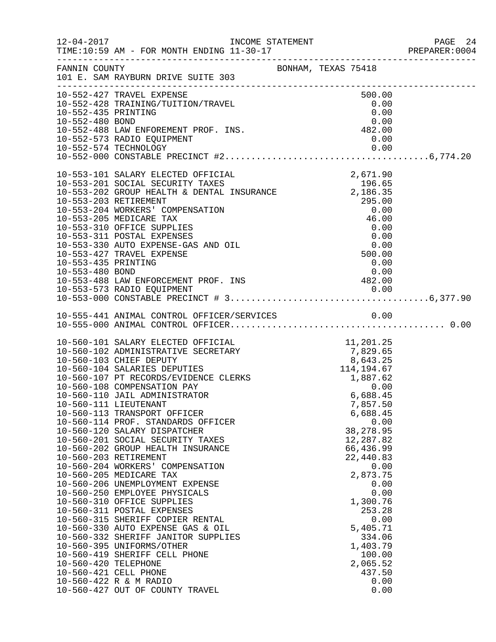|                                        |                                                                                                                                                                                                                                                                                                                                                                                                                                                                                                                                                                                                                                                                                                                                                                                                                                                                                                                                                                                                              |  |                                                                                                                                                                                                                                                           | PREPARER: 0004 |
|----------------------------------------|--------------------------------------------------------------------------------------------------------------------------------------------------------------------------------------------------------------------------------------------------------------------------------------------------------------------------------------------------------------------------------------------------------------------------------------------------------------------------------------------------------------------------------------------------------------------------------------------------------------------------------------------------------------------------------------------------------------------------------------------------------------------------------------------------------------------------------------------------------------------------------------------------------------------------------------------------------------------------------------------------------------|--|-----------------------------------------------------------------------------------------------------------------------------------------------------------------------------------------------------------------------------------------------------------|----------------|
|                                        | FANNIN COUNTY<br>101 E. SAM RAYBURN DRIVE SUITE 303                                                                                                                                                                                                                                                                                                                                                                                                                                                                                                                                                                                                                                                                                                                                                                                                                                                                                                                                                          |  |                                                                                                                                                                                                                                                           |                |
| 10-552-435 PRINTING<br>10-552-480 BOND | 10-552-427 TRAVEL EXPENSE<br>10-552-428 TRAINING/TUITION/TRAVEL<br>0.00 0.00<br>10-552-488 LAW ENFOREMENT PROF. INS.<br>10-552-573 RADIO EQUIPMENT<br>10-552-573 RADIO EQUIPMENT                                                                                                                                                                                                                                                                                                                                                                                                                                                                                                                                                                                                                                                                                                                                                                                                                             |  | 500.00<br>0.00<br>0.00<br>0.00<br>0.00                                                                                                                                                                                                                    |                |
| 10-553-435 PRINTING<br>10-553-480 BOND | 10-553-101 SALARY ELECTED OFFICIAL 2,671.90<br>10-553-201 SOCIAL SECURITY TAXES 196.65<br>10-553-202 GROUP HEALTH & DENTAL INSURANCE 2,186.35<br>10-553-203 RETIREMENT 295.00<br>10-553-204 WORKERS' COMPENSATION<br>10-553-205 MEDICARE TAX<br>10-553-310 OFFICE SUPPLIES<br>10-553-311 POSTAL EXPENSES<br>10-553-330 AUTO EXPENSE-GAS AND OIL<br>10-553-427 TRAVEL EXPENSE<br>10-553-480 BOND<br>10-553-488 LAW ENFORCEMENT PROF. INS                                                                                                                                                                                                                                                                                                                                                                                                                                                                                                                                                                      |  | $\begin{array}{r} 2,186.35 \\ 295.00 \\ 0.00 \\ 46.00 \end{array}$<br>0.00<br>$0.00$<br>500.00<br>0.00<br>$0.00$<br>482.00                                                                                                                                |                |
|                                        |                                                                                                                                                                                                                                                                                                                                                                                                                                                                                                                                                                                                                                                                                                                                                                                                                                                                                                                                                                                                              |  |                                                                                                                                                                                                                                                           |                |
| 10-560-420 TELEPHONE                   | 10-560-101 SALARY ELECTED OFFICIAL 11,201.25<br>10-560-102 ADMINISTRATIVE SECRETARY 7,829.65<br>10-560-103 CHIEF DEPUTY 8,643.25<br>10-560-104 SALARIES DEPUTIES 114,194.67<br>10-560-107 PT RECORDS/EVIDENCE CLERKS 1,887.62<br>10-560-<br>10-560-108 COMPENSATION PAY<br>10-560-110 JAIL ADMINISTRATOR<br>10-560-111 LIEUTENANT<br>10-560-113 TRANSPORT OFFICER<br>10-560-114 PROF. STANDARDS OFFICER<br>10-560-120 SALARY DISPATCHER<br>10-560-201 SOCIAL SECURITY TAXES<br>10-560-202 GROUP HEALTH INSURANCE<br>10-560-203 RETIREMENT<br>10-560-204 WORKERS' COMPENSATION<br>10-560-205 MEDICARE TAX<br>10-560-206 UNEMPLOYMENT EXPENSE<br>10-560-250 EMPLOYEE PHYSICALS<br>10-560-310 OFFICE SUPPLIES<br>10-560-311 POSTAL EXPENSES<br>10-560-315 SHERIFF COPIER RENTAL<br>10-560-330 AUTO EXPENSE GAS & OIL<br>10-560-332 SHERIFF JANITOR SUPPLIES<br>10-560-395 UNIFORMS/OTHER<br>10-560-419 SHERIFF CELL PHONE<br>10-560-421 CELL PHONE<br>10-560-422 R & M RADIO<br>10-560-427 OUT OF COUNTY TRAVEL |  | 0.00<br>6,688.45<br>7,857.50<br>6,688.45<br>0.00<br>38, 278.95<br>12,287.82<br>66,436.99<br>22,440.83<br>0.00<br>2,873.75<br>0.00<br>0.00<br>1,300.76<br>253.28<br>0.00<br>5,405.71<br>334.06<br>1,403.79<br>100.00<br>2,065.52<br>437.50<br>0.00<br>0.00 |                |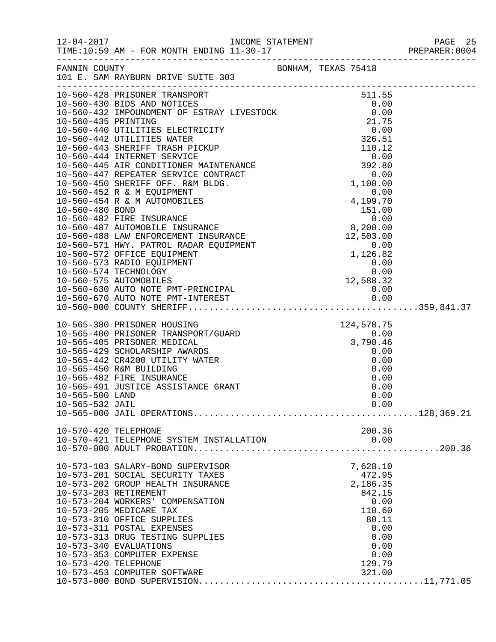| FANNIN COUNTY        | 101 E. SAM RAYBURN DRIVE SUITE 303                                                                                                                                                                                                     |  | BONHAM, TEXAS 75418 |      |
|----------------------|----------------------------------------------------------------------------------------------------------------------------------------------------------------------------------------------------------------------------------------|--|---------------------|------|
|                      |                                                                                                                                                                                                                                        |  |                     |      |
|                      |                                                                                                                                                                                                                                        |  |                     |      |
|                      |                                                                                                                                                                                                                                        |  |                     |      |
|                      |                                                                                                                                                                                                                                        |  |                     |      |
|                      |                                                                                                                                                                                                                                        |  |                     |      |
|                      |                                                                                                                                                                                                                                        |  |                     |      |
|                      |                                                                                                                                                                                                                                        |  |                     |      |
|                      |                                                                                                                                                                                                                                        |  |                     |      |
|                      |                                                                                                                                                                                                                                        |  |                     |      |
|                      |                                                                                                                                                                                                                                        |  |                     |      |
|                      |                                                                                                                                                                                                                                        |  |                     |      |
|                      |                                                                                                                                                                                                                                        |  |                     |      |
|                      |                                                                                                                                                                                                                                        |  |                     |      |
|                      |                                                                                                                                                                                                                                        |  |                     |      |
|                      |                                                                                                                                                                                                                                        |  |                     |      |
|                      |                                                                                                                                                                                                                                        |  |                     |      |
|                      |                                                                                                                                                                                                                                        |  |                     |      |
|                      |                                                                                                                                                                                                                                        |  |                     |      |
|                      |                                                                                                                                                                                                                                        |  |                     |      |
|                      |                                                                                                                                                                                                                                        |  |                     |      |
|                      |                                                                                                                                                                                                                                        |  |                     |      |
|                      |                                                                                                                                                                                                                                        |  |                     |      |
|                      |                                                                                                                                                                                                                                        |  |                     |      |
|                      | 124,578.75<br>10-565-400 PRISONER TRANSPORT/GUARD<br>10-565-405 PRISONER MEDICAL<br>10-565-429 SCHOLARSHIP AWARDS<br>10-565-442 CR4200 UTILITY WATER<br>10-565-450 R&M BUILDING<br>10-565-450 R&M BUILDING<br>10-565-482 FIBE INCORNER |  |                     |      |
|                      |                                                                                                                                                                                                                                        |  |                     |      |
|                      |                                                                                                                                                                                                                                        |  |                     |      |
|                      |                                                                                                                                                                                                                                        |  |                     |      |
|                      |                                                                                                                                                                                                                                        |  |                     |      |
|                      |                                                                                                                                                                                                                                        |  |                     |      |
|                      | 10-565-482 FIRE INSURANCE                                                                                                                                                                                                              |  | 0.00                |      |
| 10-565-500 LAND      | 10-565-491 JUSTICE ASSISTANCE GRANT                                                                                                                                                                                                    |  | 0.00                | 0.00 |
| 10-565-532 JAIL      |                                                                                                                                                                                                                                        |  | 0.00                |      |
|                      |                                                                                                                                                                                                                                        |  |                     |      |
|                      |                                                                                                                                                                                                                                        |  |                     |      |
| 10-570-420 TELEPHONE |                                                                                                                                                                                                                                        |  | 200.36              |      |
|                      |                                                                                                                                                                                                                                        |  |                     |      |
|                      |                                                                                                                                                                                                                                        |  |                     |      |
|                      | 10-573-103 SALARY-BOND SUPERVISOR                                                                                                                                                                                                      |  | 7,628.10            |      |
|                      | 10-573-201 SOCIAL SECURITY TAXES                                                                                                                                                                                                       |  | 472.95              |      |
|                      | 10-573-202 GROUP HEALTH INSURANCE                                                                                                                                                                                                      |  | 2,186.35            |      |
|                      | 10-573-203 RETIREMENT                                                                                                                                                                                                                  |  | 842.15              |      |
|                      | 10-573-204 WORKERS' COMPENSATION                                                                                                                                                                                                       |  | 0.00                |      |
|                      | 10-573-205 MEDICARE TAX                                                                                                                                                                                                                |  | 110.60              |      |
|                      | 10-573-310 OFFICE SUPPLIES                                                                                                                                                                                                             |  | 80.11               |      |
|                      | 10-573-311 POSTAL EXPENSES                                                                                                                                                                                                             |  | 0.00                |      |
|                      | 10-573-313 DRUG TESTING SUPPLIES<br>10-573-340 EVALUATIONS                                                                                                                                                                             |  | 0.00<br>0.00        |      |
|                      | 10-573-353 COMPUTER EXPENSE                                                                                                                                                                                                            |  | 0.00                |      |
| 10-573-420 TELEPHONE |                                                                                                                                                                                                                                        |  | 129.79              |      |
|                      | 10-573-453 COMPUTER SOFTWARE                                                                                                                                                                                                           |  | 321.00              |      |
|                      |                                                                                                                                                                                                                                        |  |                     |      |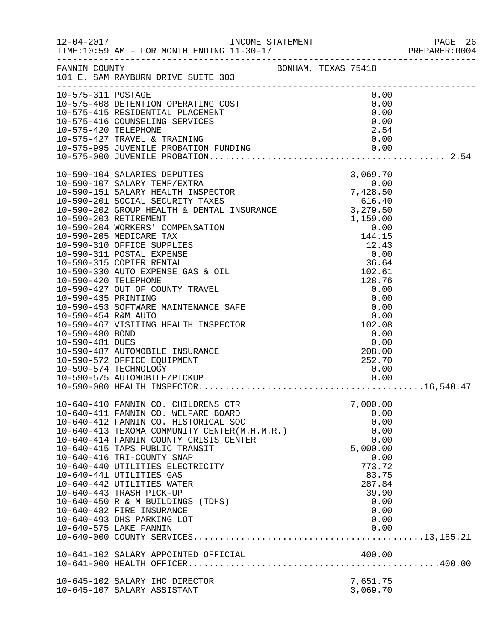|                      | FANNIN COUNTY<br>101 E. SAM RAYBURN DRIVE SUITE 303                                                                                                                                                                                                                                                                                                                                                                                                                                                                              |                                                    |                                                                                                                                    |  |
|----------------------|----------------------------------------------------------------------------------------------------------------------------------------------------------------------------------------------------------------------------------------------------------------------------------------------------------------------------------------------------------------------------------------------------------------------------------------------------------------------------------------------------------------------------------|----------------------------------------------------|------------------------------------------------------------------------------------------------------------------------------------|--|
| 10-575-420 TELEPHONE | 10-575-311 POSTAGE<br>10-575-408 DETENTION OPERATING COST<br>10-575-415 RESIDENTIAL PLACEMENT<br>10-575-416 COUNSELING SERVICES                                                                                                                                                                                                                                                                                                                                                                                                  |                                                    | 0.00<br>0.00<br>0.00<br>0.00<br>2.54                                                                                               |  |
| 10-590-481 DUES      | 10-590-487 AUTOMOBILE INSURANCE<br>10-590-572 OFFICE EQUIPMENT                                                                                                                                                                                                                                                                                                                                                                                                                                                                   | $0.00$<br>$102.08$<br>$0.00$<br>$0.00$<br>$208.00$ | 0.00                                                                                                                               |  |
|                      | 10-640-410 FANNIN CO. CHILDRENS CTR<br>10-640-411 FANNIN CO. WELFARE BOARD<br>10-640-412 FANNIN CO. HISTORICAL SOC<br>10-640-413 TEXOMA COMMUNITY CENTER(M.H.M.R.)<br>10-640-414 FANNIN COUNTY CRISIS CENTER<br>10-640-415 TAPS PUBLIC TRANSIT<br>10-640-416 TRI-COUNTY SNAP<br>10-640-440 UTILITIES ELECTRICITY<br>10-640-441 UTILITIES GAS<br>10-640-442 UTILITIES WATER<br>10-640-443 TRASH PICK-UP<br>10-640-450 R & M BUILDINGS (TDHS)<br>10-640-482 FIRE INSURANCE<br>10-640-493 DHS PARKING LOT<br>10-640-575 LAKE FANNIN |                                                    | 7,000.00<br>0.00<br>0.00<br>0.00<br>0.00<br>5,000.00<br>0.00<br>773.72<br>83.75<br>287.84<br>39.90<br>0.00<br>0.00<br>0.00<br>0.00 |  |
|                      | 10-645-102 SALARY IHC DIRECTOR<br>10-645-107 SALARY ASSISTANT                                                                                                                                                                                                                                                                                                                                                                                                                                                                    |                                                    | 7,651.75<br>3,069.70                                                                                                               |  |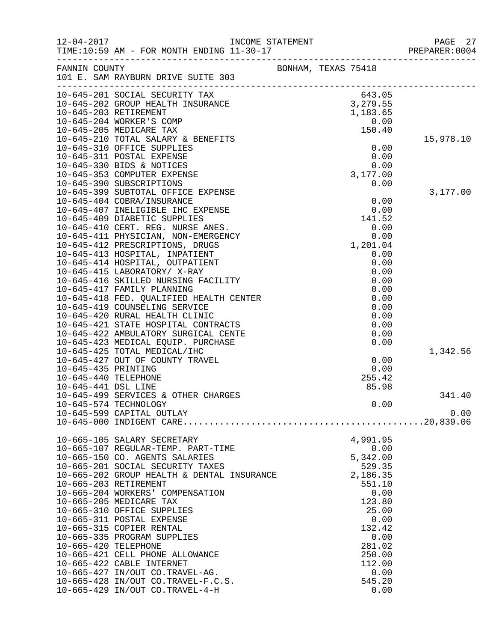| $12 - 04 - 2017$     |                                                                                                                          | INCOME STATEMENT |                     |                    | PAGE<br>27<br>PREPARER: 0004 |
|----------------------|--------------------------------------------------------------------------------------------------------------------------|------------------|---------------------|--------------------|------------------------------|
|                      | FANNIN COUNTY<br>101 E. SAM RAYBURN DRIVE SUITE 303                                                                      |                  | BONHAM, TEXAS 75418 |                    |                              |
|                      | 10-645-201 SOCIAL SECURITY TAX                                                                                           |                  |                     | 643.05             |                              |
|                      |                                                                                                                          |                  |                     |                    |                              |
|                      | 043.05<br>10-645-202 GROUP HEALTH INSURANCE 3,279.55<br>10-645-203 RETIREMENT 10-645-204 MORKER 10-645-204 MORKER (COMP) |                  |                     |                    |                              |
|                      | 10-645-204 WORKER'S COMP<br>10-645-205 MEDICARE TAX                                                                      |                  |                     | 0.00<br>150.40     |                              |
|                      | 10-645-210 TOTAL SALARY & BENEFITS                                                                                       |                  |                     |                    | 15,978.10                    |
|                      | 10-645-310 OFFICE SUPPLIES                                                                                               |                  |                     | 0.00               |                              |
|                      | 10-645-311 POSTAL EXPENSE                                                                                                |                  |                     | 0.00               |                              |
|                      | 10-645-330 BIDS & NOTICES                                                                                                |                  |                     | 0.00               |                              |
|                      | 10-645-353 COMPUTER EXPENSE                                                                                              |                  |                     | 3,177.00           |                              |
|                      | 10-645-390 SUBSCRIPTIONS                                                                                                 |                  |                     | 0.00               |                              |
|                      | 10-645-399 SUBTOTAL OFFICE EXPENSE                                                                                       |                  |                     |                    | 3,177.00                     |
|                      | 10-645-404 COBRA/INSURANCE                                                                                               |                  |                     | 0.00               |                              |
|                      | 10-645-407 INELIGIBLE IHC EXPENSE                                                                                        |                  |                     | 0.00               |                              |
|                      | 10-645-409 DIABETIC SUPPLIES                                                                                             |                  |                     | 141.52             |                              |
|                      | 10-645-410 CERT. REG. NURSE ANES.<br>10-645-411 PHYSICIAN, NON-EMERGENCY                                                 |                  |                     | 0.00<br>0.00       |                              |
|                      | 10-645-412 PRESCRIPTIONS, DRUGS                                                                                          |                  |                     | 1,201.04           |                              |
|                      | 10-645-413 HOSPITAL, INPATIENT                                                                                           |                  |                     | 0.00               |                              |
|                      | 10-645-414 HOSPITAL, OUTPATIENT                                                                                          |                  |                     | 0.00               |                              |
|                      | 10-645-415 LABORATORY/ X-RAY                                                                                             |                  |                     | 0.00               |                              |
|                      | 10-645-416 SKILLED NURSING FACILITY                                                                                      |                  |                     | 0.00               |                              |
|                      | 10-645-417 FAMILY PLANNING                                                                                               |                  |                     | 0.00               |                              |
|                      | 10-645-418 FED. QUALIFIED HEALTH CENTER                                                                                  |                  |                     | 0.00               |                              |
|                      | 10-645-419 COUNSELING SERVICE                                                                                            |                  |                     | 0.00               |                              |
|                      | 10-645-420 RURAL HEALTH CLINIC                                                                                           |                  |                     | 0.00               |                              |
|                      | 10-645-421 STATE HOSPITAL CONTRACTS                                                                                      |                  |                     | 0.00               |                              |
|                      | 10-645-422 AMBULATORY SURGICAL CENTE                                                                                     |                  |                     | 0.00               |                              |
|                      | 10-645-423 MEDICAL EQUIP. PURCHASE                                                                                       |                  |                     | 0.00               |                              |
|                      | 10-645-425 TOTAL MEDICAL/IHC<br>10-645-427 OUT OF COUNTY TRAVEL                                                          |                  |                     | 0.00               | 1,342.56                     |
| 10-645-435 PRINTING  |                                                                                                                          |                  |                     | 0.00               |                              |
| 10-645-440 TELEPHONE |                                                                                                                          |                  |                     | 255.42             |                              |
| 10-645-441 DSL LINE  |                                                                                                                          |                  |                     | 85.98              |                              |
|                      | 10-645-499 SERVICES & OTHER CHARGES                                                                                      |                  |                     |                    | 341.40                       |
|                      | 10-645-574 TECHNOLOGY                                                                                                    |                  |                     | 0.00               |                              |
|                      | 10-645-599 CAPITAL OUTLAY                                                                                                |                  |                     |                    | 0.00                         |
|                      |                                                                                                                          |                  |                     |                    |                              |
|                      | 10-665-105 SALARY SECRETARY                                                                                              |                  |                     | 4,991.95           |                              |
|                      | 10-665-107 REGULAR-TEMP. PART-TIME                                                                                       |                  |                     | 0.00               |                              |
|                      | 10-665-150 CO. AGENTS SALARIES                                                                                           |                  |                     | 5,342.00           |                              |
|                      | 10-665-201 SOCIAL SECURITY TAXES                                                                                         |                  |                     | 529.35<br>2,186.35 |                              |
|                      | 10-665-202 GROUP HEALTH & DENTAL INSURANCE<br>10-665-203 RETIREMENT                                                      |                  |                     | 551.10             |                              |
|                      | 10-665-204 WORKERS' COMPENSATION                                                                                         |                  |                     | 0.00               |                              |
|                      | 10-665-205 MEDICARE TAX                                                                                                  |                  |                     | 123.80             |                              |
|                      | 10-665-310 OFFICE SUPPLIES                                                                                               |                  |                     | 25.00              |                              |
|                      | 10-665-311 POSTAL EXPENSE                                                                                                |                  |                     | 0.00               |                              |
|                      | 10-665-315 COPIER RENTAL                                                                                                 |                  |                     | 132.42             |                              |
|                      | 10-665-335 PROGRAM SUPPLIES                                                                                              |                  |                     | 0.00               |                              |
| 10-665-420 TELEPHONE |                                                                                                                          |                  |                     | 281.02             |                              |
|                      | 10-665-421 CELL PHONE ALLOWANCE                                                                                          |                  |                     | 250.00             |                              |
|                      | 10-665-422 CABLE INTERNET                                                                                                |                  |                     | 112.00             |                              |
|                      | 10-665-427 IN/OUT CO.TRAVEL-AG.                                                                                          |                  |                     | 0.00               |                              |
|                      | 10-665-428 IN/OUT CO.TRAVEL-F.C.S.                                                                                       |                  |                     | 545.20             |                              |
|                      | 10-665-429 IN/OUT CO.TRAVEL-4-H                                                                                          |                  |                     | 0.00               |                              |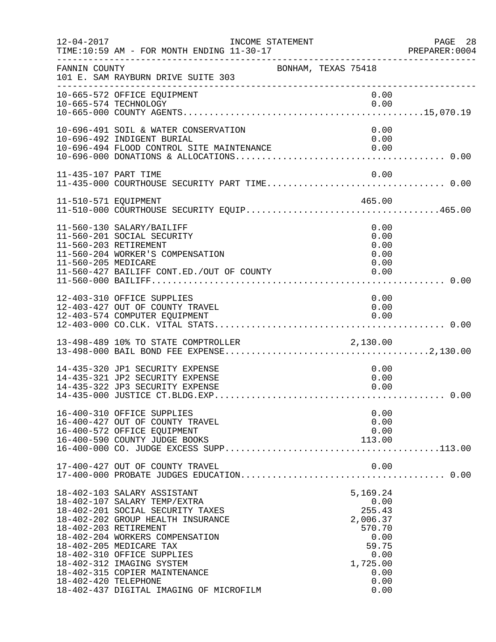| $12 - 04 - 2017$                              | INCOME STATEMENT<br>TIME:10:59 AM - FOR MONTH ENDING 11-30-17                                                                                                                                                                                                                                                                             |                     |                                                                                                               | PAGE 28<br>PREPARER: 0004 |
|-----------------------------------------------|-------------------------------------------------------------------------------------------------------------------------------------------------------------------------------------------------------------------------------------------------------------------------------------------------------------------------------------------|---------------------|---------------------------------------------------------------------------------------------------------------|---------------------------|
| FANNIN COUNTY                                 | 101 E. SAM RAYBURN DRIVE SUITE 303                                                                                                                                                                                                                                                                                                        | BONHAM, TEXAS 75418 |                                                                                                               |                           |
|                                               | 10-665-572 OFFICE EQUIPMENT<br>10-665-574 TECHNOLOGY                                                                                                                                                                                                                                                                                      |                     | 0.00<br>0.00                                                                                                  |                           |
|                                               | 10-696-491 SOIL & WATER CONSERVATION<br>10-696-492 INDIGENT BURIAL<br>10-696-494 FLOOD CONTROL SITE MAINTENANCE                                                                                                                                                                                                                           |                     | 0.00<br>0.00<br>0.00                                                                                          |                           |
| 11-435-107 PART TIME                          | 11-435-000 COURTHOUSE SECURITY PART TIME 0.00                                                                                                                                                                                                                                                                                             |                     | 0.00                                                                                                          |                           |
|                                               | 11-510-571 EQUIPMENT 465.00<br>11-510-000 COURTHOUSE SECURITY EQUIP465.00                                                                                                                                                                                                                                                                 |                     |                                                                                                               |                           |
| 11-560-205 MEDICARE                           | 11-560-130 SALARY/BAILIFF<br>11-560-201 SOCIAL SECURITY<br>11-560-203 RETIREMENT<br>11-560-204 WORKER'S COMPENSATION<br>11-560-427 BAILIFF CONT.ED./OUT OF COUNTY                                                                                                                                                                         |                     | 0.00<br>0.00<br>0.00<br>0.00<br>0.00<br>0.00                                                                  |                           |
|                                               | 12-403-310 OFFICE SUPPLIES<br>12-403-427 OUT OF COUNTY TRAVEL<br>12-403-574 COMPUTER EQUIPMENT                                                                                                                                                                                                                                            |                     | 0.00<br>0.00<br>0.00                                                                                          |                           |
|                                               | 13-498-489 10% TO STATE COMPTROLLER                                                                                                                                                                                                                                                                                                       |                     |                                                                                                               |                           |
|                                               | 14-435-320 JP1 SECURITY EXPENSE<br>14-435-321 JP2 SECURITY EXPENSE<br>14-435-322 JP3 SECURITY EXPENSE                                                                                                                                                                                                                                     |                     | 0.00<br>0.00<br>0.00                                                                                          |                           |
|                                               | 16-400-310 OFFICE SUPPLIES<br>16-400-427 OUT OF COUNTY TRAVEL<br>16-400-572 OFFICE EQUIPMENT<br>16-400-590 COUNTY JUDGE BOOKS                                                                                                                                                                                                             |                     | 0.00<br>0.00<br>0.00<br>113.00                                                                                |                           |
|                                               | 17-400-427 OUT OF COUNTY TRAVEL                                                                                                                                                                                                                                                                                                           |                     | 0.00                                                                                                          |                           |
| 18-402-203 RETIREMENT<br>18-402-420 TELEPHONE | 18-402-103 SALARY ASSISTANT<br>18-402-107 SALARY TEMP/EXTRA<br>18-402-201 SOCIAL SECURITY TAXES<br>18-402-202 GROUP HEALTH INSURANCE<br>18-402-204 WORKERS COMPENSATION<br>18-402-205 MEDICARE TAX<br>18-402-310 OFFICE SUPPLIES<br>18-402-312 IMAGING SYSTEM<br>18-402-315 COPIER MAINTENANCE<br>18-402-437 DIGITAL IMAGING OF MICROFILM |                     | 5,169.24<br>0.00<br>255.43<br>2,006.37<br>570.70<br>0.00<br>59.75<br>0.00<br>1,725.00<br>0.00<br>0.00<br>0.00 |                           |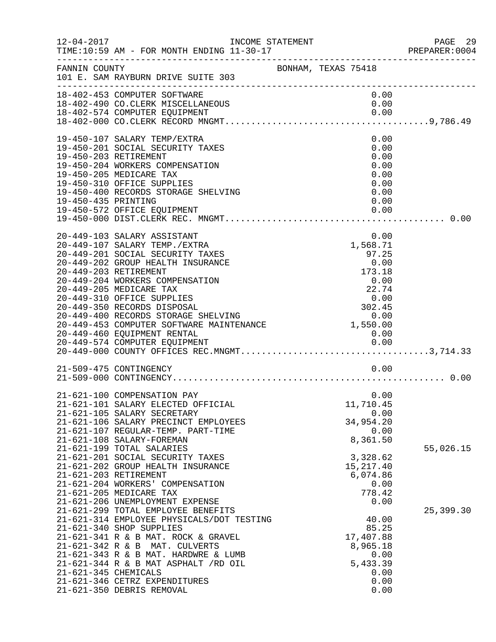| $12 - 04 - 2017$     |                                                                                                                                                                                                                                                                                                                                                                                                                                                                                                                                                             | INCOME STATEMENT    |  |                                                                                                                                              | PAGE 29<br>PREPARER: 0004 |
|----------------------|-------------------------------------------------------------------------------------------------------------------------------------------------------------------------------------------------------------------------------------------------------------------------------------------------------------------------------------------------------------------------------------------------------------------------------------------------------------------------------------------------------------------------------------------------------------|---------------------|--|----------------------------------------------------------------------------------------------------------------------------------------------|---------------------------|
| FANNIN COUNTY        | 101 E. SAM RAYBURN DRIVE SUITE 303                                                                                                                                                                                                                                                                                                                                                                                                                                                                                                                          | BONHAM, TEXAS 75418 |  |                                                                                                                                              |                           |
|                      | 18-402-453 COMPUTER SOFTWARE<br>18-402-490 CO. CLERK MISCELLANEOUS                                                                                                                                                                                                                                                                                                                                                                                                                                                                                          |                     |  | 0.00<br>0.00                                                                                                                                 |                           |
| 19-450-435 PRINTING  | 19-450-107 SALARY TEMP/EXTRA<br>19-450-201 SOCIAL SECURITY TAXES<br>19-450-203 RETIREMENT<br>19-450-204 WORKERS COMPENSATION<br>19-450-205 MEDICARE TAX<br>19-450-310 OFFICE SUPPLIES<br>19-450-400 RECORDS STORAGE SHELVING<br>19-450-572 OFFICE EQUIPMENT                                                                                                                                                                                                                                                                                                 |                     |  | 0.00<br>0.00<br>0.00<br>0.00<br>0.00<br>0.00<br>0.00<br>0.00<br>0.00                                                                         |                           |
|                      | 20-449-103 SALARY ASSISTANT<br>20-449-107 SALARY TEMP./EXTRA<br>20-449-201 SOCIAL SECURITY TAXES<br>20-449-460 EQUIPMENT RENTAL                                                                                                                                                                                                                                                                                                                                                                                                                             |                     |  | 0.00<br>1,568.71<br>97.25<br>0.00                                                                                                            |                           |
|                      | 21-509-475 CONTINGENCY                                                                                                                                                                                                                                                                                                                                                                                                                                                                                                                                      |                     |  | 0.00                                                                                                                                         |                           |
|                      | 21-621-100 COMPENSATION PAY<br>21-621-101 SALARY ELECTED OFFICIAL<br>21-621-105 SALARY SECRETARY<br>21-621-106 SALARY PRECINCT EMPLOYEES<br>21-621-107 REGULAR-TEMP. PART-TIME<br>21-621-108 SALARY-FOREMAN<br>21-621-199 TOTAL SALARIES<br>21-621-201 SOCIAL SECURITY TAXES<br>21-621-202 GROUP HEALTH INSURANCE<br>21-621-203 RETIREMENT<br>21-621-204 WORKERS' COMPENSATION<br>21-621-205 MEDICARE TAX<br>21-621-206 UNEMPLOYMENT EXPENSE<br>21-621-299 TOTAL EMPLOYEE BENEFITS<br>21-621-314 EMPLOYEE PHYSICALS/DOT TESTING<br>21-621-340 SHOP SUPPLIES |                     |  | 0.00<br>11,710.45<br>0.00<br>34,954.20<br>0.00<br>8,361.50<br>3,328.62<br>15, 217.40<br>6,074.86<br>0.00<br>778.42<br>0.00<br>40.00<br>85.25 | 55,026.15<br>25,399.30    |
| 21-621-345 CHEMICALS | 21-621-341 R & B MAT. ROCK & GRAVEL<br>21-621-342 R & B MAT. CULVERTS<br>21-621-343 R & B MAT. HARDWRE & LUMB<br>$21-621-344$ R & B MAT ASPHALT $/RD$ OIL<br>21-621-346 CETRZ EXPENDITURES<br>21-621-350 DEBRIS REMOVAL                                                                                                                                                                                                                                                                                                                                     |                     |  | 17,407.88<br>8,965.18<br>0.00<br>5,433.39<br>0.00<br>0.00<br>0.00                                                                            |                           |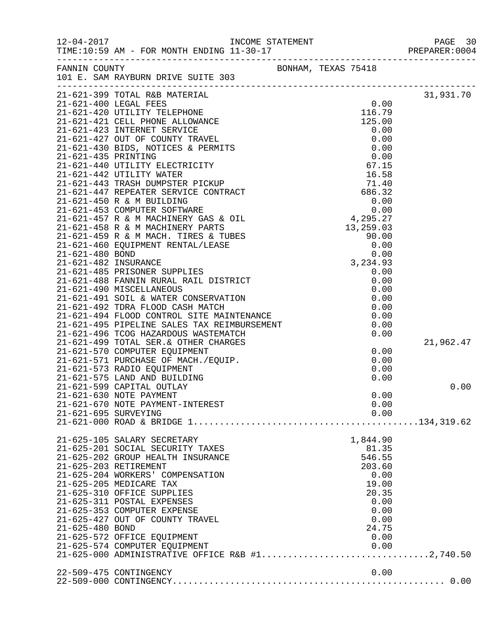| $12 - 04 - 2017$     | INCOME STATEMENT<br>11 22 15                                                                                                                                                                               |  |               | PAGE 30<br>PREPARER: 0004 |
|----------------------|------------------------------------------------------------------------------------------------------------------------------------------------------------------------------------------------------------|--|---------------|---------------------------|
|                      |                                                                                                                                                                                                            |  |               |                           |
|                      |                                                                                                                                                                                                            |  |               |                           |
|                      |                                                                                                                                                                                                            |  |               | 31,931.70                 |
|                      |                                                                                                                                                                                                            |  |               |                           |
|                      |                                                                                                                                                                                                            |  |               |                           |
|                      |                                                                                                                                                                                                            |  |               |                           |
|                      |                                                                                                                                                                                                            |  |               |                           |
|                      |                                                                                                                                                                                                            |  |               |                           |
|                      |                                                                                                                                                                                                            |  |               |                           |
|                      |                                                                                                                                                                                                            |  |               |                           |
|                      |                                                                                                                                                                                                            |  |               |                           |
|                      |                                                                                                                                                                                                            |  |               |                           |
|                      |                                                                                                                                                                                                            |  |               |                           |
|                      |                                                                                                                                                                                                            |  |               |                           |
|                      |                                                                                                                                                                                                            |  |               |                           |
|                      |                                                                                                                                                                                                            |  |               |                           |
|                      |                                                                                                                                                                                                            |  |               |                           |
|                      |                                                                                                                                                                                                            |  |               |                           |
|                      |                                                                                                                                                                                                            |  |               |                           |
|                      |                                                                                                                                                                                                            |  |               |                           |
|                      |                                                                                                                                                                                                            |  |               |                           |
|                      |                                                                                                                                                                                                            |  |               |                           |
|                      |                                                                                                                                                                                                            |  |               |                           |
|                      | 21-021-121 22-<br>21-621-492 TDRA FLOOD CASH MATCH<br>21-621-494 FLOOD CONTROL SITE MAINTENANCE<br>21-621-495 PIPELINE SALES TAX REIMBURSEMENT                                                             |  |               |                           |
|                      |                                                                                                                                                                                                            |  | 0.00          |                           |
|                      |                                                                                                                                                                                                            |  | 0.00          |                           |
|                      |                                                                                                                                                                                                            |  |               | 21,962.47                 |
|                      |                                                                                                                                                                                                            |  | 0.00          |                           |
|                      | -- --- --- --> 101AL SER.& OTHER CHARGES<br>21-621-570 COMPUTER EQUIPMENT<br>21-621-571 PURCHASE OF MACH./EQUIP.<br>21-621-573 RADIO EQUIPMENT<br>21-621-575 LAND AND BUILDING<br>21-621-599 CARITAL CHILL |  | 0.00          |                           |
|                      |                                                                                                                                                                                                            |  | 0.00          |                           |
|                      | 21-621-599 CAPITAL OUTLAY                                                                                                                                                                                  |  | 0.00          | 0.00                      |
|                      | 21-621-630 NOTE PAYMENT                                                                                                                                                                                    |  | 0.00          |                           |
|                      | 21-621-670 NOTE PAYMENT-INTEREST                                                                                                                                                                           |  | 0.00          |                           |
| 21-621-695 SURVEYING |                                                                                                                                                                                                            |  | 0.00          |                           |
|                      |                                                                                                                                                                                                            |  |               |                           |
|                      | 21-625-105 SALARY SECRETARY                                                                                                                                                                                |  | 1,844.90      |                           |
|                      | 21-625-201 SOCIAL SECURITY TAXES                                                                                                                                                                           |  | 81.35         |                           |
|                      | 21-625-202 GROUP HEALTH INSURANCE                                                                                                                                                                          |  | 546.55        |                           |
|                      | 21-625-203 RETIREMENT                                                                                                                                                                                      |  | 203.60        |                           |
|                      | 21-625-204 WORKERS' COMPENSATION<br>21-625-205 MEDICARE TAX                                                                                                                                                |  | 0.00<br>19.00 |                           |
|                      | 21-625-310 OFFICE SUPPLIES                                                                                                                                                                                 |  | 20.35         |                           |
|                      | 21-625-311 POSTAL EXPENSES                                                                                                                                                                                 |  | 0.00          |                           |
|                      | 21-625-353 COMPUTER EXPENSE                                                                                                                                                                                |  | 0.00          |                           |
|                      | 21-625-427 OUT OF COUNTY TRAVEL                                                                                                                                                                            |  | 0.00          |                           |
| 21-625-480 BOND      |                                                                                                                                                                                                            |  | 24.75         |                           |
|                      | 21-625-572 OFFICE EQUIPMENT                                                                                                                                                                                |  | 0.00          |                           |
|                      |                                                                                                                                                                                                            |  |               |                           |
|                      |                                                                                                                                                                                                            |  |               |                           |
|                      | 22-509-475 CONTINGENCY                                                                                                                                                                                     |  | 0.00          |                           |
|                      |                                                                                                                                                                                                            |  |               |                           |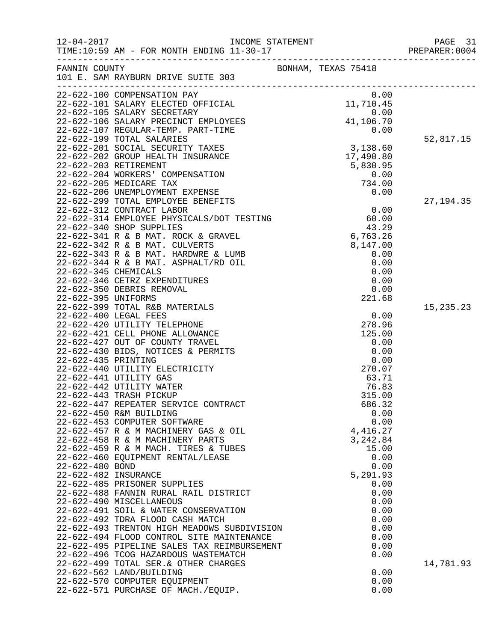| FANNIN COUNTY        |                                                                                                                                              | BONHAM, TEXAS 75418   |             |
|----------------------|----------------------------------------------------------------------------------------------------------------------------------------------|-----------------------|-------------|
|                      | 101 E. SAM RAYBURN DRIVE SUITE 303                                                                                                           |                       |             |
|                      | 22-622-100 COMPENSATION PAY                                                                                                                  | 0.00                  |             |
|                      | 22-022-100 COMPENSATION PAT<br>22-622-101 SALARY ELECTED OFFICIAL                                                                            | 11,710.45             |             |
|                      |                                                                                                                                              |                       |             |
|                      | 11,106.00 12-622-106 SALARY PRECINCT EMPLOYEES<br>22-622-107 REGULAR-TEMP. PART-TIME 41,106.70<br>22-622-199 TOTAL SALARETEMP CART-TIME 0.00 |                       |             |
|                      |                                                                                                                                              |                       |             |
|                      | 22-622-199 TOTAL SALARIES                                                                                                                    |                       | 52,817.15   |
|                      | 22-622-201 SOCIAL SECURITY TAXES                                                                                                             | 3,138.60              |             |
|                      | 22-622-202 GROUP HEALTH INSURANCE<br>22-622-203 RETIREMENT                                                                                   | 17,490.80<br>5,830.95 |             |
|                      | 22-622-204 WORKERS' COMPENSATION                                                                                                             | 0.00                  |             |
|                      | 22-622-205 MEDICARE TAX                                                                                                                      | 734.00                |             |
|                      | 22-622-206 UNEMPLOYMENT EXPENSE                                                                                                              | 0.00                  |             |
|                      | 22-622-299 TOTAL EMPLOYEE BENEFITS                                                                                                           |                       | 27, 194. 35 |
|                      | 22-622-312 CONTRACT LABOR                                                                                                                    | 0.00                  |             |
|                      | $22-622-314$ CONIRACT LABOR<br>22-622-314 EMPLOYEE PHYSICALS/DOT TESTING $60.00$<br>22-622-340 SHOP SUPPLIES $42.29$                         |                       |             |
|                      |                                                                                                                                              |                       |             |
|                      | 22-622-341 R & B MAT. ROCK & GRAVEL<br>22-622-342 R & B MAT. CULVERTS                                                                        | 6,763.26<br>8,147.00  |             |
|                      | 22-622-343 R & B MAT. HARDWRE & LUMB                                                                                                         | 0.00                  |             |
|                      | 22-622-344 R & B MAT. ASPHALT/RD OIL                                                                                                         | 0.00                  |             |
| 22-622-345 CHEMICALS |                                                                                                                                              | 0.00                  |             |
|                      | 22-622-346 CETRZ EXPENDITURES                                                                                                                | 0.00                  |             |
|                      | 22-622-350 DEBRIS REMOVAL                                                                                                                    | 0.00                  |             |
| 22-622-395 UNIFORMS  |                                                                                                                                              | 221.68                |             |
|                      | 22-622-399 TOTAL R&B MATERIALS                                                                                                               | 0.00                  | 15,235.23   |
|                      | 22-622-400 LEGAL FEES<br>22-622-420 UTILITY TELEPHONE                                                                                        | 278.96                |             |
|                      | 22-622-421 CELL PHONE ALLOWANCE                                                                                                              | 125.00                |             |
|                      | 22-622-427 OUT OF COUNTY TRAVEL                                                                                                              | 0.00                  |             |
|                      | 22-622-430 BIDS, NOTICES & PERMITS                                                                                                           | 0.00                  |             |
| 22-622-435 PRINTING  |                                                                                                                                              | 0.00                  |             |
|                      | 22-622-440 UTILITY ELECTRICITY                                                                                                               | 270.07                |             |
|                      | 22-622-441 UTILITY GAS                                                                                                                       | 63.71                 |             |
|                      | 22-622-442 UTILITY WATER                                                                                                                     | 76.83                 |             |
|                      | 22-622-443 TRASH PICKUP<br>22-622-447 REPEATER SERVICE CONTRACT                                                                              | 315.00<br>686.32      |             |
|                      | 22-622-450 R&M BUILDING                                                                                                                      | 0.00                  |             |
|                      | 22-622-453 COMPUTER SOFTWARE                                                                                                                 | 0.00                  |             |
|                      | 22-622-457 R & M MACHINERY GAS & OIL                                                                                                         | 4,416.27              |             |
|                      | 22-622-458 R & M MACHINERY PARTS                                                                                                             | 3,242.84              |             |
|                      | 22-622-459 R & M MACH. TIRES & TUBES                                                                                                         | 15.00                 |             |
|                      | 22-622-460 EQUIPMENT RENTAL/LEASE                                                                                                            | 0.00                  |             |
| 22-622-480 BOND      |                                                                                                                                              | 0.00                  |             |
| 22-622-482 INSURANCE |                                                                                                                                              | 5,291.93<br>0.00      |             |
|                      | 22-622-485 PRISONER SUPPLIES<br>22-622-488 FANNIN RURAL RAIL DISTRICT                                                                        | 0.00                  |             |
|                      | 22-622-490 MISCELLANEOUS                                                                                                                     | 0.00                  |             |
|                      | 22-622-491 SOIL & WATER CONSERVATION                                                                                                         | 0.00                  |             |
|                      | 22-622-492 TDRA FLOOD CASH MATCH                                                                                                             | 0.00                  |             |
|                      | 22-622-493 TRENTON HIGH MEADOWS SUBDIVISION                                                                                                  | 0.00                  |             |
|                      | 22-622-494 FLOOD CONTROL SITE MAINTENANCE                                                                                                    | 0.00                  |             |
|                      | 22-622-495 PIPELINE SALES TAX REIMBURSEMENT                                                                                                  | 0.00                  |             |
|                      | 22-622-496 TCOG HAZARDOUS WASTEMATCH                                                                                                         | 0.00                  |             |
|                      | 22-622-499 TOTAL SER.& OTHER CHARGES<br>22-622-562 LAND/BUILDING                                                                             | 0.00                  | 14,781.93   |
|                      | 22-622-570 COMPUTER EQUIPMENT                                                                                                                | 0.00                  |             |
|                      | 22-622-571 PURCHASE OF MACH./EQUIP.                                                                                                          | 0.00                  |             |
|                      |                                                                                                                                              |                       |             |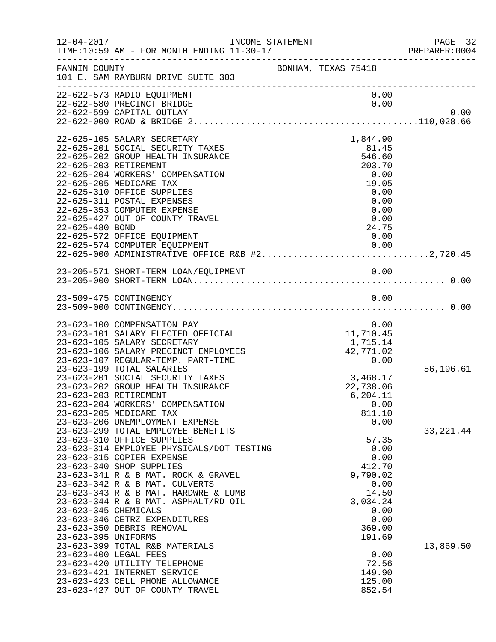| $12 - 04 - 2017$                                                     | INCOME STATEMENT                                                                                                                                                                                                                                                                                                                                                                                                                                                                                                                                                                                        |                                                                                                                                                                  | PAGE 32<br>PREPARER:0004 |
|----------------------------------------------------------------------|---------------------------------------------------------------------------------------------------------------------------------------------------------------------------------------------------------------------------------------------------------------------------------------------------------------------------------------------------------------------------------------------------------------------------------------------------------------------------------------------------------------------------------------------------------------------------------------------------------|------------------------------------------------------------------------------------------------------------------------------------------------------------------|--------------------------|
| FANNIN COUNTY                                                        | 101 E. SAM RAYBURN DRIVE SUITE 303                                                                                                                                                                                                                                                                                                                                                                                                                                                                                                                                                                      | BONHAM, TEXAS 75418                                                                                                                                              |                          |
|                                                                      | 22-622-573 RADIO EQUIPMENT<br>22-622-580 PRECINCT BRIDGE<br>22-622-599 CAPITAL OUTLAY                                                                                                                                                                                                                                                                                                                                                                                                                                                                                                                   | 0.00<br>0.00                                                                                                                                                     | 0.00                     |
| 22-625-203 RETIREMENT<br>22-625-480 BOND                             | 22-625-105 SALARY SECRETARY<br>22-625-201 SOCIAL SECURITY TAXES<br>22-625-202 GROUP HEALTH INSURANCE<br>22-625-204 WORKERS' COMPENSATION<br>22-625-205 MEDICARE TAX<br>22-625-310 OFFICE SUPPLIES<br>22-625-311 POSTAL EXPENSES<br>22-625-353 COMPUTER EXPENSE<br>22-625-427 OUT OF COUNTY TRAVEL<br>22-625-572 OFFICE EQUIPMENT<br>22-625-574 COMPUTER EQUIPMENT<br>22-625-574 COMPUTER EQUIPMENT<br>22-625-000 ADMINISTRATIVE OFFICE R&B #22,720.45                                                                                                                                                   | 1,844.90<br>81.45<br>546.60<br>203.70<br>0.00<br>19.05<br>0.00<br>0.00<br>0.00<br>0.00<br>24.75<br>0.00                                                          |                          |
|                                                                      |                                                                                                                                                                                                                                                                                                                                                                                                                                                                                                                                                                                                         |                                                                                                                                                                  |                          |
|                                                                      | 23-509-475 CONTINGENCY                                                                                                                                                                                                                                                                                                                                                                                                                                                                                                                                                                                  | 0.00                                                                                                                                                             |                          |
| 23-623-203 RETIREMENT                                                | 23-623-100 COMPENSATION PAY<br>23-623-101 SALARY ELECTED OFFICIAL<br>23-623-105 SALARY SECRETARY<br>23-623-106 SALARY PRECINCT EMPLOYEES<br>23-623-107 REGULAR-TEMP. PART-TIME<br>23-623-199 TOTAL SALARIES<br>23-623-201 SOCIAL SECURITY TAXES<br>23-623-202 GROUP HEALTH INSURANCE<br>23-623-204 WORKERS' COMPENSATION<br>23-623-205 MEDICARE TAX<br>23-623-206 UNEMPLOYMENT EXPENSE<br>23-623-299 TOTAL EMPLOYEE BENEFITS<br>23-623-310 OFFICE SUPPLIES<br>23-623-314 EMPLOYEE PHYSICALS/DOT TESTING<br>23-623-315 COPIER EXPENSE<br>23-623-340 SHOP SUPPLIES<br>23-623-341 R & B MAT. ROCK & GRAVEL | 0.00<br>11,710.45<br>1,715.14<br>42,771.02<br>0.00<br>3,468.17<br>22,738.06<br>6,204.11<br>0.00<br>811.10<br>0.00<br>57.35<br>0.00<br>0.00<br>412.70<br>9,790.02 | 56,196.61<br>33, 221.44  |
| 23-623-345 CHEMICALS<br>23-623-395 UNIFORMS<br>23-623-400 LEGAL FEES | 23-623-342 R & B MAT. CULVERTS<br>23-623-343 R & B MAT. HARDWRE & LUMB<br>23-623-344 R & B MAT. ASPHALT/RD OIL<br>23-623-346 CETRZ EXPENDITURES<br>23-623-350 DEBRIS REMOVAL<br>23-623-399 TOTAL R&B MATERIALS<br>23-623-420 UTILITY TELEPHONE<br>23-623-421 INTERNET SERVICE<br>23-623-423 CELL PHONE ALLOWANCE<br>23-623-427 OUT OF COUNTY TRAVEL                                                                                                                                                                                                                                                     | 0.00<br>14.50<br>3,034.24<br>0.00<br>0.00<br>369.00<br>191.69<br>0.00<br>72.56<br>149.90<br>125.00<br>852.54                                                     | 13,869.50                |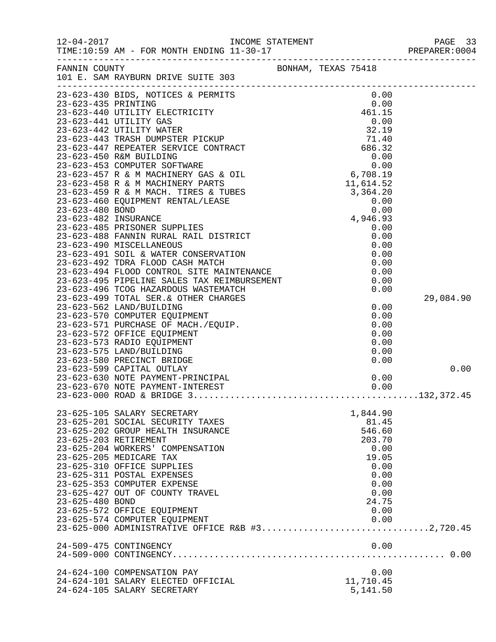|                 | INCOME STATEMENT PAGE FOR MONTH ENDING 11-30-17<br>PREPARER:0 PREPARER:0 PREPARER:0 PREPARER:0 PREPARER:0 |           | PAGE 33<br>PREPARER:0004 |
|-----------------|-----------------------------------------------------------------------------------------------------------|-----------|--------------------------|
|                 | FANNIN COUNTY BONHAM, TEXAS 75418<br>101 E. SAM RAYBURN DRIVE SUITE 303                                   |           |                          |
|                 |                                                                                                           |           |                          |
|                 |                                                                                                           |           |                          |
|                 |                                                                                                           |           |                          |
|                 |                                                                                                           |           |                          |
|                 |                                                                                                           |           |                          |
|                 |                                                                                                           |           |                          |
|                 |                                                                                                           |           |                          |
|                 |                                                                                                           |           |                          |
|                 |                                                                                                           |           |                          |
|                 |                                                                                                           |           |                          |
|                 |                                                                                                           |           |                          |
|                 |                                                                                                           |           |                          |
|                 |                                                                                                           |           |                          |
|                 |                                                                                                           |           |                          |
|                 |                                                                                                           |           |                          |
|                 |                                                                                                           |           |                          |
|                 |                                                                                                           |           |                          |
|                 |                                                                                                           |           |                          |
|                 |                                                                                                           |           |                          |
|                 |                                                                                                           |           |                          |
|                 |                                                                                                           |           |                          |
|                 |                                                                                                           |           |                          |
|                 |                                                                                                           |           |                          |
|                 | 23-623-499 TOTAL SER. & OTHER CHARGES                                                                     |           | 29,084.90                |
|                 | 23-623-562 LAND/BUILDING                                                                                  | 0.00      |                          |
|                 | 23-623-570 COMPUTER EQUIPMENT                                                                             | 0.00      |                          |
|                 | 23-623-571 PURCHASE OF MACH./EQUIP.                                                                       | 0.00      |                          |
|                 | 23-623-572 OFFICE EQUIPMENT                                                                               | 0.00      |                          |
|                 | 23-623-573 RADIO EQUIPMENT                                                                                | 0.00      |                          |
|                 | 23-623-575 LAND/BUILDING                                                                                  | 0.00      |                          |
|                 | 23-623-580 PRECINCT BRIDGE                                                                                | 0.00      | 0.00                     |
|                 | 23-623-599 CAPITAL OUTLAY<br>23-623-630 NOTE PAYMENT-PRINCIPAL                                            | 0.00      |                          |
|                 |                                                                                                           |           |                          |
|                 |                                                                                                           |           |                          |
|                 |                                                                                                           |           |                          |
|                 | 23-625-105 SALARY SECRETARY                                                                               | 1,844.90  |                          |
|                 | 23-625-201 SOCIAL SECURITY TAXES                                                                          | 81.45     |                          |
|                 | 23-625-202 GROUP HEALTH INSURANCE                                                                         | 546.60    |                          |
|                 | 23-625-203 RETIREMENT                                                                                     | 203.70    |                          |
|                 | 23-625-204 WORKERS' COMPENSATION                                                                          | 0.00      |                          |
|                 | 23-625-205 MEDICARE TAX                                                                                   | 19.05     |                          |
|                 | 23-625-310 OFFICE SUPPLIES                                                                                | 0.00      |                          |
|                 | 23-625-311 POSTAL EXPENSES                                                                                | 0.00      |                          |
|                 | 23-625-353 COMPUTER EXPENSE                                                                               | 0.00      |                          |
|                 | 23-625-427 OUT OF COUNTY TRAVEL                                                                           | 0.00      |                          |
| 23-625-480 BOND |                                                                                                           | 24.75     |                          |
|                 | 23-625-572 OFFICE EQUIPMENT                                                                               | 0.00      |                          |
|                 | 23-625-574 COMPUTER EQUIPMENT<br>23-625-000 ADMINISTRATIVE OFFICE R&B #32,720.45                          | 0.00      |                          |
|                 |                                                                                                           |           |                          |
|                 | 24-509-475 CONTINGENCY                                                                                    | 0.00      |                          |
|                 |                                                                                                           |           |                          |
|                 |                                                                                                           |           |                          |
|                 | 24-624-100 COMPENSATION PAY                                                                               | 0.00      |                          |
|                 | 24-624-101 SALARY ELECTED OFFICIAL                                                                        | 11,710.45 |                          |
|                 | 24-624-105 SALARY SECRETARY                                                                               | 5,141.50  |                          |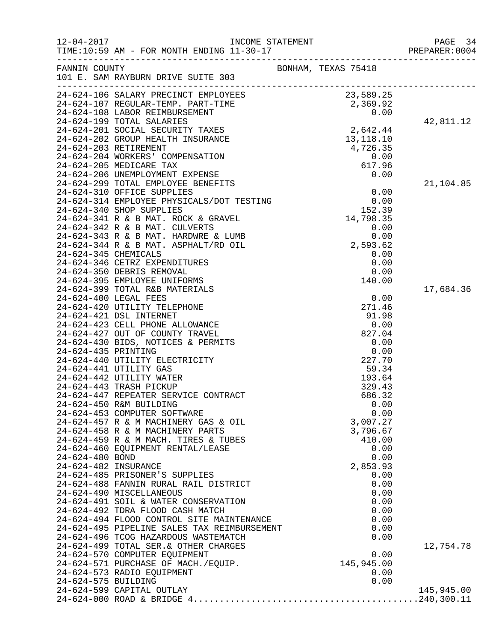|                      |                                                                                                                                                                                                                                          |                     |                            | PAGE 34<br>PREPARER: 0004 |
|----------------------|------------------------------------------------------------------------------------------------------------------------------------------------------------------------------------------------------------------------------------------|---------------------|----------------------------|---------------------------|
| FANNIN COUNTY        | 101 E. SAM RAYBURN DRIVE SUITE 303                                                                                                                                                                                                       | BONHAM, TEXAS 75418 |                            |                           |
|                      |                                                                                                                                                                                                                                          |                     |                            |                           |
|                      | 24-624-106 SALARY PRECINCT EMPLOYEES<br>24-624-107 REGULAR-TEMP. PART-TIME 2,369.25<br>24-624-107 REGULAR-TEMP. PART-TIME 2,369.92<br>24-624-108 LABOR REIMBURSEMENT 0.00<br>24-624-201 SOCIAL SECURITY TAXES<br>24-624-201 SOCIAL SECUR |                     |                            |                           |
|                      |                                                                                                                                                                                                                                          |                     |                            |                           |
|                      |                                                                                                                                                                                                                                          |                     |                            | 42,811.12                 |
|                      |                                                                                                                                                                                                                                          |                     |                            |                           |
|                      |                                                                                                                                                                                                                                          |                     |                            |                           |
|                      |                                                                                                                                                                                                                                          |                     |                            |                           |
|                      |                                                                                                                                                                                                                                          |                     |                            |                           |
|                      |                                                                                                                                                                                                                                          |                     |                            |                           |
|                      | 24-624-299 TOTAL EMPLOYEE BENEFITS                                                                                                                                                                                                       |                     |                            | 21,104.85                 |
|                      | 24-624-310 OFFICE SUPPLIES<br>24-624-314 EMPLOYEE PHYSICALS/DOT TESTING<br>24-624-340 SHOP SUPPLIES<br>24-624-341 R & B MAT. ROCK & CRAIRY                                                                                               |                     | 0.00                       |                           |
|                      |                                                                                                                                                                                                                                          |                     | 0.00                       |                           |
|                      |                                                                                                                                                                                                                                          |                     | 152.39                     |                           |
|                      | 24-624-342 R & B MAT. CULVERTS                                                                                                                                                                                                           |                     | 14,798.35                  |                           |
|                      | 24-624-343 R & B MAT. HARDWRE & LUMB                                                                                                                                                                                                     |                     | $0.00$<br>0.00<br>2,593.62 |                           |
|                      | 24-624-344 R & B MAT. ASPHALT/RD OIL                                                                                                                                                                                                     |                     |                            |                           |
| 24-624-345 CHEMICALS |                                                                                                                                                                                                                                          |                     | 0.00                       |                           |
|                      | 24-624-346 CETRZ EXPENDITURES                                                                                                                                                                                                            |                     | 0.00                       |                           |
|                      | 24-624-350 DEBRIS REMOVAL                                                                                                                                                                                                                |                     | 0.00                       |                           |
|                      | 24-624-395 EMPLOYEE UNIFORMS<br>24-624-399 TOTAL R&B MATERIALS                                                                                                                                                                           |                     | 140.00                     |                           |
|                      | 24-624-400 LEGAL FEES                                                                                                                                                                                                                    |                     | 0.00                       | 17,684.36                 |
|                      | 24-624-420 UTILITY TELEPHONE                                                                                                                                                                                                             |                     | 271.46                     |                           |
|                      | 24-624-421 DSL INTERNET                                                                                                                                                                                                                  |                     | 91.98                      |                           |
|                      | 24-624-423 CELL PHONE ALLOWANCE                                                                                                                                                                                                          |                     | 0.00                       |                           |
|                      | 24-624-427 OUT OF COUNTY TRAVEL                                                                                                                                                                                                          |                     | 827.04                     |                           |
| 24-624-435 PRINTING  | 24-624-430 BIDS, NOTICES & PERMITS                                                                                                                                                                                                       |                     | 0.00<br>0.00               |                           |
|                      | 24-624-440 UTILITY ELECTRICITY                                                                                                                                                                                                           |                     | 227.70                     |                           |
|                      | 24-624-441 UTILITY GAS                                                                                                                                                                                                                   |                     | 59.34                      |                           |
|                      | 24-624-442 UTILITY WATER                                                                                                                                                                                                                 |                     | 193.64                     |                           |
|                      | 24-624-443 TRASH PICKUP                                                                                                                                                                                                                  |                     | 329.43                     |                           |
|                      | 24-624-447 REPEATER SERVICE CONTRACT                                                                                                                                                                                                     |                     | 686.32                     |                           |
|                      | 24-624-450 R&M BUILDING<br>24-624-453 COMPUTER SOFTWARE                                                                                                                                                                                  |                     | 0.00<br>0.00               |                           |
|                      | 24-624-457 R & M MACHINERY GAS & OIL                                                                                                                                                                                                     |                     | 3,007.27                   |                           |
|                      | 24-624-458 R & M MACHINERY PARTS                                                                                                                                                                                                         |                     | 3,796.67                   |                           |
|                      | 24-624-459 R & M MACH. TIRES & TUBES                                                                                                                                                                                                     |                     | 410.00                     |                           |
|                      | 24-624-460 EQUIPMENT RENTAL/LEASE                                                                                                                                                                                                        |                     | 0.00                       |                           |
| 24-624-480 BOND      |                                                                                                                                                                                                                                          |                     | 0.00                       |                           |
| 24-624-482 INSURANCE |                                                                                                                                                                                                                                          |                     | 2,853.93                   |                           |
|                      | 24-624-485 PRISONER'S SUPPLIES<br>24-624-488 FANNIN RURAL RAIL DISTRICT                                                                                                                                                                  |                     | 0.00<br>0.00               |                           |
|                      | 24-624-490 MISCELLANEOUS                                                                                                                                                                                                                 |                     | 0.00                       |                           |
|                      | 24-624-491 SOIL & WATER CONSERVATION                                                                                                                                                                                                     |                     | 0.00                       |                           |
|                      | 24-624-492 TDRA FLOOD CASH MATCH                                                                                                                                                                                                         |                     | 0.00                       |                           |
|                      | 24-624-494 FLOOD CONTROL SITE MAINTENANCE                                                                                                                                                                                                |                     | 0.00                       |                           |
|                      | 24-624-495 PIPELINE SALES TAX REIMBURSEMENT                                                                                                                                                                                              |                     | 0.00                       |                           |
|                      | 24-624-496 TCOG HAZARDOUS WASTEMATCH<br>24-624-499 TOTAL SER. & OTHER CHARGES                                                                                                                                                            |                     | 0.00                       | 12,754.78                 |
|                      | 24-624-570 COMPUTER EQUIPMENT                                                                                                                                                                                                            |                     | 0.00                       |                           |
|                      | 24-624-571 PURCHASE OF MACH./EQUIP.                                                                                                                                                                                                      |                     | 145,945.00                 |                           |
|                      | 24-624-573 RADIO EQUIPMENT                                                                                                                                                                                                               |                     | 0.00                       |                           |
| 24-624-575 BUILDING  |                                                                                                                                                                                                                                          |                     | 0.00                       |                           |
|                      | 24-624-599 CAPITAL OUTLAY                                                                                                                                                                                                                |                     |                            | 145,945.00                |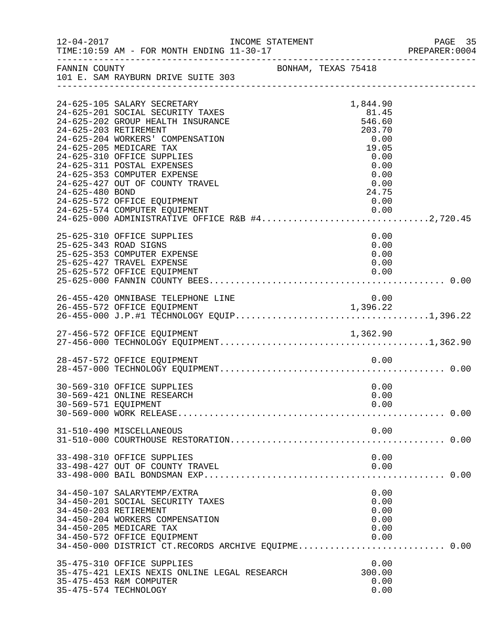| $12 - 04 - 2017$      | TIME:10:59 AM - FOR MONTH ENDING 11-30-17                                                                                                                                                                                                                                                                                                                                                                                                     | INCOME STATEMENT    |                                                                                                         | PAGE 35<br>PREPARER: 0004 |
|-----------------------|-----------------------------------------------------------------------------------------------------------------------------------------------------------------------------------------------------------------------------------------------------------------------------------------------------------------------------------------------------------------------------------------------------------------------------------------------|---------------------|---------------------------------------------------------------------------------------------------------|---------------------------|
| FANNIN COUNTY         | 101 E. SAM RAYBURN DRIVE SUITE 303                                                                                                                                                                                                                                                                                                                                                                                                            | BONHAM, TEXAS 75418 |                                                                                                         | _________________________ |
| 24-625-480 BOND       | 24-625-105 SALARY SECRETARY<br>24-625-201 SOCIAL SECURITY TAXES<br>24-625-202 GROUP HEALTH INSURANCE<br>24-625-203 RETIREMENT<br>24-625-204 WORKERS' COMPENSATION<br>24-625-205 MEDICARE TAX<br>24-625-310 OFFICE SUPPLIES<br>24-625-311 POSTAL EXPENSES<br>24-625-353 COMPUTER EXPENSE<br>24-625-427 OUT OF COUNTY TRAVEL<br>24-625-572 OFFICE EQUIPMENT<br>24-625-574 COMPUTER EQUIPMENT<br>24-625-000 ADMINISTRATIVE OFFICE R&B #42,720.45 |                     | 1,844.90<br>81.45<br>546.60<br>203.70<br>0.00<br>19.05<br>0.00<br>0.00<br>0.00<br>0.00<br>24.75<br>0.00 |                           |
| 25-625-343 ROAD SIGNS | 25-625-310 OFFICE SUPPLIES<br>25-625-353 COMPUTER EXPENSE<br>25-625-427 TRAVEL EXPENSE<br>25-625-572 OFFICE EQUIPMENT                                                                                                                                                                                                                                                                                                                         |                     | 0.00<br>0.00<br>0.00<br>0.00<br>0.00                                                                    |                           |
|                       | 26-455-420 OMNIBASE TELEPHONE LINE                                                                                                                                                                                                                                                                                                                                                                                                            |                     | 0.00                                                                                                    |                           |
|                       |                                                                                                                                                                                                                                                                                                                                                                                                                                               |                     |                                                                                                         |                           |
|                       | 28-457-572 OFFICE EQUIPMENT                                                                                                                                                                                                                                                                                                                                                                                                                   |                     | 0.00                                                                                                    |                           |
| 30-569-571 EQUIPMENT  | 30-569-310 OFFICE SUPPLIES<br>30-569-421 ONLINE RESEARCH                                                                                                                                                                                                                                                                                                                                                                                      |                     | 0.00<br>0.00<br>0.00                                                                                    |                           |
|                       | 31-510-490 MISCELLANEOUS                                                                                                                                                                                                                                                                                                                                                                                                                      |                     | 0.00                                                                                                    |                           |
|                       | 33-498-310 OFFICE SUPPLIES<br>33-498-427 OUT OF COUNTY TRAVEL                                                                                                                                                                                                                                                                                                                                                                                 |                     | 0.00<br>0.00                                                                                            |                           |
| 34-450-203 RETIREMENT | 34-450-107 SALARYTEMP/EXTRA<br>34-450-201 SOCIAL SECURITY TAXES<br>34-450-204 WORKERS COMPENSATION<br>34-450-205 MEDICARE TAX<br>34-450-572 OFFICE EQUIPMENT<br>34-450-000 DISTRICT CT.RECORDS ARCHIVE EQUIPME 0.00                                                                                                                                                                                                                           |                     | 0.00<br>0.00<br>0.00<br>0.00<br>0.00<br>0.00                                                            |                           |
|                       | 35-475-310 OFFICE SUPPLIES<br>35-475-421 LEXIS NEXIS ONLINE LEGAL RESEARCH<br>35-475-453 R&M COMPUTER<br>35-475-574 TECHNOLOGY                                                                                                                                                                                                                                                                                                                |                     | 0.00<br>300.00<br>0.00<br>0.00                                                                          |                           |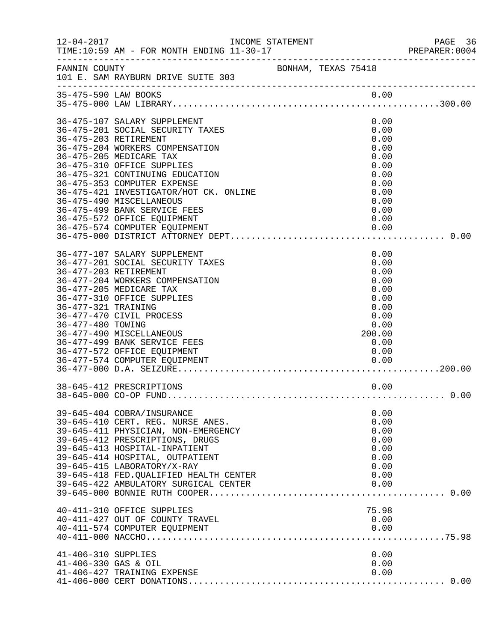| $12 - 04 - 2017$                                                  | INCOME STATEMENT                                                                                                                                                                                                                                                                                                                                                                                                              |                     |                                                                                                      | PAGE 36<br>PREPARER:0004 |
|-------------------------------------------------------------------|-------------------------------------------------------------------------------------------------------------------------------------------------------------------------------------------------------------------------------------------------------------------------------------------------------------------------------------------------------------------------------------------------------------------------------|---------------------|------------------------------------------------------------------------------------------------------|--------------------------|
| FANNIN COUNTY                                                     | 101 E. SAM RAYBURN DRIVE SUITE 303                                                                                                                                                                                                                                                                                                                                                                                            | BONHAM, TEXAS 75418 |                                                                                                      |                          |
|                                                                   |                                                                                                                                                                                                                                                                                                                                                                                                                               |                     |                                                                                                      |                          |
|                                                                   | 36-475-107 SALARY SUPPLEMENT<br>36-475-201 SOCIAL SECURITY TAXES<br>36-475-203 RETIREMENT<br>36-475-204 WORKERS COMPENSATION<br>36-475-205 MEDICARE TAX<br>36-475-310 OFFICE SUPPLIES<br>36-475-321 CONTINUING EDUCATION<br>36-475-353 COMPUTER EXPENSE<br>36-475-421 INVESTIGATOR/HOT CK. ONLINE<br>36-475-490 MISCELLANEOUS<br>36-475-499 BANK SERVICE FEES<br>36-475-572 OFFICE EQUIPMENT<br>36-475-574 COMPUTER EQUIPMENT |                     | 0.00<br>0.00<br>0.00<br>0.00<br>0.00<br>0.00<br>0.00<br>0.00<br>0.00<br>0.00<br>0.00<br>0.00<br>0.00 |                          |
| 36-477-203 RETIREMENT<br>36-477-321 TRAINING<br>36-477-480 TOWING | 36-477-107 SALARY SUPPLEMENT<br>36-477-201 SOCIAL SECURITY TAXES<br>36-477-204 WORKERS COMPENSATION<br>36-477-205 MEDICARE TAX<br>36-477-310 OFFICE SUPPLIES<br>36-477-470 CIVIL PROCESS<br>36-477-490 MISCELLANEOUS<br>36-477-499 BANK SERVICE FEES<br>36-477-572 OFFICE EQUIPMENT                                                                                                                                           |                     | 0.00<br>0.00<br>0.00<br>0.00<br>0.00<br>0.00<br>0.00<br>0.00<br>0.00<br>200.00<br>0.00<br>0.00       |                          |
|                                                                   | 38-645-412 PRESCRIPTIONS                                                                                                                                                                                                                                                                                                                                                                                                      |                     | 0.00                                                                                                 |                          |
|                                                                   | 39-645-404 COBRA/INSURANCE<br>39-645-410 CERT. REG. NURSE ANES.<br>39-645-411 PHYSICIAN, NON-EMERGENCY<br>39-645-412 PRESCRIPTIONS, DRUGS<br>39-645-413 HOSPITAL-INPATIENT<br>39-645-414 HOSPITAL, OUTPATIENT<br>39-645-415 LABORATORY/X-RAY<br>39-645-418 FED. QUALIFIED HEALTH CENTER<br>39-645-422 AMBULATORY SURGICAL CENTER                                                                                              |                     | 0.00<br>0.00<br>0.00<br>0.00<br>0.00<br>0.00<br>0.00<br>0.00<br>0.00                                 |                          |
|                                                                   | 40-411-310 OFFICE SUPPLIES<br>40-411-427 OUT OF COUNTY TRAVEL<br>40-411-574 COMPUTER EQUIPMENT                                                                                                                                                                                                                                                                                                                                |                     | 75.98<br>0.00<br>0.00                                                                                |                          |
| $41 - 406 - 310$ SUPPLIES<br>41-406-330 GAS & OIL                 | 41-406-427 TRAINING EXPENSE                                                                                                                                                                                                                                                                                                                                                                                                   |                     | 0.00<br>0.00<br>0.00                                                                                 |                          |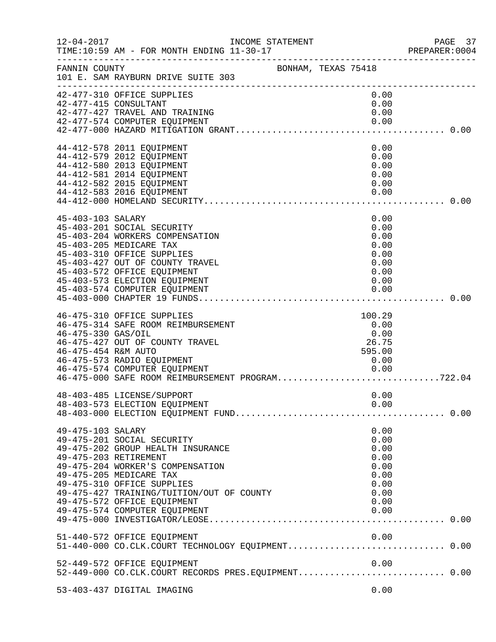|                                           | INCOME STATEMENT                                                                                                                                                                                                                                                                                   |                     |  |                                                                              | PAGE 37<br>PREPARER:0004 |
|-------------------------------------------|----------------------------------------------------------------------------------------------------------------------------------------------------------------------------------------------------------------------------------------------------------------------------------------------------|---------------------|--|------------------------------------------------------------------------------|--------------------------|
| FANNIN COUNTY                             | 101 E. SAM RAYBURN DRIVE SUITE 303                                                                                                                                                                                                                                                                 | BONHAM, TEXAS 75418 |  |                                                                              |                          |
|                                           | 42-477-310 OFFICE SUPPLIES<br>42-477-415 CONSULTANT<br>42-477-427 TRAVEL AND TRAINING<br>42-477-574 COMPUTER EQUIPMENT                                                                                                                                                                             |                     |  | 0.00<br>0.00<br>0.00<br>0.00                                                 |                          |
|                                           | 44-412-578 2011 EQUIPMENT<br>44-412-579 2012 EQUIPMENT<br>44-412-580 2013 EQUIPMENT<br>44-412-581 2014 EQUIPMENT<br>44-412-582 2015 EQUIPMENT<br>44-412-583 2016 EQUIPMENT                                                                                                                         |                     |  | 0.00<br>0.00<br>0.00<br>0.00<br>0.00<br>0.00                                 |                          |
| 45-403-103 SALARY                         | 45-403-201 SOCIAL SECURITY<br>45-403-204 WORKERS COMPENSATION<br>45-403-205 MEDICARE TAX<br>45-403-310 OFFICE SUPPLIES<br>45-403-427 OUT OF COUNTY TRAVEL<br>45-403-572 OFFICE EQUIPMENT<br>45-403-573 ELECTION EQUIPMENT<br>45-403-574 COMPUTER EQUIPMENT                                         |                     |  | 0.00<br>0.00<br>0.00<br>0.00<br>0.00<br>0.00<br>0.00<br>0.00<br>0.00         |                          |
| 46-475-330 GAS/OIL<br>46-475-454 R&M AUTO | 46-475-310 OFFICE SUPPLIES<br>46-475-314 SAFE ROOM REIMBURSEMENT<br>46-475-427 OUT OF COUNTY TRAVEL<br>46-475-573 RADIO EQUIPMENT<br>46-475-574 COMPUTER EQUIPMENT<br>46-475-000 SAFE ROOM REIMBURSEMENT PROGRAM722.04                                                                             |                     |  | 100.29<br>0.00<br>0.00<br>26.75<br>595.00<br>0.00                            |                          |
|                                           | 48-403-485 LICENSE/SUPPORT<br>48-403-573 ELECTION EQUIPMENT                                                                                                                                                                                                                                        |                     |  | 0.00<br>0.00                                                                 |                          |
| 49-475-103 SALARY                         | 49-475-201 SOCIAL SECURITY<br>49-475-202 GROUP HEALTH INSURANCE<br>49-475-203 RETIREMENT<br>49-475-204 WORKER'S COMPENSATION<br>49-475-205 MEDICARE TAX<br>49-475-310 OFFICE SUPPLIES<br>49-475-427 TRAINING/TUITION/OUT OF COUNTY<br>49-475-572 OFFICE EQUIPMENT<br>49-475-574 COMPUTER EQUIPMENT |                     |  | 0.00<br>0.00<br>0.00<br>0.00<br>0.00<br>0.00<br>0.00<br>0.00<br>0.00<br>0.00 |                          |
|                                           | 51-440-572 OFFICE EQUIPMENT                                                                                                                                                                                                                                                                        |                     |  | 0.00                                                                         |                          |
|                                           | 52-449-572 OFFICE EQUIPMENT<br>52-449-000 CO.CLK.COURT RECORDS PRES.EQUIPMENT 0.00                                                                                                                                                                                                                 |                     |  | 0.00                                                                         |                          |
|                                           | 53-403-437 DIGITAL IMAGING                                                                                                                                                                                                                                                                         |                     |  | 0.00                                                                         |                          |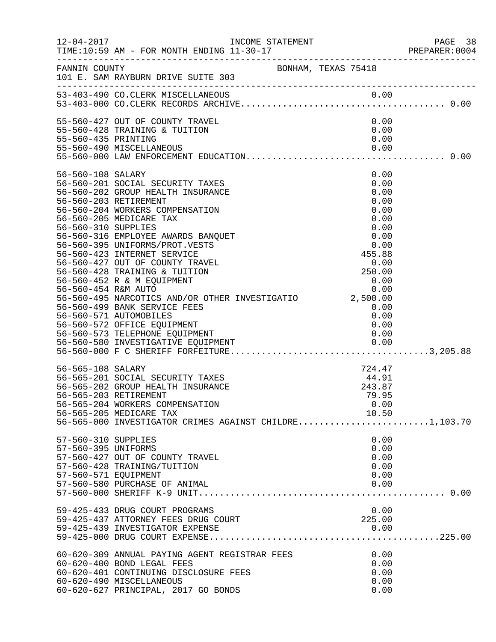|                      |                                                                             |  |                                                                       | PREPARER: 0004 |
|----------------------|-----------------------------------------------------------------------------|--|-----------------------------------------------------------------------|----------------|
|                      | FANNIN COUNTY BONHAM, TEXAS 75418<br>101 E. SAM RAYBURN DRIVE SUITE 303     |  |                                                                       |                |
|                      | 53-403-490 CO. CLERK MISCELLANEOUS                                          |  |                                                                       |                |
|                      | 55-560-427 OUT OF COUNTY TRAVEL                                             |  | 0.00                                                                  |                |
|                      | 55-560-428 TRAINING & TUITION                                               |  | 0.00                                                                  |                |
| 55-560-435 PRINTING  |                                                                             |  | 0.00                                                                  |                |
|                      | 55-560-490 MISCELLANEOUS                                                    |  | 0.00                                                                  |                |
|                      |                                                                             |  |                                                                       |                |
| 56-560-108 SALARY    |                                                                             |  | 0.00                                                                  |                |
|                      | 56-560-201 SOCIAL SECURITY TAXES<br>56-560-202 GROUP HEALTH INSURANCE       |  | 0.00<br>0.00                                                          |                |
|                      | 56-560-203 RETIREMENT                                                       |  | 0.00                                                                  |                |
|                      | 56-560-204 WORKERS COMPENSATION                                             |  | 0.00                                                                  |                |
|                      | 56-560-205 MEDICARE TAX                                                     |  | 0.00                                                                  |                |
| 56-560-310 SUPPLIES  |                                                                             |  | 0.00                                                                  |                |
|                      | 56-560-316 EMPLOYEE AWARDS BANQUET                                          |  | 0.00                                                                  |                |
|                      | 56-560-395 UNIFORMS/PROT.VESTS                                              |  | 0.00                                                                  |                |
|                      | 56-560-423 INTERNET SERVICE                                                 |  | 455.88                                                                |                |
|                      | 56-560-427 OUT OF COUNTY TRAVEL                                             |  |                                                                       |                |
|                      | 56-560-428 TRAINING & TUITION<br>56-560-452 R & M EQUIPMENT                 |  |                                                                       |                |
| 56-560-454 R&M AUTO  |                                                                             |  | $\begin{array}{r} 0.00 \\ 250.00 \\ 0.00 \\ 0.00 \\ 0.00 \end{array}$ |                |
|                      | 56-560-495 NARCOTICS AND/OR OTHER INVESTIGATIO 2,500.00                     |  |                                                                       |                |
|                      | 56-560-499 BANK SERVICE FEES                                                |  | 0.00                                                                  |                |
|                      | 56-560-571 AUTOMOBILES                                                      |  | 0.00                                                                  |                |
|                      | 56-560-572 OFFICE EQUIPMENT                                                 |  | 0.00                                                                  |                |
|                      | 56-560-573 TELEPHONE EQUIPMENT                                              |  | 0.00                                                                  |                |
|                      |                                                                             |  |                                                                       |                |
|                      |                                                                             |  |                                                                       |                |
| 56-565-108 SALARY    |                                                                             |  | 724.47                                                                |                |
|                      | 56-565-201 SOCIAL SECURITY TAXES                                            |  | 44.91                                                                 |                |
|                      | 56-565-202 GROUP HEALTH INSURANCE                                           |  | 243.87                                                                |                |
|                      | 56-565-203 RETIREMENT                                                       |  | 79.95                                                                 |                |
|                      | 56-565-204 WORKERS COMPENSATION<br>56-565-205 MEDICARE TAX                  |  | 0.00<br>10.50                                                         |                |
|                      | 56-565-000 INVESTIGATOR CRIMES AGAINST CHILDRE1,103.70                      |  |                                                                       |                |
|                      |                                                                             |  |                                                                       |                |
| 57-560-310 SUPPLIES  |                                                                             |  | 0.00                                                                  |                |
| 57-560-395 UNIFORMS  |                                                                             |  | 0.00                                                                  |                |
|                      | 57-560-427 OUT OF COUNTY TRAVEL<br>57-560-428 TRAINING/TUITION              |  | 0.00<br>0.00                                                          |                |
| 57-560-571 EQUIPMENT |                                                                             |  | 0.00                                                                  |                |
|                      | 57-560-580 PURCHASE OF ANIMAL                                               |  | 0.00                                                                  |                |
|                      |                                                                             |  |                                                                       |                |
|                      |                                                                             |  |                                                                       |                |
|                      | 59-425-433 DRUG COURT PROGRAMS<br>59-425-437 ATTORNEY FEES DRUG COURT       |  | 0.00<br>225.00                                                        |                |
|                      | 59-425-439 INVESTIGATOR EXPENSE                                             |  | 0.00                                                                  |                |
|                      |                                                                             |  |                                                                       |                |
|                      |                                                                             |  |                                                                       |                |
|                      | 60-620-309 ANNUAL PAYING AGENT REGISTRAR FEES<br>60-620-400 BOND LEGAL FEES |  | 0.00<br>0.00                                                          |                |
|                      | 60-620-401 CONTINUING DISCLOSURE FEES                                       |  | 0.00                                                                  |                |
|                      | 60-620-490 MISCELLANEOUS                                                    |  | 0.00                                                                  |                |
|                      | 60-620-627 PRINCIPAL, 2017 GO BONDS                                         |  | 0.00                                                                  |                |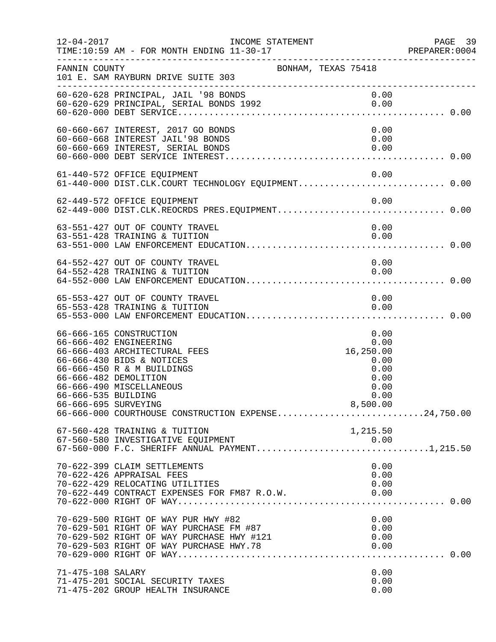| $12 - 04 - 2017$                            | INCOME STATEMENT                                                                                                                                                                                                  |                                                                               | PAGE 39<br>PREPARER: 0004 |
|---------------------------------------------|-------------------------------------------------------------------------------------------------------------------------------------------------------------------------------------------------------------------|-------------------------------------------------------------------------------|---------------------------|
| FANNIN COUNTY                               | BONHAM, TEXAS 75418                                                                                                                                                                                               |                                                                               |                           |
|                                             | 101 E. SAM RAYBURN DRIVE SUITE 303<br>-----------------------------------                                                                                                                                         |                                                                               |                           |
|                                             |                                                                                                                                                                                                                   |                                                                               |                           |
|                                             | 60-660-667 INTEREST, 2017 GO BONDS<br>60-660-669 INTEREST, SERIAL BONDS<br>60-660-669 INTEREST, SERIAL BONDS<br>60-660-000 DEBT SERIAL TILE                                                                       | 0.00<br>0.00<br>0.00                                                          |                           |
|                                             | 61-440-572 OFFICE EQUIPMENT                                                                                                                                                                                       | 0.00                                                                          |                           |
|                                             | 62-449-572 OFFICE EQUIPMENT<br>62-449-000 DIST.CLK.REOCRDS PRES.EQUIPMENT0.00                                                                                                                                     |                                                                               |                           |
|                                             | 63-551-427 OUT OF COUNTY TRAVEL<br>63-551-428 TRAINING & TUITION                                                                                                                                                  | 0.00<br>0.00                                                                  |                           |
|                                             | 64-552-427 OUT OF COUNTY TRAVEL<br>64-552-428 TRAINING & TUITION                                                                                                                                                  | 0.00<br>0.00                                                                  |                           |
|                                             | 65-553-427 OUT OF COUNTY TRAVEL<br>65-553-428 TRAINING & TUITION                                                                                                                                                  | 0.00<br>0.00                                                                  |                           |
| 66-666-535 BUILDING<br>66-666-695 SURVEYING | 66-666-165 CONSTRUCTION<br>66-666-402 ENGINEERING<br>66-666-403 ARCHITECTURAL FEES<br>66-666-430 BIDS & NOTICES<br>66-666-450 R & M BUILDINGS<br>66-666-482 DEMOLITION<br>66-666-490 MISCELLANEOUS                | 0.00<br>0.00<br>16,250.00<br>0.00<br>0.00<br>0.00<br>0.00<br>0.00<br>8,500.00 |                           |
|                                             | 67-560-428 TRAINING & TUITION<br>67-560-580 INVESTIGATIVE EQUIPMENT<br>67-560-000 F.C. SHERIFF ANNUAL PAYMENT1,215.50                                                                                             | 1,215.50                                                                      |                           |
|                                             | 70-622-399 CLAIM SETTLEMENTS<br>70-622-426 APPRAISAL FEES<br>70-622-429 RELOCATING UTILITIES<br>70-622-449 CONTRACT EXPENSES FOR FM87 R.O.W.                                                                      | 0.00<br>0.00<br>0.00<br>0.00                                                  |                           |
|                                             | 70-629-500 RIGHT OF WAY PUR HWY #82<br>70-629-501 RIGHT OF WAY PURCHASE FM #87<br>70-629-501 RIGHT OF WAY PURCHASE FM #87<br>70-629-502 RIGHT OF WAY PURCHASE HWY #121<br>70-629-503 RIGHT OF WAY PURCHASE HWY.78 | 0.00<br>0.00<br>0.00<br>0.00                                                  |                           |
| 71-475-108 SALARY                           | 71-475-201 SOCIAL SECURITY TAXES<br>71-475-202 GROUP HEALTH INSURANCE                                                                                                                                             | 0.00<br>0.00<br>0.00                                                          |                           |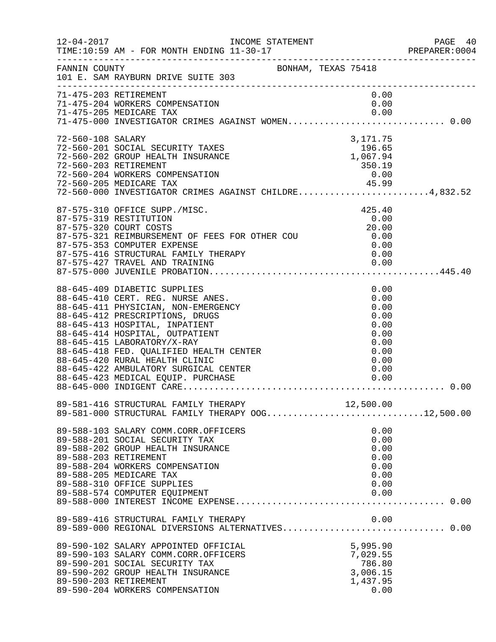| $12 - 04 - 2017$  | INCOME STATEMENT<br>TIME:10:59 AM - FOR MONTH ENDING 11-30-17<br>______________________________________                                                                                                                                                                                                                                                               |                                                                              | PAGE 40<br>PREPARER:0004 |
|-------------------|-----------------------------------------------------------------------------------------------------------------------------------------------------------------------------------------------------------------------------------------------------------------------------------------------------------------------------------------------------------------------|------------------------------------------------------------------------------|--------------------------|
| FANNIN COUNTY     | BONHAM, TEXAS 75418<br>101 E. SAM RAYBURN DRIVE SUITE 303                                                                                                                                                                                                                                                                                                             |                                                                              |                          |
|                   | 71-475-203 RETIREMENT<br>71-475-204 WORKERS COMPENSATION<br>71-475-205 MEDICARE TAX<br>71-475-000 INVESTIGATOR CRIMES AGAINST WOMEN 0.00                                                                                                                                                                                                                              | 0.00<br>0.00<br>0.00                                                         |                          |
| 72-560-108 SALARY | 72-560-201 SOCIAL SECURITY TAXES<br>72-560-202 GROUP HEALTH INSURANCE<br>72-560-203 RETIREMENT<br>72-560-204 WORKERS COMPENSATION<br>72-560-205 MEDICARE TAX 45.99<br>72-560-000 INVESTIGATOR CRIMES AGAINST CHILDRE4,832.52<br>72-560-205 MEDICARE TAX                                                                                                               | 3,171.75<br>196.65<br>1,067.94<br>350.19<br>0.00                             |                          |
|                   | 87-575-310 OFFICE SUPP./MISC.<br>87-575-319 RESTITUTION<br>87-575-320 COURT COSTS<br>87-575-321 REIMBURSEMENT OF FEES FOR OTHER COU<br>87-575-353 COMPUTER EXPENSE<br>87-575-416 STRUCTURAL FAMILY THERAPY<br>87-575-427 TRAVEL AND TRAINING                                                                                                                          | 425.40<br>0.00<br>20.00<br>0.00<br>0.00<br>0.00<br>0.00                      |                          |
|                   | 88-645-409 DIABETIC SUPPLIES<br>88-645-410 CERT. REG. NURSE ANES.<br>88-645-411 PHYSICIAN, NON-EMERGENCY<br>88-645-412 PRESCRIPTIONS, DRUGS<br>88-645-413 HOSPITAL, INPATIENT<br>88-645-414 HOSPITAL, OUTPATIENT<br>88-645-415 LABORATORY/X-RAY<br>88-645-418 FED. QUALIFIED HEALTH CENTER<br>88-645-420 RURAL HEALTH CLINIC<br>88-645-422 AMBULATORY SURGICAL CENTER | 0.00<br>0.00<br>0.00<br>0.00<br>0.00<br>0.00<br>0.00<br>0.00<br>0.00<br>0.00 | 0.00                     |
|                   | 89-581-416 STRUCTURAL FAMILY THERAPY 12,500.00<br>89-581-000 STRUCTURAL FAMILY THERAPY OOG12,500.00                                                                                                                                                                                                                                                                   |                                                                              |                          |
|                   | 89-588-103 SALARY COMM.CORR.OFFICERS<br>89-588-201 SOCIAL SECURITY TAX<br>89-588-202 GROUP HEALTH INSURANCE<br>89-588-203 RETIREMENT<br>89-588-204 WORKERS COMPENSATION<br>89-588-205 MEDICARE TAX<br>89-588-310 OFFICE SUPPLIES<br>89-588-574 COMPUTER EQUIPMENT                                                                                                     | 0.00<br>0.00<br>0.00<br>0.00<br>0.00<br>0.00<br>0.00<br>0.00                 |                          |
|                   | 89-589-416 STRUCTURAL FAMILY THERAPY<br>89-589-416 STRUCTURAL FAMILY THERAPY             0.00<br>89-589-000 REGIONAL DIVERSIONS ALTERNATIVES 0.00                                                                                                                                                                                                                     | 0.00                                                                         |                          |
|                   | 89-590-102 SALARY APPOINTED OFFICIAL<br>89-590-103 SALARY COMM.CORR.OFFICERS<br>89-590-201 SOCIAL SECURITY TAX<br>89-590-202 GROUP HEALTH INSURANCE<br>89-590-203 RETIREMENT<br>89-590-204 WORKERS COMPENSATION                                                                                                                                                       | 5,995.90<br>7,029.55<br>786.80<br>3,006.15<br>1,437.95<br>0.00               |                          |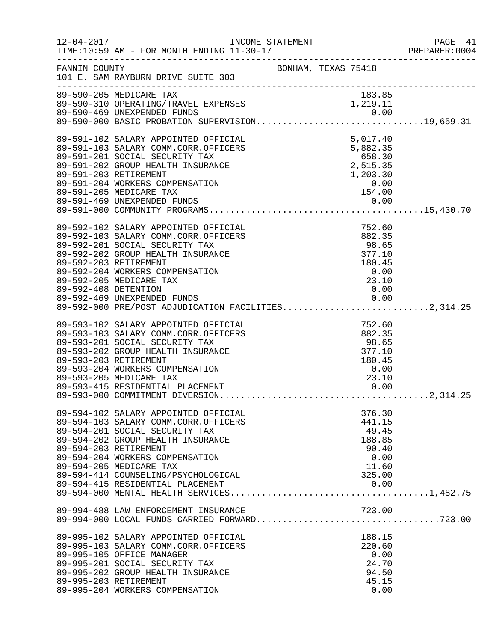|                       |                                                                                                                                                                                                                                                                                                                                                                                                                                     |  |                                                                                 | PAGE 41<br>PREPARER: 0004 |
|-----------------------|-------------------------------------------------------------------------------------------------------------------------------------------------------------------------------------------------------------------------------------------------------------------------------------------------------------------------------------------------------------------------------------------------------------------------------------|--|---------------------------------------------------------------------------------|---------------------------|
|                       | FANNIN COUNTY COUNTY BONHAM, TEXAS 75418<br>101 E. SAM RAYBURN DRIVE SUITE 303                                                                                                                                                                                                                                                                                                                                                      |  |                                                                                 |                           |
|                       | 89-590-205 MEDICARE TAX                                                                                                                                                                                                                                                                                                                                                                                                             |  | 183.85                                                                          |                           |
|                       | 89-591-102 SALARY APPOINTED OFFICIAL<br>89-591-103 SALARY COMM.CORR.OFFICERS<br>89-591-201 SOCIAL SECURITY TAX<br>89-591-202 GROUP HEALTH INSURANCE<br>89-591-203 RETIREMENT<br>89-591-203 RETIREMENT<br>89-591-205 MEDICARE TAX<br>89-591-4                                                                                                                                                                                        |  |                                                                                 |                           |
| 89-592-203 RETIREMENT | 89-592-102 SALARY APPOINTED OFFICIAL<br>$752.60$<br>$882.35$<br>$98.65$<br>$377.10$<br>$180.45$<br>$0.00$<br>$23.10$<br>$0.00$<br>89-592-103 SALARY COMM.CORR.OFFICERS<br>89-592-201 SOCIAL SECURITY TAX<br>89-592-202 GROUP HEALTH INSURANCE<br>89-592-204 WORKERS COMPENSATION<br>89-592-205 MEDICARE TAX<br>89-592-408 DETENTION 0.00<br>89-592-469 UNEXPENDED FUNDS 0.00<br>89-592-000 PRE/POST ADJUDICATION FACILITIES2,314.25 |  |                                                                                 |                           |
| 89-593-203 RETIREMENT | 89-593-102 SALARY APPOINTED OFFICIAL<br>89-593-103 SALARY COMM.CORR.OFFICERS<br>89-593-201 SOCIAL SECURITY TAX<br>89-593-202 GROUP HEALTH INSURANCE<br>89-593-204 WORKERS COMPENSATION<br>89-593-205 MEDICARE TAX                                                                                                                                                                                                                   |  | $752.60$<br>$882.35$<br>$98.65$<br>$377.10$<br>$180.45$<br>0.00<br>23.10        |                           |
| 89-594-203 RETIREMENT | 89-594-102 SALARY APPOINTED OFFICIAL<br>89-594-103 SALARY COMM.CORR.OFFICERS<br>89-594-201 SOCIAL SECURITY TAX<br>89-594-202 GROUP HEALTH INSURANCE<br>89-594-204 WORKERS COMPENSATION<br>89-594-205 MEDICARE TAX<br>89-594-414 COUNSELING/PSYCHOLOGICAL<br>89-594-415 RESIDENTIAL PLACEMENT                                                                                                                                        |  | 376.30<br>441.15<br>49.45<br>188.85<br>90.40<br>0.00<br>11.60<br>325.00<br>0.00 |                           |
|                       |                                                                                                                                                                                                                                                                                                                                                                                                                                     |  | 723.00                                                                          |                           |
| 89-995-203 RETIREMENT | 89-995-102 SALARY APPOINTED OFFICIAL<br>89-995-103 SALARY COMM.CORR.OFFICERS<br>89-995-105 OFFICE MANAGER<br>89-995-201 SOCIAL SECURITY TAX<br>89-995-202 GROUP HEALTH INSURANCE<br>89-995-204 WORKERS COMPENSATION                                                                                                                                                                                                                 |  | 188.15<br>220.60<br>0.00<br>24.70<br>94.50<br>45.15<br>0.00                     |                           |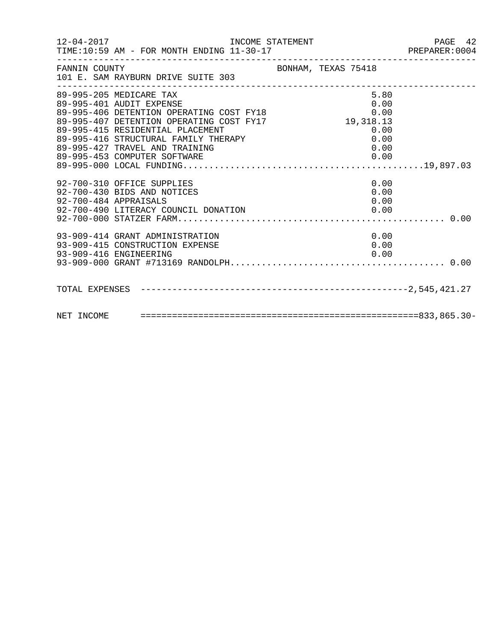| FANNIN COUNTY<br>101 E. SAM RAYBURN DRIVE SUITE 303                                                                                                                                                                                                                                                                           | BONHAM, TEXAS 75418                  |  |
|-------------------------------------------------------------------------------------------------------------------------------------------------------------------------------------------------------------------------------------------------------------------------------------------------------------------------------|--------------------------------------|--|
| 89-995-205 MEDICARE TAX<br>89-995-401 AUDIT EXPENSE<br>89-995-406 DETENTION OPERATING COST FY18<br>89-995-407 DETENTION OPERATING COST FY17<br>89-995-415 PERIDENTIAL DIACUMENT<br>89-995-415 RESIDENTIAL PLACEMENT<br>89-995-416 STRUCTURAL FAMILY THERAPY<br>89-995-427 TRAVEL AND TRAINING<br>89-995-453 COMPUTER SOFTWARE | 5.80<br>$0\,.\,00\,$<br>0.00<br>0.00 |  |
| 92-700-310 OFFICE SUPPLIES<br>92-700-430 BIDS AND NOTICES<br>92-700-484 APPRAISALS<br>92-700-490 LITERACY COUNCIL DONATION                                                                                                                                                                                                    | 0.00<br>0.00<br>0.00<br>0.00         |  |
| 93-909-414 GRANT ADMINISTRATION<br>93-909-415 CONSTRUCTION EXPENSE<br>93-909-416 ENGINEERING                                                                                                                                                                                                                                  | 0.00<br>0.00<br>0.00                 |  |
|                                                                                                                                                                                                                                                                                                                               |                                      |  |
|                                                                                                                                                                                                                                                                                                                               |                                      |  |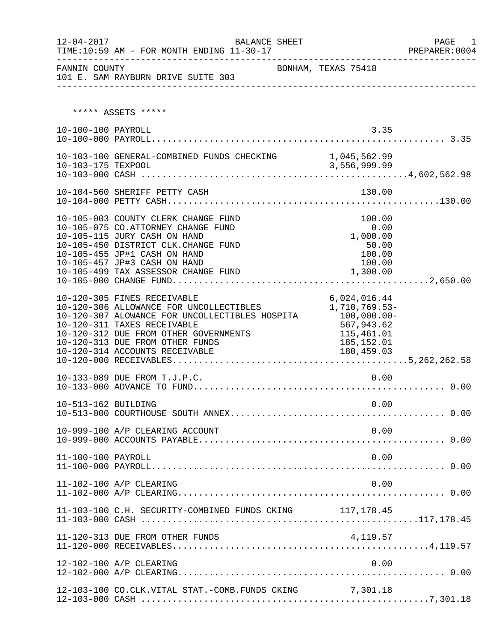| $12 - 04 - 2017$    | BALANCE SHEET<br>TIME:10:59 AM - FOR MONTH ENDING 11-30-17<br>___________________________                                                                                                                                                                                                                |                                                                                                         | PAGE<br>1<br>PREPARER: 0004<br>___________________ |
|---------------------|----------------------------------------------------------------------------------------------------------------------------------------------------------------------------------------------------------------------------------------------------------------------------------------------------------|---------------------------------------------------------------------------------------------------------|----------------------------------------------------|
| FANNIN COUNTY       | 101 E. SAM RAYBURN DRIVE SUITE 303                                                                                                                                                                                                                                                                       | BONHAM, TEXAS 75418                                                                                     |                                                    |
|                     |                                                                                                                                                                                                                                                                                                          |                                                                                                         |                                                    |
|                     | ***** ASSETS *****                                                                                                                                                                                                                                                                                       |                                                                                                         |                                                    |
| 10-100-100 PAYROLL  |                                                                                                                                                                                                                                                                                                          | 3.35                                                                                                    |                                                    |
|                     |                                                                                                                                                                                                                                                                                                          |                                                                                                         |                                                    |
|                     | 10-104-560 SHERIFF PETTY CASH                                                                                                                                                                                                                                                                            | 130.00                                                                                                  |                                                    |
|                     | 10-105-003 COUNTY CLERK CHANGE FUND<br>10-105-075 CO.ATTORNEY CHANGE FUND<br>10-105-115 JURY CASH ON HAND<br>10-105-450 DISTRICT CLK.CHANGE FUND<br>10-105-455 JP#1 CASH ON HAND<br>10-105-457 JP#3 CASH ON HAND<br>10-105-499 TAX ASSESSOR CHANGE FUND                                                  | 100.00<br>0.00<br>1,000.00<br>50.00<br>100.00<br>100.00<br>1,300.00                                     |                                                    |
|                     | 10-120-305 FINES RECEIVABLE<br>10-120-306 ALLOWANCE FOR UNCOLLECTIBLES<br>10-120-307 ALOWANCE FOR UNCOLLECTIBLES HOSPITA<br>10-120-311 TAXES RECEIVABLE<br>10-120-312 DUE FROM OTHER GOVERNMENTS<br>10-120-313 DUE FROM OTHER FUNDS<br>10-120-313 DUE FROM OTHER FUNDS<br>10-120-314 ACCOUNTS RECEIVABLE | 6,024,016.44<br>1,710,769.53-<br>$100,000.00 -$<br>567,943.62<br>115,461.01<br>185,152.01<br>180,459.03 |                                                    |
|                     | 10-133-089 DUE FROM T.J.P.C.                                                                                                                                                                                                                                                                             | 0.00                                                                                                    |                                                    |
| 10-513-162 BUILDING |                                                                                                                                                                                                                                                                                                          | 0.00                                                                                                    |                                                    |
|                     | 10-999-100 A/P CLEARING ACCOUNT                                                                                                                                                                                                                                                                          | 0.00                                                                                                    |                                                    |
| 11-100-100 PAYROLL  |                                                                                                                                                                                                                                                                                                          | 0.00                                                                                                    |                                                    |
|                     | 11-102-100 A/P CLEARING                                                                                                                                                                                                                                                                                  | 0.00                                                                                                    |                                                    |
|                     | 11-103-100 C.H. SECURITY-COMBINED FUNDS CKING 117, 178.45                                                                                                                                                                                                                                                |                                                                                                         |                                                    |
|                     |                                                                                                                                                                                                                                                                                                          |                                                                                                         |                                                    |
|                     | 12-102-100 A/P CLEARING                                                                                                                                                                                                                                                                                  | 0.00                                                                                                    |                                                    |
|                     | 12-103-100 CO.CLK.VITAL STAT.-COMB.FUNDS CKING 7,301.18                                                                                                                                                                                                                                                  |                                                                                                         |                                                    |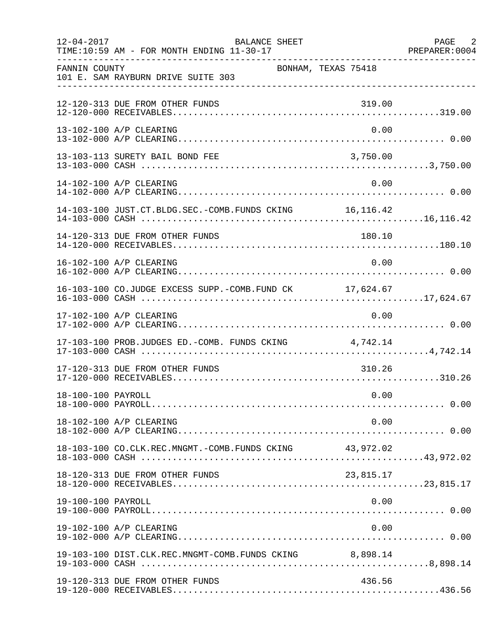| $12 - 04 - 2017$   | <b>BALANCE SHEET</b><br>TIME:10:59 AM - FOR MONTH ENDING 11-30-17 |                     | PAGE 2<br>PREPARER: 0004 |
|--------------------|-------------------------------------------------------------------|---------------------|--------------------------|
| FANNIN COUNTY      | 101 E. SAM RAYBURN DRIVE SUITE 303                                | BONHAM, TEXAS 75418 |                          |
|                    | 12-120-313 DUE FROM OTHER FUNDS                                   | 319.00              |                          |
|                    | 13-102-100 A/P CLEARING                                           | 0.00                |                          |
|                    | 13-103-113 SURETY BAIL BOND FEE                                   | 3,750.00            |                          |
|                    | 14-102-100 A/P CLEARING                                           | 0.00                |                          |
|                    | 14-103-100 JUST.CT.BLDG.SEC.-COMB.FUNDS CKING 16,116.42           |                     |                          |
|                    | 14-120-313 DUE FROM OTHER FUNDS                                   | 180.10              |                          |
|                    | 16-102-100 A/P CLEARING                                           | 0.00                |                          |
|                    | 16-103-100 CO.JUDGE EXCESS SUPP.-COMB.FUND CK 17,624.67           |                     |                          |
|                    | 17-102-100 A/P CLEARING                                           | 0.00                |                          |
|                    | 17-103-100 PROB.JUDGES ED.-COMB. FUNDS CKING 4,742.14             |                     |                          |
|                    | 17-120-313 DUE FROM OTHER FUNDS                                   | 310.26              |                          |
| 18-100-100 PAYROLL |                                                                   | 0.00                |                          |
|                    | 18-102-100 A/P CLEARING                                           | 0.00                |                          |
|                    |                                                                   |                     |                          |
|                    | 18-120-313 DUE FROM OTHER FUNDS                                   | 23,815.17           |                          |
| 19-100-100 PAYROLL |                                                                   | 0.00                |                          |
|                    | 19-102-100 A/P CLEARING                                           | 0.00                |                          |
|                    | 19-103-100 DIST.CLK.REC.MNGMT-COMB.FUNDS CKING 8,898.14           |                     |                          |
|                    | 19-120-313 DUE FROM OTHER FUNDS                                   | 436.56              |                          |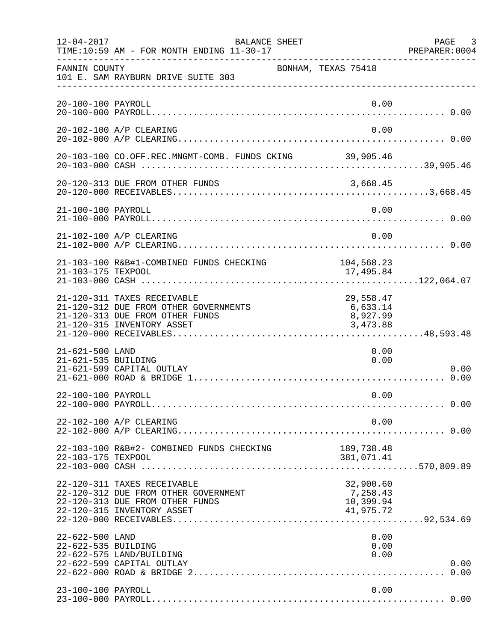| $12 - 04 - 2017$                       | BALANCE SHEET<br>TIME:10:59 AM - FOR MONTH ENDING 11-30-17                                                                            |                                                 | PAGE 3<br>PREPARER:0004 |
|----------------------------------------|---------------------------------------------------------------------------------------------------------------------------------------|-------------------------------------------------|-------------------------|
| FANNIN COUNTY                          | 101 E. SAM RAYBURN DRIVE SUITE 303                                                                                                    | BONHAM, TEXAS 75418                             |                         |
| 20-100-100 PAYROLL                     |                                                                                                                                       | 0.00                                            |                         |
|                                        | 20-102-100 A/P CLEARING                                                                                                               | 0.00                                            |                         |
|                                        | 20-103-100 CO.OFF.REC.MNGMT-COMB. FUNDS CKING 39,905.46                                                                               |                                                 |                         |
|                                        | 20-120-313 DUE FROM OTHER FUNDS                                                                                                       | 3,668.45                                        |                         |
| 21-100-100 PAYROLL                     |                                                                                                                                       | 0.00                                            |                         |
|                                        | 21-102-100 A/P CLEARING                                                                                                               | 0.00                                            |                         |
| 21-103-175 TEXPOOL                     | 21-103-100 R&B#1-COMBINED FUNDS CHECKING                                                                                              | 104,568.23<br>17,495.84                         |                         |
|                                        | 21-120-311 TAXES RECEIVABLE<br>21-120-312 DUE FROM OTHER GOVERNMENTS<br>21-120-313 DUE FROM OTHER FUNDS<br>21-120-315 INVENTORY ASSET | 29,558.47<br>6,633.14<br>8,927.99<br>3,473.88   |                         |
| 21-621-500 LAND<br>21-621-535 BUILDING | 21-621-599 CAPITAL OUTLAY                                                                                                             | 0.00<br>0.00                                    | 0.00                    |
| 22-100-100 PAYROLL                     |                                                                                                                                       | 0.00                                            |                         |
|                                        | 22-102-100 A/P CLEARING                                                                                                               | 0.00                                            |                         |
| 22-103-175 TEXPOOL                     | 22-103-100 R&B#2- COMBINED FUNDS CHECKING                                                                                             | 189,738.48<br>381,071.41                        |                         |
|                                        | 22-120-311 TAXES RECEIVABLE<br>22-120-312 DUE FROM OTHER GOVERNMENT<br>22-120-313 DUE FROM OTHER FUNDS<br>22-120-315 INVENTORY ASSET  | 32,900.60<br>7,258.43<br>10,399.94<br>41,975.72 |                         |
| 22-622-500 LAND<br>22-622-535 BUILDING | 22-622-575 LAND/BUILDING<br>22-622-599 CAPITAL OUTLAY                                                                                 | 0.00<br>0.00<br>0.00                            | 0.00<br>0.00            |
| 23-100-100 PAYROLL                     |                                                                                                                                       | 0.00                                            |                         |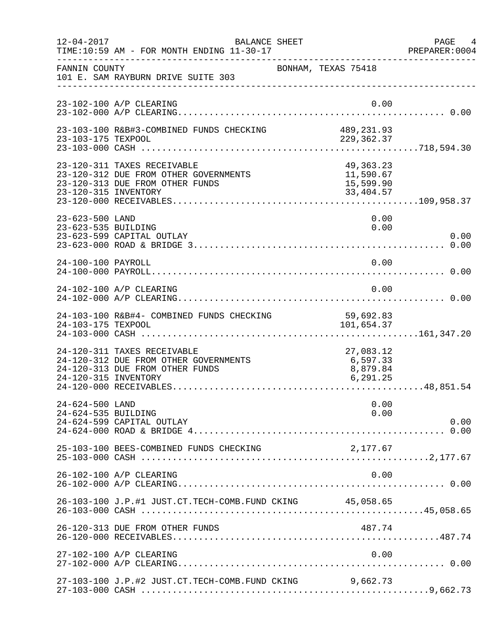| $12 - 04 - 2017$                       | BALANCE SHEET<br>TIME:10:59 AM - FOR MONTH ENDING 11-30-17                                              |                                                    | PAGE 4<br>PREPARER: 0004 |
|----------------------------------------|---------------------------------------------------------------------------------------------------------|----------------------------------------------------|--------------------------|
| FANNIN COUNTY                          | 101 E. SAM RAYBURN DRIVE SUITE 303                                                                      | BONHAM, TEXAS 75418                                |                          |
|                                        | 23-102-100 A/P CLEARING                                                                                 | 0.00                                               |                          |
| 23-103-175 TEXPOOL                     | 23-103-100 R&B#3-COMBINED FUNDS CHECKING                                                                | 489,231.93<br>229,362.37                           |                          |
| 23-120-315 INVENTORY                   | 23-120-311 TAXES RECEIVABLE<br>23-120-312 DUE FROM OTHER GOVERNMENTS<br>23-120-313 DUE FROM OTHER FUNDS | 49, 363. 23<br>11,590.67<br>15,599.90<br>33,404.57 |                          |
| 23-623-500 LAND<br>23-623-535 BUILDING | 23-623-599 CAPITAL OUTLAY                                                                               | 0.00<br>0.00                                       | 0.00                     |
| 24-100-100 PAYROLL                     |                                                                                                         | 0.00                                               |                          |
|                                        | 24-102-100 A/P CLEARING                                                                                 | 0.00                                               |                          |
| 24-103-175 TEXPOOL                     | 24-103-100 R&B#4- COMBINED FUNDS CHECKING                                                               | 59,692.83<br>101,654.37                            |                          |
| 24-120-315 INVENTORY                   | 24-120-311 TAXES RECEIVABLE<br>24-120-312 DUE FROM OTHER GOVERNMENTS<br>24-120-313 DUE FROM OTHER FUNDS | 27,083.12<br>6,597.33<br>8,879.84<br>6, 291.25     |                          |
| 24-624-500 LAND<br>24-624-535 BUILDING | 24-624-599 CAPITAL OUTLAY                                                                               | 0.00<br>0.00                                       | 0.00                     |
|                                        | 25-103-100 BEES-COMBINED FUNDS CHECKING                                                                 | 2,177.67                                           |                          |
|                                        | 26-102-100 A/P CLEARING                                                                                 | 0.00                                               |                          |
|                                        | 26-103-100 J.P.#1 JUST.CT.TECH-COMB.FUND CKING 45,058.65                                                |                                                    |                          |
|                                        | 26-120-313 DUE FROM OTHER FUNDS                                                                         | 487.74                                             |                          |
|                                        | 27-102-100 A/P CLEARING                                                                                 | 0.00                                               |                          |
|                                        | 27-103-100 J.P.#2 JUST.CT.TECH-COMB.FUND CKING                                                          | 9,662.73                                           |                          |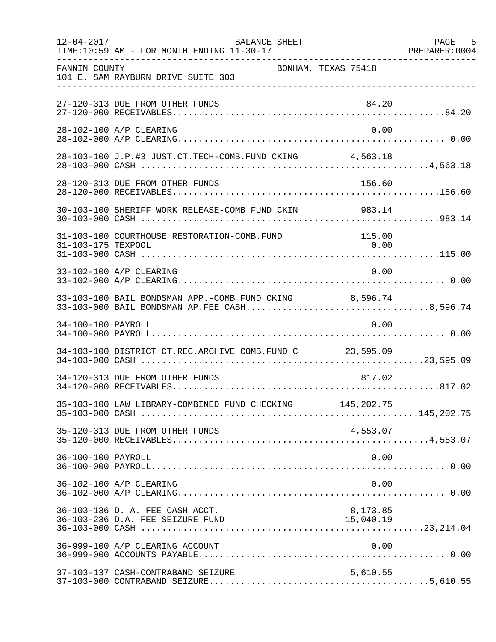| $12 - 04 - 2017$   | BALANCE SHEET<br>TIME:10:59 AM - FOR MONTH ENDING 11-30-17                                             |                       | PAGE 5 |
|--------------------|--------------------------------------------------------------------------------------------------------|-----------------------|--------|
| FANNIN COUNTY      | 101 E. SAM RAYBURN DRIVE SUITE 303                                                                     | BONHAM, TEXAS 75418   |        |
|                    | 27-120-313 DUE FROM OTHER FUNDS                                                                        | 84.20                 |        |
|                    | 28-102-100 A/P CLEARING                                                                                | 0.00                  |        |
|                    | 28-103-100 J.P.#3 JUST.CT.TECH-COMB.FUND CKING 4,563.18                                                |                       |        |
|                    | 28-120-313 DUE FROM OTHER FUNDS                                                                        | 156.60                |        |
|                    |                                                                                                        |                       |        |
| 31-103-175 TEXPOOL | 31-103-100 COURTHOUSE RESTORATION-COMB.FUND                                                            | 115.00<br>0.00        |        |
|                    | 33-102-100 A/P CLEARING                                                                                | 0.00                  |        |
|                    | 33-103-100 BAIL BONDSMAN APP.-COMB FUND CKING 8,596.74<br>33-103-000 BAIL BONDSMAN AP.FEE CASH8,596.74 |                       |        |
| 34-100-100 PAYROLL |                                                                                                        | 0.00                  |        |
|                    | 34-103-100 DISTRICT CT.REC.ARCHIVE COMB.FUND C 23,595.09                                               |                       |        |
|                    | 34-120-313 DUE FROM OTHER FUNDS                                                                        | 817.02                |        |
|                    | 35-103-100 LAW LIBRARY-COMBINED FUND CHECKING 145,202.75                                               |                       |        |
|                    | 35-120-313 DUE FROM OTHER FUNDS                                                                        | 4,553.07              |        |
| 36-100-100 PAYROLL |                                                                                                        | 0.00                  |        |
|                    | 36-102-100 A/P CLEARING                                                                                | 0.00                  |        |
|                    | 36-103-136 D. A. FEE CASH ACCT.<br>36-103-236 D.A. FEE SEIZURE FUND                                    | 8,173.85<br>15,040.19 |        |
|                    | 36-999-100 A/P CLEARING ACCOUNT                                                                        | 0.00                  |        |
|                    | 37-103-137 CASH-CONTRABAND SEIZURE                                                                     | 5,610.55              |        |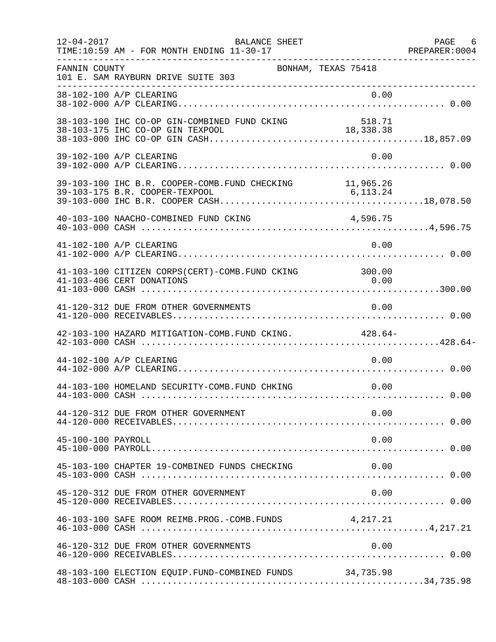| $12 - 04 - 2017$   | BALANCE SHEET<br>TIME:10:59 AM - FOR MONTH ENDING 11-30-17                          |          | PAGE 6 |
|--------------------|-------------------------------------------------------------------------------------|----------|--------|
| FANNIN COUNTY      | BONHAM, TEXAS 75418<br>101 E. SAM RAYBURN DRIVE SUITE 303                           |          |        |
|                    | 38-102-100 A/P CLEARING                                                             | 0.00     |        |
|                    |                                                                                     |          |        |
|                    | 39-102-100 A/P CLEARING                                                             | 0.00     |        |
|                    | 39-103-100 IHC B.R. COOPER-COMB. FUND CHECKING 11,965.26                            |          |        |
|                    | 40-103-100 NAACHO-COMBINED FUND CKING                                               | 4,596.75 |        |
|                    | 41-102-100 A/P CLEARING                                                             | 0.00     |        |
|                    | 41-103-100 CITIZEN CORPS(CERT)-COMB. FUND CKING 300.00<br>41-103-406 CERT DONATIONS | 0.00     |        |
|                    | 41-120-312 DUE FROM OTHER GOVERNMENTS                                               | 0.00     |        |
|                    | 42-103-100 HAZARD MITIGATION-COMB. FUND CKING. 428.64-                              |          |        |
|                    | 44-102-100 A/P CLEARING                                                             | 0.00     |        |
|                    | 44-103-100 HOMELAND SECURITY-COMB.FUND CHKING                                       | 0.00     |        |
|                    | 44-120-312 DUE FROM OTHER GOVERNMENT                                                | 0.00     |        |
| 45-100-100 PAYROLL |                                                                                     | 0.00     |        |
|                    | 45-103-100 CHAPTER 19-COMBINED FUNDS CHECKING                                       | 0.00     |        |
|                    | 45-120-312 DUE FROM OTHER GOVERNMENT                                                | 0.00     |        |
|                    | 46-103-100 SAFE ROOM REIMB. PROG. - COMB. FUNDS 4, 217.21                           |          |        |
|                    | 46-120-312 DUE FROM OTHER GOVERNMENTS                                               | 0.00     |        |
|                    | 48-103-100 ELECTION EQUIP.FUND-COMBINED FUNDS 34,735.98                             |          |        |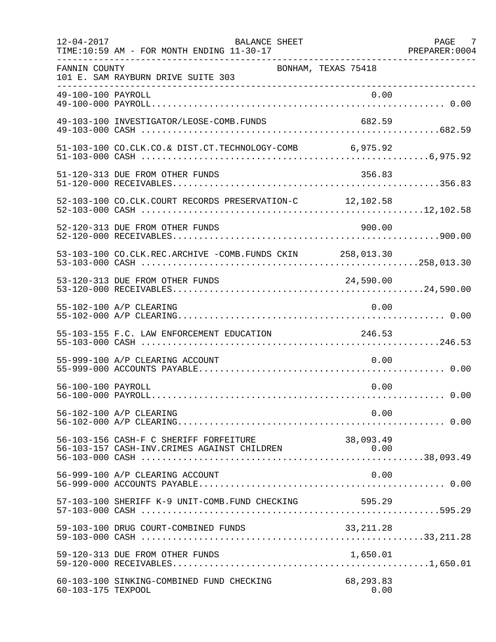| $12 - 04 - 2017$   | BALANCE SHEET<br>TIME:10:59 AM - FOR MONTH ENDING 11-30-17 |                     | PAGE 7 |
|--------------------|------------------------------------------------------------|---------------------|--------|
| FANNIN COUNTY      | 101 E. SAM RAYBURN DRIVE SUITE 303                         | BONHAM, TEXAS 75418 |        |
| 49-100-100 PAYROLL |                                                            | 0.00                |        |
|                    | 49-103-100 INVESTIGATOR/LEOSE-COMB.FUNDS                   | 682.59              |        |
|                    | 51-103-100 CO.CLK.CO.& DIST.CT.TECHNOLOGY-COMB 6,975.92    |                     |        |
|                    | 51-120-313 DUE FROM OTHER FUNDS                            | 356.83              |        |
|                    | 52-103-100 CO.CLK.COURT RECORDS PRESERVATION-C 12,102.58   |                     |        |
|                    | 52-120-313 DUE FROM OTHER FUNDS                            | 900.00              |        |
|                    | 53-103-100 CO.CLK.REC.ARCHIVE -COMB.FUNDS CKIN 258,013.30  |                     |        |
|                    | 53-120-313 DUE FROM OTHER FUNDS                            | 24,590.00           |        |
|                    | 55-102-100 A/P CLEARING                                    | 0.00                |        |
|                    | 55-103-155 F.C. LAW ENFORCEMENT EDUCATION                  | 246.53              |        |
|                    | 55-999-100 A/P CLEARING ACCOUNT                            | 0.00                |        |
| 56-100-100 PAYROLL |                                                            | 0.00                |        |
|                    | 56-102-100 A/P CLEARING                                    | 0.00                |        |
|                    | 56-103-156 CASH-F C SHERIFF FORFEITURE                     | 38,093.49           |        |
|                    | 56-999-100 A/P CLEARING ACCOUNT                            | 0.00                |        |
|                    | 57-103-100 SHERIFF K-9 UNIT-COMB.FUND CHECKING             | 595.29              |        |
|                    | 59-103-100 DRUG COURT-COMBINED FUNDS                       | 33, 211.28          |        |
|                    | 59-120-313 DUE FROM OTHER FUNDS                            | 1,650.01            |        |
| 60-103-175 TEXPOOL | 60-103-100 SINKING-COMBINED FUND CHECKING                  | 68,293.83<br>0.00   |        |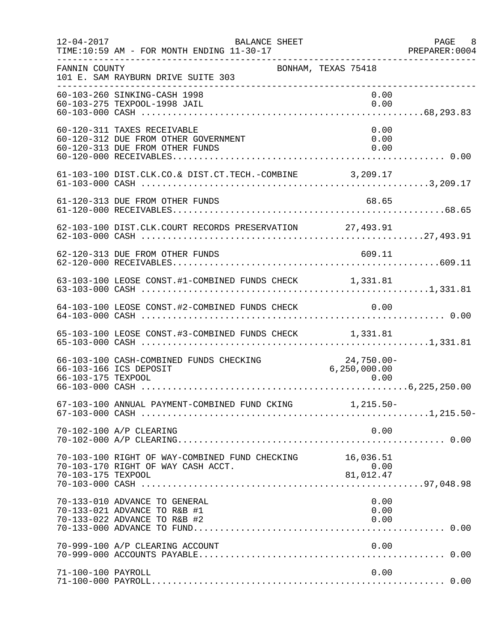| $12 - 04 - 2017$   | <b>BALANCE SHEET</b><br>TIME:10:59 AM - FOR MONTH ENDING 11-30-17                                      | -------------------------------------- | PAGE 8<br>PREPARER: 0004 |
|--------------------|--------------------------------------------------------------------------------------------------------|----------------------------------------|--------------------------|
| FANNIN COUNTY      | 101 E. SAM RAYBURN DRIVE SUITE 303                                                                     | BONHAM, TEXAS 75418                    |                          |
|                    | 60-103-260 SINKING-CASH 1998<br>60-103-275 TEXPOOL-1998 JAIL                                           | 0.00<br>0.00                           |                          |
|                    | 60-120-311 TAXES RECEIVABLE<br>60-120-312 DUE FROM OTHER GOVERNMENT<br>60-120-313 DUE FROM OTHER FUNDS | 0.00<br>0.00<br>0.00                   |                          |
|                    | 61-103-100 DIST.CLK.CO.& DIST.CT.TECH.-COMBINE 3,209.17                                                |                                        |                          |
|                    | 61-120-313 DUE FROM OTHER FUNDS                                                                        | 68.65                                  |                          |
|                    | 62-103-100 DIST.CLK.COURT RECORDS PRESERVATION 27,493.91                                               |                                        |                          |
|                    | 62-120-313 DUE FROM OTHER FUNDS                                                                        | 609.11                                 |                          |
|                    | 63-103-100 LEOSE CONST.#1-COMBINED FUNDS CHECK 1,331.81                                                |                                        |                          |
|                    | 64-103-100 LEOSE CONST.#2-COMBINED FUNDS CHECK 0.00                                                    |                                        |                          |
|                    | 65-103-100 LEOSE CONST.#3-COMBINED FUNDS CHECK 1,331.81                                                |                                        |                          |
| 66-103-175 TEXPOOL | 66-103-100 CASH-COMBINED FUNDS CHECKING<br>66-103-166 ICS DEPOSIT                                      | $24,750.00 -$<br>6,250,000.00<br>0.00  |                          |
|                    | 67-103-100 ANNUAL PAYMENT-COMBINED FUND CKING 1,215.50-                                                |                                        |                          |
|                    | 70-102-100 A/P CLEARING                                                                                | 0.00                                   |                          |
| 70-103-175 TEXPOOL | 70-103-100 RIGHT OF WAY-COMBINED FUND CHECKING 16,036.51<br>70-103-170 RIGHT OF WAY CASH ACCT.         | 0.00<br>81,012.47                      |                          |
|                    | 70-133-010 ADVANCE TO GENERAL<br>70-133-021 ADVANCE TO R&B #1<br>70-133-022 ADVANCE TO R&B #2          | 0.00<br>0.00<br>0.00                   |                          |
|                    | 70-999-100 A/P CLEARING ACCOUNT                                                                        | 0.00                                   |                          |
| 71-100-100 PAYROLL |                                                                                                        | 0.00                                   |                          |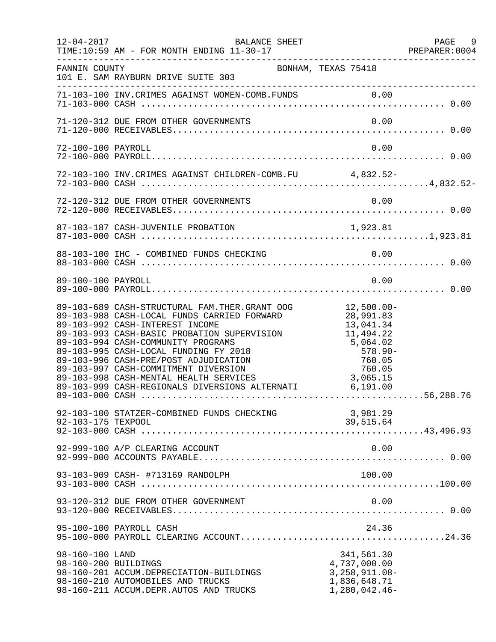| $12 - 04 - 2017$                        | BALANCE SHEET<br>TIME:10:59 AM - FOR MONTH ENDING 11-30-17                                                                                                                                                                                                                                                                                                                                                                                                     |                                                                                               | PAGE 9 |
|-----------------------------------------|----------------------------------------------------------------------------------------------------------------------------------------------------------------------------------------------------------------------------------------------------------------------------------------------------------------------------------------------------------------------------------------------------------------------------------------------------------------|-----------------------------------------------------------------------------------------------|--------|
| FANNIN COUNTY                           | BONHAM, TEXAS 75418<br>101 E. SAM RAYBURN DRIVE SUITE 303                                                                                                                                                                                                                                                                                                                                                                                                      |                                                                                               |        |
|                                         |                                                                                                                                                                                                                                                                                                                                                                                                                                                                |                                                                                               |        |
|                                         | 71-120-312 DUE FROM OTHER GOVERNMENTS                                                                                                                                                                                                                                                                                                                                                                                                                          | 0.00                                                                                          |        |
| 72-100-100 PAYROLL                      |                                                                                                                                                                                                                                                                                                                                                                                                                                                                | 0.00                                                                                          |        |
|                                         |                                                                                                                                                                                                                                                                                                                                                                                                                                                                |                                                                                               |        |
|                                         |                                                                                                                                                                                                                                                                                                                                                                                                                                                                |                                                                                               |        |
|                                         |                                                                                                                                                                                                                                                                                                                                                                                                                                                                |                                                                                               |        |
|                                         | 88-103-100 IHC - COMBINED FUNDS CHECKING                                                                                                                                                                                                                                                                                                                                                                                                                       |                                                                                               |        |
| 89-100-100 PAYROLL                      |                                                                                                                                                                                                                                                                                                                                                                                                                                                                | 0.00                                                                                          |        |
|                                         | 89-103-689 CASH-STRUCTURAL FAM.THER.GRANT OOG 12,500.00-<br>89-103-988 CASH-LOCAL FUNDS CARRIED FORWARD<br>89-103-992 CASH-INTEREST INCOME<br>89-103-993 CASH-BASIC PROBATION SUPERVISION<br>89-103-994 CASH-COMMUNITY PROGRAMS<br>89-103-995 CASH-LOCAL FUNDING FY 2018<br>89-103-996 CASH-PRE/POST ADJUDICATION<br>89-103-997 CASH-COMMITMENT DIVERSION<br>89-103-998 CASH-MENTAL HEALTH SERVICES<br>89-103-999 CASH-REGIONALS DIVERSIONS ALTERNATI 6,191.00 | 28,991.83<br>13,041.34<br>11,494.22<br>5,064.02<br>$578.90 -$<br>760.05<br>760.05<br>3,065.15 |        |
| 92-103-175 TEXPOOL                      | 92-103-100 STATZER-COMBINED FUNDS CHECKING                                                                                                                                                                                                                                                                                                                                                                                                                     | 3,981.29<br>39,515.64                                                                         |        |
|                                         | 92-999-100 A/P CLEARING ACCOUNT                                                                                                                                                                                                                                                                                                                                                                                                                                | 0.00                                                                                          |        |
|                                         | 93-103-909 CASH- #713169 RANDOLPH                                                                                                                                                                                                                                                                                                                                                                                                                              | 100.00                                                                                        |        |
|                                         | 93-120-312 DUE FROM OTHER GOVERNMENT                                                                                                                                                                                                                                                                                                                                                                                                                           | 0.00                                                                                          |        |
|                                         | 95-100-100 PAYROLL CASH                                                                                                                                                                                                                                                                                                                                                                                                                                        | 24.36                                                                                         |        |
| 98-160-100 LAND<br>98-160-200 BUILDINGS | 98-160-201 ACCUM.DEPRECIATION-BUILDINGS<br>98-160-210 AUTOMOBILES AND TRUCKS<br>98-160-211 ACCUM.DEPR.AUTOS AND TRUCKS                                                                                                                                                                                                                                                                                                                                         | 341,561.30<br>4,737,000.00<br>$3,258,911.08-$<br>1,836,648.71<br>$1,280,042.46-$              |        |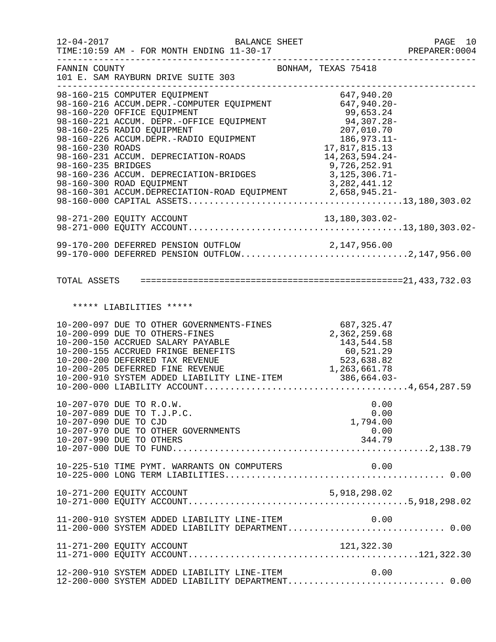|                                        | $12 - 04 - 2017$<br><b>BALANCE SHEET</b><br>TIME:10:59 AM - FOR MONTH ENDING 11-30-17                                                                                                                                                                                                                                                                                                                                  |                                                                                                                                             | PAGE 10<br>PREPARER:0004 |
|----------------------------------------|------------------------------------------------------------------------------------------------------------------------------------------------------------------------------------------------------------------------------------------------------------------------------------------------------------------------------------------------------------------------------------------------------------------------|---------------------------------------------------------------------------------------------------------------------------------------------|--------------------------|
| FANNIN COUNTY                          | 101 E. SAM RAYBURN DRIVE SUITE 303<br>----------------------                                                                                                                                                                                                                                                                                                                                                           | BONHAM, TEXAS 75418                                                                                                                         | -----------------        |
| 98-160-230 ROADS<br>98-160-235 BRIDGES | 98-160-215 COMPUTER EQUIPMENT<br>98-160-216 ACCUM.DEPR.-COMPUTER EQUIPMENT 647,940.20-<br>98-160-220 OFFICE EQUIPMENT<br>98-160-221 ACCUM. DEPR.-OFFICE EQUIPMENT<br>98-160-225 RADIO EQUIPMENT<br>98-160-226 ACCUM.DEPR.-RADIO EQUIPMENT<br>98-160-231 ACCUM. DEPRECIATION-ROADS<br>98-160-236 ACCUM. DEPRECIATION-BRIDGES<br>98-160-300 ROAD EQUIPMENT<br>98-160-301 ACCUM.DEPRECIATION-ROAD EQUIPMENT 2,658,945.21- | 99,653.24<br>94,307.28-<br>207,010.70<br>186,973.11-<br>17,817,815.13<br>14, 263, 594. 24-<br>9,726,252.91<br>3,125,306.71-<br>3,282,441.12 |                          |
|                                        |                                                                                                                                                                                                                                                                                                                                                                                                                        |                                                                                                                                             |                          |
|                                        | 99-170-200 DEFERRED PENSION OUTFLOW 2,147,956.00<br>99-170-000 DEFERRED PENSION OUTFLOW2,147,956.00                                                                                                                                                                                                                                                                                                                    |                                                                                                                                             |                          |
|                                        |                                                                                                                                                                                                                                                                                                                                                                                                                        |                                                                                                                                             |                          |
|                                        | ***** LIABILITIES *****                                                                                                                                                                                                                                                                                                                                                                                                |                                                                                                                                             |                          |
|                                        | 10-200-097 DUE TO OTHER GOVERNMENTS-FINES<br>10-200-099 DUE TO OTHERS-FINES<br>10-200-150 ACCRUED SALARY PAYABLE<br>10-200-155 ACCRUED FRINGE BENEFITS<br>10-200-200 DEFERRED TAX REVENUE<br>10-200-205 DEFERRED FINE REVENUE                                                                                                                                                                                          | 687,325.47<br>2,362,259.68<br>143,544.58<br>60,521.29<br>523,638.82<br>1,263,661.78                                                         |                          |
|                                        | 10-207-070 DUE TO R.O.W.<br>10-207-089 DUE TO T.J.P.C.<br>10-207-090 DUE TO CJD<br>10-207-970 DUE TO OTHER GOVERNMENTS<br>10-207-990 DUE TO OTHERS                                                                                                                                                                                                                                                                     | 0.00<br>0.00<br>1,794.00<br>0.00<br>344.79                                                                                                  |                          |
|                                        | 10-225-510 TIME PYMT. WARRANTS ON COMPUTERS                                                                                                                                                                                                                                                                                                                                                                            | 0.00                                                                                                                                        |                          |
|                                        | 10-271-200 EQUITY ACCOUNT                                                                                                                                                                                                                                                                                                                                                                                              | 5,918,298.02                                                                                                                                |                          |
|                                        | 11-200-910 SYSTEM ADDED LIABILITY LINE-ITEM 0.00<br>11-200-000 SYSTEM ADDED LIABILITY DEPARTMENT 0.00                                                                                                                                                                                                                                                                                                                  |                                                                                                                                             |                          |
|                                        | 11-271-200 EQUITY ACCOUNT                                                                                                                                                                                                                                                                                                                                                                                              | 121,322.30                                                                                                                                  |                          |
|                                        | 12-200-910 SYSTEM ADDED LIABILITY LINE-ITEM<br>12-200-000 SYSTEM ADDED LIABILITY DEPARTMENT 0.00                                                                                                                                                                                                                                                                                                                       | 0.00                                                                                                                                        |                          |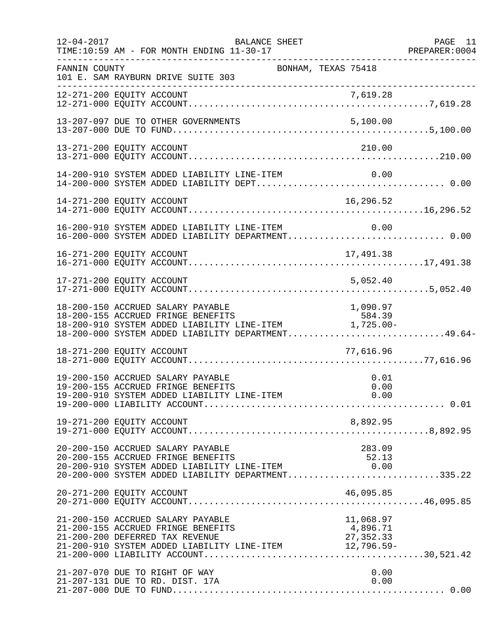| $12 - 04 - 2017$ | BALANCE SHEET<br>TIME:10:59 AM - FOR MONTH ENDING 11-30-17                                                                                                                                                                                                | PAGE 11<br>PREPARER: 0004 |
|------------------|-----------------------------------------------------------------------------------------------------------------------------------------------------------------------------------------------------------------------------------------------------------|---------------------------|
| FANNIN COUNTY    | BONHAM, TEXAS 75418<br>101 E. SAM RAYBURN DRIVE SUITE 303                                                                                                                                                                                                 |                           |
|                  |                                                                                                                                                                                                                                                           |                           |
|                  |                                                                                                                                                                                                                                                           |                           |
|                  | 13-271-200 EQUITY ACCOUNT<br>210.00                                                                                                                                                                                                                       |                           |
|                  | 14-200-910 SYSTEM ADDED LIABILITY LINE-ITEM<br>0.00                                                                                                                                                                                                       |                           |
|                  | 16,296.52<br>14-271-200 EQUITY ACCOUNT                                                                                                                                                                                                                    |                           |
|                  | 16-200-910 SYSTEM ADDED LIABILITY LINE-ITEM<br>0.00<br>16-200-910 SYSTEM ADDED LIABILITY LINE-ITEM          0.00<br>16-200-000 SYSTEM ADDED LIABILITY DEPARTMENT 0.00                                                                                     |                           |
|                  | 16-271-200 EQUITY ACCOUNT<br>17,491.38                                                                                                                                                                                                                    |                           |
|                  | 17-271-200 EQUITY ACCOUNT<br>5,052.40                                                                                                                                                                                                                     |                           |
|                  | 18-200-150 ACCRUED SALARY PAYABLE<br>1,090.97<br>18-200-155 ACCRUED FRINGE BENEFITS<br>18-200-910 SYSTEM ADDED LIABILITY LINE-ITEM 1,725.00-<br>18-200-000 SYSTEM ADDED LIABILITY DEPARTMENT49.64-                                                        |                           |
|                  | 18-271-200 EQUITY ACCOUNT<br>77,616.96                                                                                                                                                                                                                    |                           |
|                  | 19-200-150 ACCRUED SALARY PAYABLE<br>0.01<br>19-200-155 ACCRUED FRINGE BENEFITS<br>0.00<br>0.00<br>19-200-910 SYSTEM ADDED LIABILITY LINE-ITEM                                                                                                            |                           |
|                  | 8,892.95<br>19-271-200 EQUITY ACCOUNT                                                                                                                                                                                                                     |                           |
|                  | 20-200-150 ACCRUED SALARY PAYABLE<br>283.09<br>20-200-155 ACCRUED FRINGE BENEFITS<br>52.13<br>20-200-910 SYSTEM ADDED LIABILITY LINE-ITEM<br>$20-200-910$ SYSTEM ADDED LIABILITY LINE-ITEM $0.00$<br>$20-200-000$ SYSTEM ADDED LIABILITY DEPARTMENT335.22 |                           |
|                  | 20-271-200 EQUITY ACCOUNT<br>46,095.85                                                                                                                                                                                                                    |                           |
|                  | 11,068.97<br>21-200-150 ACCRUED SALARY PAYABLE<br>21-200-155 ACCRUED FRINGE BENEFITS<br>4,896.71<br>27, 352.33<br>21-200-200 DEFERRED TAX REVENUE<br>21-200-910 SYSTEM ADDED LIABILITY LINE-ITEM 12,796.59-                                               |                           |
|                  | 21-207-070 DUE TO RIGHT OF WAY<br>0.00<br>0.00<br>21-207-131 DUE TO RD. DIST. 17A                                                                                                                                                                         |                           |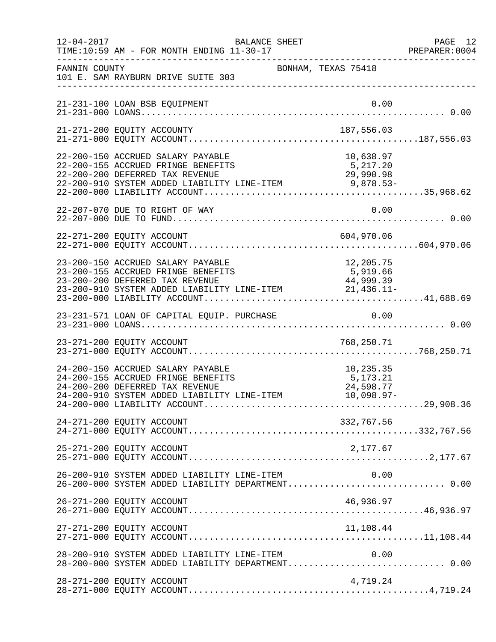| $12 - 04 - 2017$ | BALANCE SHEET<br>TIME:10:59 AM - FOR MONTH ENDING 11-30-17<br>-------------------------------------                                                                                           |                                                    | PAGE 12<br>PREPARER: 0004 |
|------------------|-----------------------------------------------------------------------------------------------------------------------------------------------------------------------------------------------|----------------------------------------------------|---------------------------|
| FANNIN COUNTY    | BONHAM, TEXAS 75418<br>101 E. SAM RAYBURN DRIVE SUITE 303                                                                                                                                     |                                                    |                           |
|                  | 21-231-100 LOAN BSB EQUIPMENT                                                                                                                                                                 | 0.00                                               |                           |
|                  |                                                                                                                                                                                               |                                                    |                           |
|                  | 22-200-150 ACCRUED SALARY PAYABLE<br>22-200-155 ACCRUED FRINGE BENEFITS<br>5,217.20<br>29,990.98<br>22-200-200 DEFERRED TAX REVENUE<br>22-200-910 SYSTEM ADDED LIABILITY LINE-ITEM 9,878.53-  | 10,638.97                                          |                           |
|                  | 22-207-070 DUE TO RIGHT OF WAY                                                                                                                                                                | 0.00                                               |                           |
|                  | 22-271-200 EQUITY ACCOUNT                                                                                                                                                                     |                                                    |                           |
|                  | 23-200-150 ACCRUED SALARY PAYABLE<br>12,205.75<br>23-200-155 ACCRUED FRINGE BENEFITS<br>5,919.66<br>23-200-200 DEFERRED TAX REVENUE<br>23-200-910 SYSTEM ADDED LIABILITY LINE-ITEM 21,436.11- | 44,999.39                                          |                           |
|                  |                                                                                                                                                                                               |                                                    |                           |
|                  |                                                                                                                                                                                               |                                                    |                           |
|                  | 24-200-150 ACCRUED SALARY PAYABLE<br>24-200-155 ACCRUED FRINGE BENEFITS<br>24-200-200 DEFERRED TAX REVENUE<br>24-200-200 DEFERRED TAX REVENUE<br>24-200-910 SYSTEM ADDED LIABILITY LINE-ITEM  | 10,235.35<br>5,173.21<br>24,598.77<br>$10,098.97-$ |                           |
|                  | 24-271-200 EQUITY ACCOUNT                                                                                                                                                                     | 332,767.56                                         |                           |
|                  | 25-271-200 EQUITY ACCOUNT                                                                                                                                                                     | 2,177.67                                           |                           |
|                  | 26-200-910 SYSTEM ADDED LIABILITY LINE-ITEM<br>26-200-000 SYSTEM ADDED LIABILITY DEPARTMENT 0.00                                                                                              | 0.00                                               |                           |
|                  | 26-271-200 EQUITY ACCOUNT                                                                                                                                                                     | 46,936.97                                          |                           |
|                  | 27-271-200 EQUITY ACCOUNT                                                                                                                                                                     | 11,108.44                                          |                           |
|                  | 28-200-910 SYSTEM ADDED LIABILITY LINE-ITEM<br>28-200-000 SYSTEM ADDED LIABILITY DEPARTMENT 0.00                                                                                              | 0.00                                               |                           |
|                  | 28-271-200 EQUITY ACCOUNT                                                                                                                                                                     | 4,719.24                                           |                           |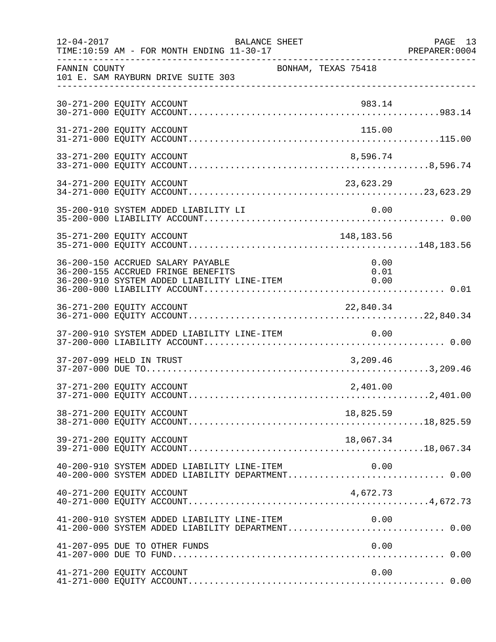| $12 - 04 - 2017$ | BALANCE SHEET<br>TIME:10:59 AM - FOR MONTH ENDING 11-30-17                                                             |                      | PAGE 13<br>PREPARER: 0004 |
|------------------|------------------------------------------------------------------------------------------------------------------------|----------------------|---------------------------|
| FANNIN COUNTY    | BONHAM, TEXAS 75418<br>101 E. SAM RAYBURN DRIVE SUITE 303                                                              |                      |                           |
|                  | 30-271-200 EQUITY ACCOUNT                                                                                              | 983.14               |                           |
|                  | 31-271-200 EQUITY ACCOUNT                                                                                              | 115.00               |                           |
|                  | 33-271-200 EQUITY ACCOUNT                                                                                              | 8,596.74             |                           |
|                  | 34-271-200 EQUITY ACCOUNT                                                                                              | 23,623.29            |                           |
|                  | 35-200-910 SYSTEM ADDED LIABILITY LI                                                                                   | 0.00                 |                           |
|                  | 35-271-200 EQUITY ACCOUNT                                                                                              | 148,183.56           |                           |
|                  | 36-200-150 ACCRUED SALARY PAYABLE<br>36-200-155 ACCRUED FRINGE BENEFITS<br>36-200-910 SYSTEM ADDED LIABILITY LINE-ITEM | 0.00<br>0.01<br>0.00 |                           |
|                  | 36-271-200 EQUITY ACCOUNT                                                                                              | 22,840.34            |                           |
|                  | 37-200-910 SYSTEM ADDED LIABILITY LINE-ITEM                                                                            | 0.00                 |                           |
|                  | 37-207-099 HELD IN TRUST                                                                                               | 3,209.46             |                           |
|                  | 37-271-200 EQUITY ACCOUNT                                                                                              | 2,401.00             |                           |
|                  | 38-271-200 EQUITY ACCOUNT                                                                                              | 18,825.59            |                           |
|                  | 39-271-200 EQUITY ACCOUNT                                                                                              | 18,067.34            |                           |
|                  | 40-200-910 SYSTEM ADDED LIABILITY LINE-ITEM                                                                            | 0.00                 |                           |
|                  | 40-271-200 EQUITY ACCOUNT                                                                                              | 4,672.73             |                           |
|                  | 41-200-910 SYSTEM ADDED LIABILITY LINE-ITEM<br>41-200-000 SYSTEM ADDED LIABILITY DEPARTMENT 0.00                       | 0.00                 |                           |
|                  | 41-207-095 DUE TO OTHER FUNDS                                                                                          | 0.00                 |                           |
|                  | 41-271-200 EQUITY ACCOUNT                                                                                              | 0.00                 |                           |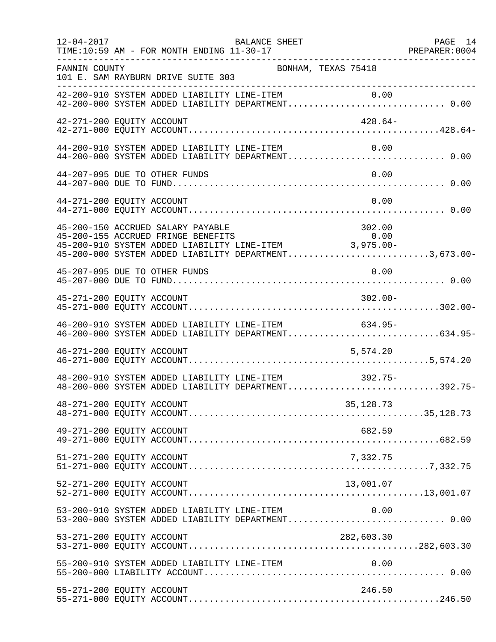| $12 - 04 - 2017$ | BALANCE SHEET<br>TIME:10:59 AM - FOR MONTH ENDING 11-30-17                                                                                                                                     | PAGE 14<br>PREPARER: 0004<br>--------------------- |
|------------------|------------------------------------------------------------------------------------------------------------------------------------------------------------------------------------------------|----------------------------------------------------|
| FANNIN COUNTY    | BONHAM, TEXAS 75418<br>101 E. SAM RAYBURN DRIVE SUITE 303                                                                                                                                      |                                                    |
|                  | 42-200-910 SYSTEM ADDED LIABILITY LINE-ITEM 0.00<br>42-200-000 SYSTEM ADDED LIABILITY DEPARTMENT 0.00                                                                                          |                                                    |
|                  | 42-271-200 EQUITY ACCOUNT                                                                                                                                                                      | $428.64-$                                          |
|                  | 44-200-910 SYSTEM ADDED LIABILITY LINE-ITEM<br>44-200-000 SYSTEM ADDED LIABILITY DEPARTMENT 0.00                                                                                               | 0.00                                               |
|                  | 44-207-095 DUE TO OTHER FUNDS                                                                                                                                                                  | 0.00                                               |
|                  | 44-271-200 EQUITY ACCOUNT                                                                                                                                                                      | 0.00                                               |
|                  | 45-200-150 ACCRUED SALARY PAYABLE<br>45-200-155 ACCRUED FRINGE BENEFITS 0.00<br>45-200-910 SYSTEM ADDED LIABILITY LINE-ITEM 3,975.00-<br>45-200-000 SYSTEM ADDED LIABILITY DEPARTMENT3,673.00- |                                                    |
|                  | 45-207-095 DUE TO OTHER FUNDS                                                                                                                                                                  | 0.00                                               |
|                  | 45-271-200 EQUITY ACCOUNT                                                                                                                                                                      | $302.00 -$                                         |
|                  | 46-200-910 SYSTEM ADDED LIABILITY LINE-ITEM 634.95-<br>46-200-000 SYSTEM ADDED LIABILITY DEPARTMENT634.95-                                                                                     |                                                    |
|                  | 46-271-200 EQUITY ACCOUNT<br>5,574.20                                                                                                                                                          |                                                    |
|                  | 48-200-910 SYSTEM ADDED LIABILITY LINE-ITEM<br>$392.75-$<br>48-200-000 SYSTEM ADDED LIABILITY DEPARTMENT392.75-                                                                                |                                                    |
|                  | 48-271-200 EQUITY ACCOUNT<br>35,128.73                                                                                                                                                         |                                                    |
|                  | 49-271-200 EQUITY ACCOUNT<br>682.59                                                                                                                                                            |                                                    |
|                  | 51-271-200 EQUITY ACCOUNT<br>7,332.75                                                                                                                                                          |                                                    |
|                  | 52-271-200 EQUITY ACCOUNT<br>13,001.07                                                                                                                                                         |                                                    |
|                  | 53-200-910 SYSTEM ADDED LIABILITY LINE-ITEM<br>53-200-000 SYSTEM ADDED LIABILITY DEPARTMENT 0.00                                                                                               | 0.00                                               |
|                  | 53-271-200 EQUITY ACCOUNT<br>282,603.30                                                                                                                                                        |                                                    |
|                  | 55-200-910 SYSTEM ADDED LIABILITY LINE-ITEM                                                                                                                                                    | 0.00                                               |
|                  | 55-271-200 EQUITY ACCOUNT<br>246.50                                                                                                                                                            |                                                    |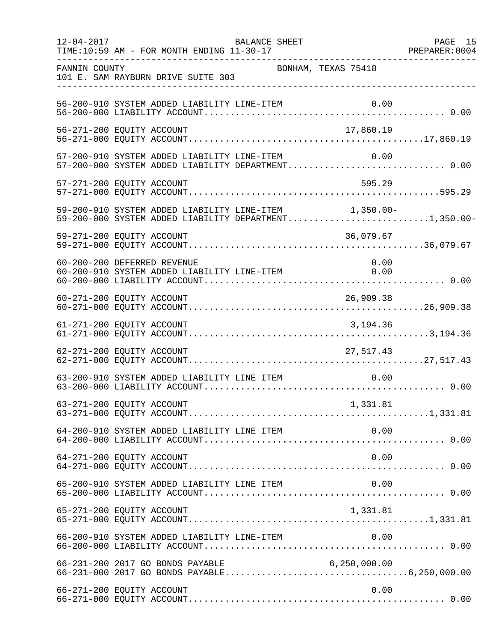| $12 - 04 - 2017$ | BALANCE SHEET<br>TIME:10:59 AM - FOR MONTH ENDING 11-30-17                                                     |                     | PAGE 15 |
|------------------|----------------------------------------------------------------------------------------------------------------|---------------------|---------|
| FANNIN COUNTY    | 101 E. SAM RAYBURN DRIVE SUITE 303                                                                             | BONHAM, TEXAS 75418 |         |
|                  | 56-200-910 SYSTEM ADDED LIABILITY LINE-ITEM                                                                    |                     |         |
|                  | 56-271-200 EQUITY ACCOUNT                                                                                      | 17,860.19           |         |
|                  | 57-200-910 SYSTEM ADDED LIABILITY LINE-ITEM<br>57-200-000 SYSTEM ADDED LIABILITY DEPARTMENT 0.00               | 0.00                |         |
|                  | 57-271-200 EQUITY ACCOUNT                                                                                      | 595.29              |         |
|                  | 59-200-910 SYSTEM ADDED LIABILITY LINE-ITEM 1,350.00-<br>59-200-000 SYSTEM ADDED LIABILITY DEPARTMENT1,350.00- |                     |         |
|                  | 59-271-200 EQUITY ACCOUNT                                                                                      | 36,079.67           |         |
|                  | 60-200-200 DEFERRED REVENUE<br>60-200-910 SYSTEM ADDED LIABILITY LINE-ITEM                                     | 0.00<br>0.00        |         |
|                  |                                                                                                                |                     |         |
|                  | 61-271-200 EQUITY ACCOUNT                                                                                      | 3, 194. 36          |         |
|                  | 62-271-200 EQUITY ACCOUNT                                                                                      | 27, 517.43          |         |
|                  | 63-200-910 SYSTEM ADDED LIABILITY LINE ITEM                                                                    | 0.00                |         |
|                  | 63-271-200 EQUITY ACCOUNT                                                                                      | 1,331.81            |         |
|                  |                                                                                                                |                     |         |
|                  | 64-271-200 EQUITY ACCOUNT                                                                                      | 0.00                |         |
|                  | 65-200-910 SYSTEM ADDED LIABILITY LINE ITEM                                                                    | 0.00                |         |
|                  | 65-271-200 EQUITY ACCOUNT                                                                                      | 1,331.81            |         |
|                  |                                                                                                                |                     |         |
|                  |                                                                                                                |                     |         |
|                  | 66-271-200 EQUITY ACCOUNT                                                                                      | 0.00                |         |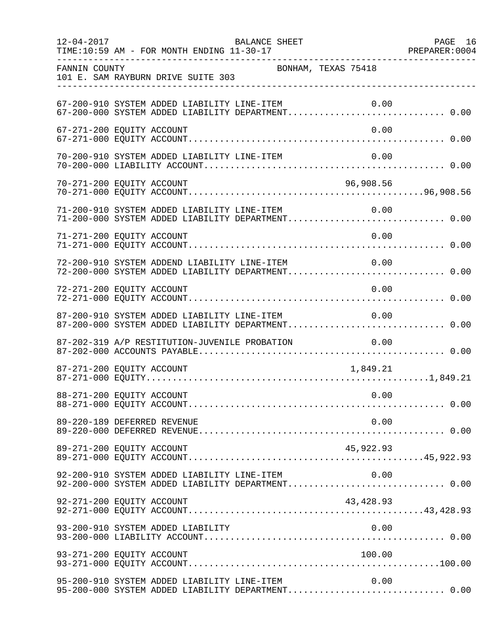| $12 - 04 - 2017$ | BALANCE SHEET<br>TIME:10:59 AM - FOR MONTH ENDING 11-30-17                                        |            | PAGE 16 |
|------------------|---------------------------------------------------------------------------------------------------|------------|---------|
| FANNIN COUNTY    | BONHAM, TEXAS 75418<br>101 E. SAM RAYBURN DRIVE SUITE 303                                         |            |         |
|                  | 67-200-910 SYSTEM ADDED LIABILITY LINE-ITEM                                                       | 0.00       |         |
|                  | 67-271-200 EQUITY ACCOUNT                                                                         | 0.00       |         |
|                  | 70-200-910 SYSTEM ADDED LIABILITY LINE-ITEM                                                       | 0.00       |         |
|                  | 70-271-200 EQUITY ACCOUNT                                                                         | 96,908.56  |         |
|                  | 71-200-910 SYSTEM ADDED LIABILITY LINE-ITEM<br>71-200-000 SYSTEM ADDED LIABILITY DEPARTMENT 0.00  | 0.00       |         |
|                  | 71-271-200 EQUITY ACCOUNT                                                                         | 0.00       |         |
|                  | 72-200-910 SYSTEM ADDEND LIABILITY LINE-ITEM<br>72-200-000 SYSTEM ADDED LIABILITY DEPARTMENT 0.00 | 0.00       |         |
|                  | 72-271-200 EQUITY ACCOUNT                                                                         | 0.00       |         |
|                  | 87-200-910 SYSTEM ADDED LIABILITY LINE-ITEM<br>87-200-000 SYSTEM ADDED LIABILITY DEPARTMENT 0.00  | 0.00       |         |
|                  | 87-202-319 A/P RESTITUTION-JUVENILE PROBATION                                                     | 0.00       |         |
|                  | 87-271-200 EQUITY ACCOUNT                                                                         | 1,849.21   |         |
|                  | 88-271-200 EQUITY ACCOUNT                                                                         | 0.00       |         |
|                  | 89-220-189 DEFERRED REVENUE                                                                       | 0.00       |         |
|                  | 89-271-200 EQUITY ACCOUNT                                                                         | 45,922.93  |         |
|                  | 92-200-910 SYSTEM ADDED LIABILITY LINE-ITEM<br>92-200-000 SYSTEM ADDED LIABILITY DEPARTMENT 0.00  | 0.00       |         |
|                  | 92-271-200 EQUITY ACCOUNT                                                                         | 43, 428.93 |         |
|                  | 93-200-910 SYSTEM ADDED LIABILITY                                                                 | 0.00       |         |
|                  | 93-271-200 EQUITY ACCOUNT                                                                         | 100.00     |         |
|                  | 95-200-910 SYSTEM ADDED LIABILITY LINE-ITEM<br>95-200-000 SYSTEM ADDED LIABILITY DEPARTMENT 0.00  | 0.00       |         |